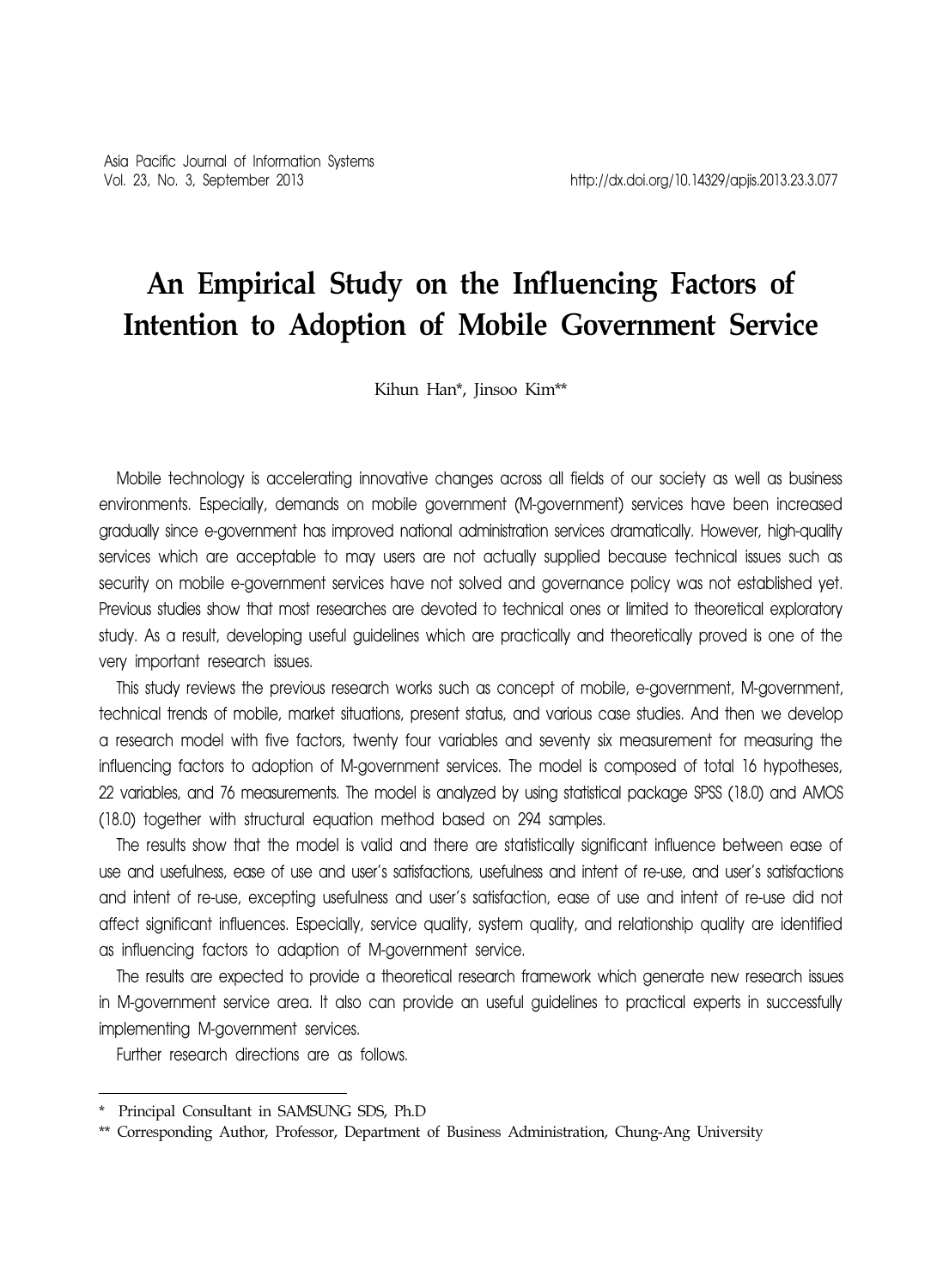# **An Empirical Study on the Influencing Factors of Intention to Adoption of Mobile Government Service**

Kihun Han\*, Jinsoo Kim\*\*

Mobile technology is accelerating innovative changes across all fields of our society as well as business environments. Especially, demands on mobile government (M-government) services have been increased gradually since e-government has improved national administration services dramatically. However, high-quality services which are acceptable to may users are not actually supplied because technical issues such as security on mobile e-government services have not solved and governance policy was not established yet. Previous studies show that most researches are devoted to technical ones or limited to theoretical exploratory study. As a result, developing useful guidelines which are practically and theoretically proved is one of the very important research issues.

This study reviews the previous research works such as concept of mobile, e-government, M-government, technical trends of mobile, market situations, present status, and various case studies. And then we develop a research model with five factors, twenty four variables and seventy six measurement for measuring the influencing factors to adoption of M-government services. The model is composed of total 16 hypotheses, 22 variables, and 76 measurements. The model is analyzed by using statistical package SPSS (18.0) and AMOS (18.0) together with structural equation method based on 294 samples.

The results show that the model is valid and there are statistically significant influence between ease of use and usefulness, ease of use and user's satisfactions, usefulness and intent of re-use, and user's satisfactions and intent of re-use, excepting usefulness and user's satisfaction, ease of use and intent of re-use did not affect significant influences. Especially, service quality, system quality, and relationship quality are identified as influencing factors to adaption of M-government service.

The results are expected to provide a theoretical research framework which generate new research issues in M-government service area. It also can provide an useful guidelines to practical experts in successfully implementing M-government services.

Further research directions are as follows.

<sup>\*</sup> Principal Consultant in SAMSUNG SDS, Ph.D

<sup>\*\*</sup> Corresponding Author, Professor, Department of Business Administration, Chung-Ang University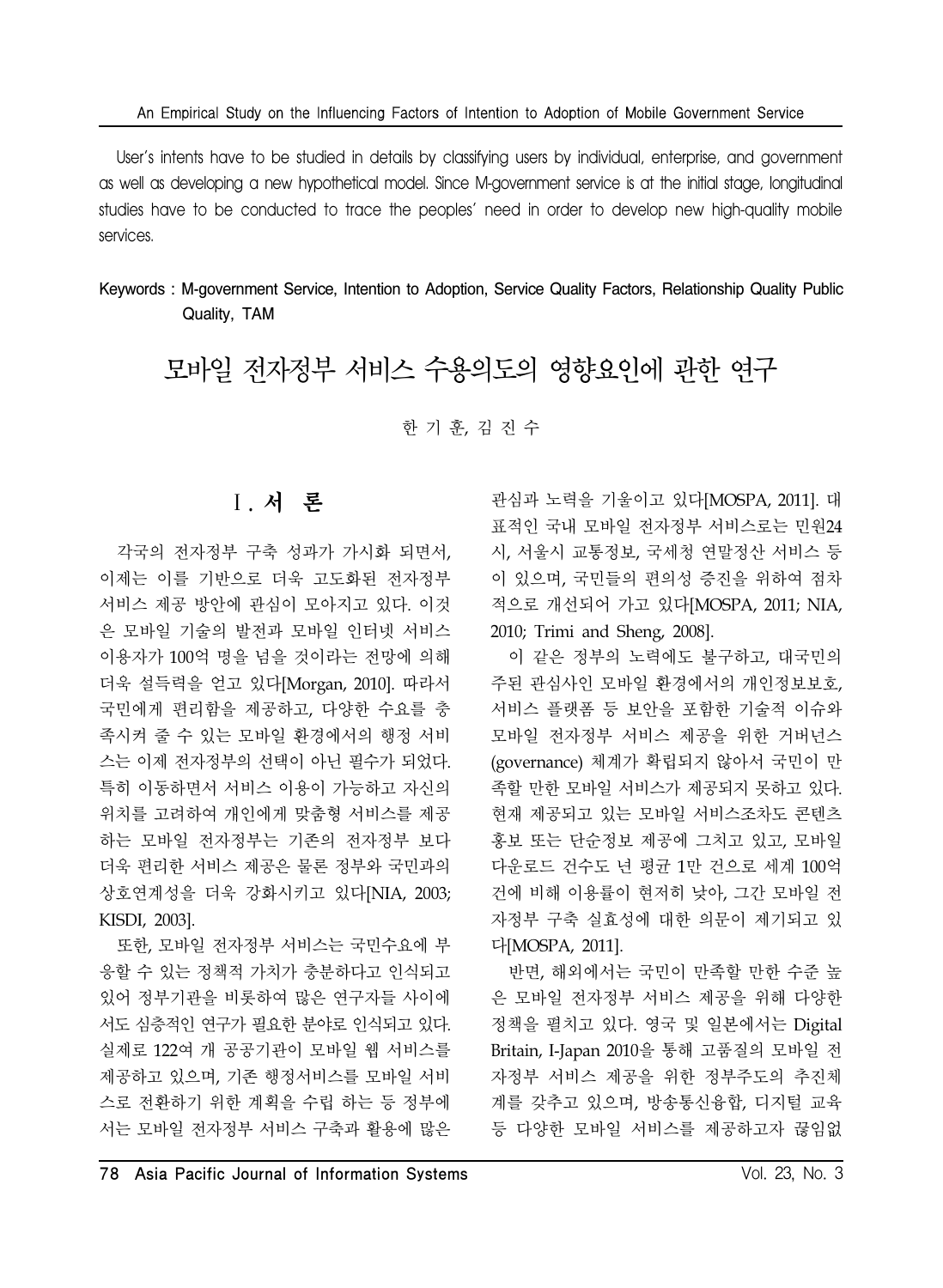User's intents have to be studied in details by classifying users by individual, enterprise, and government as well as developing a new hypothetical model. Since M-government service is at the initial stage, longitudinal studies have to be conducted to trace the peoples' need in order to develop new high-quality mobile services.

Keywords : M-government Service, Intention to Adoption, Service Quality Factors, Relationship Quality Public Quality, TAM

모바일 전자정부 서비스 수용의도의 영향요인에 관한 연구

한 기 훈, 김 진 수

# Ⅰ. 서 론

각국의 전자정부 구축 성과가 가시화 되면서, 이제는 이를 기반으로 더욱 고도화된 전자정부 서비스 제공 방안에 관심이 모아지고 있다. 이것 은 모바일 기술의 발전과 모바일 인터넷 서비스 이용자가 100억 명을 넘을 것이라는 전망에 의해 더욱 설득력을 얻고 있다[Morgan, 2010]. 따라서 국민에게 편리함을 제공하고, 다양한 수요를 충 족시켜 줄 수 있는 모바일 환경에서의 행정 서비 스는 이제 전자정부의 선택이 아닌 필수가 되었다. 특히 이동하면서 서비스 이용이 가능하고 자신의 위치를 고려하여 개인에게 맞춤형 서비스를 제공 하는 모바일 전자정부는 기존의 전자정부 보다 더욱 편리한 서비스 제공은 물론 정부와 국민과의 상호연계성을 더욱 강화시키고 있다[NIA, 2003; KISDI, 2003].

또한, 모바일 전자정부 서비스는 국민수요에 부 응할 수 있는 정책적 가치가 충분하다고 인식되고 있어 정부기관을 비롯하여 많은 연구자들 사이에 서도 심층적인 연구가 필요한 분야로 인식되고 있다. 실제로 122여 개 공공기관이 모바일 웹 서비스를 제공하고 있으며, 기존 행정서비스를 모바일 서비 스로 전환하기 위한 계획을 수립 하는 등 정부에 서는 모바일 전자정부 서비스 구축과 활용에 많은

관심과 노력을 기울이고 있다[MOSPA, 2011]. 대 표적인 국내 모바일 전자정부 서비스로는 민원24 시, 서울시 교통정보, 국세청 연말정산 서비스 등 이 있으며, 국민들의 편의성 증진을 위하여 점차 적으로 개선되어 가고 있다[MOSPA, 2011; NIA, 2010; Trimi and Sheng, 2008].

이 같은 정부의 노력에도 불구하고, 대국민의 주된 관심사인 모바일 환경에서의 개인정보보호, 서비스 플랫폼 등 보안을 포함한 기술적 이슈와 모바일 전자정부 서비스 제공을 위한 거버넌스 (governance) 체계가 확립되지 않아서 국민이 만 족할 만한 모바일 서비스가 제공되지 못하고 있다. 현재 제공되고 있는 모바일 서비스조차도 콘텐츠 홍보 또는 단순정보 제공에 그치고 있고, 모바일 다운로드 건수도 년 평균 1만 건으로 세계 100억 건에 비해 이용률이 현저히 낮아, 그간 모바일 전 자정부 구축 실효성에 대한 의문이 제기되고 있 다[MOSPA, 2011].

반면, 해외에서는 국민이 만족할 만한 수준 높 은 모바일 전자정부 서비스 제공을 위해 다양한 정책을 펼치고 있다. 영국 및 일본에서는 Digital Britain, I-Japan 2010을 통해 고품질의 모바일 전 자정부 서비스 제공을 위한 정부주도의 추진체 계를 갖추고 있으며, 방송통신융합, 디지털 교육 등 다양한 모바일 서비스를 제공하고자 끊임없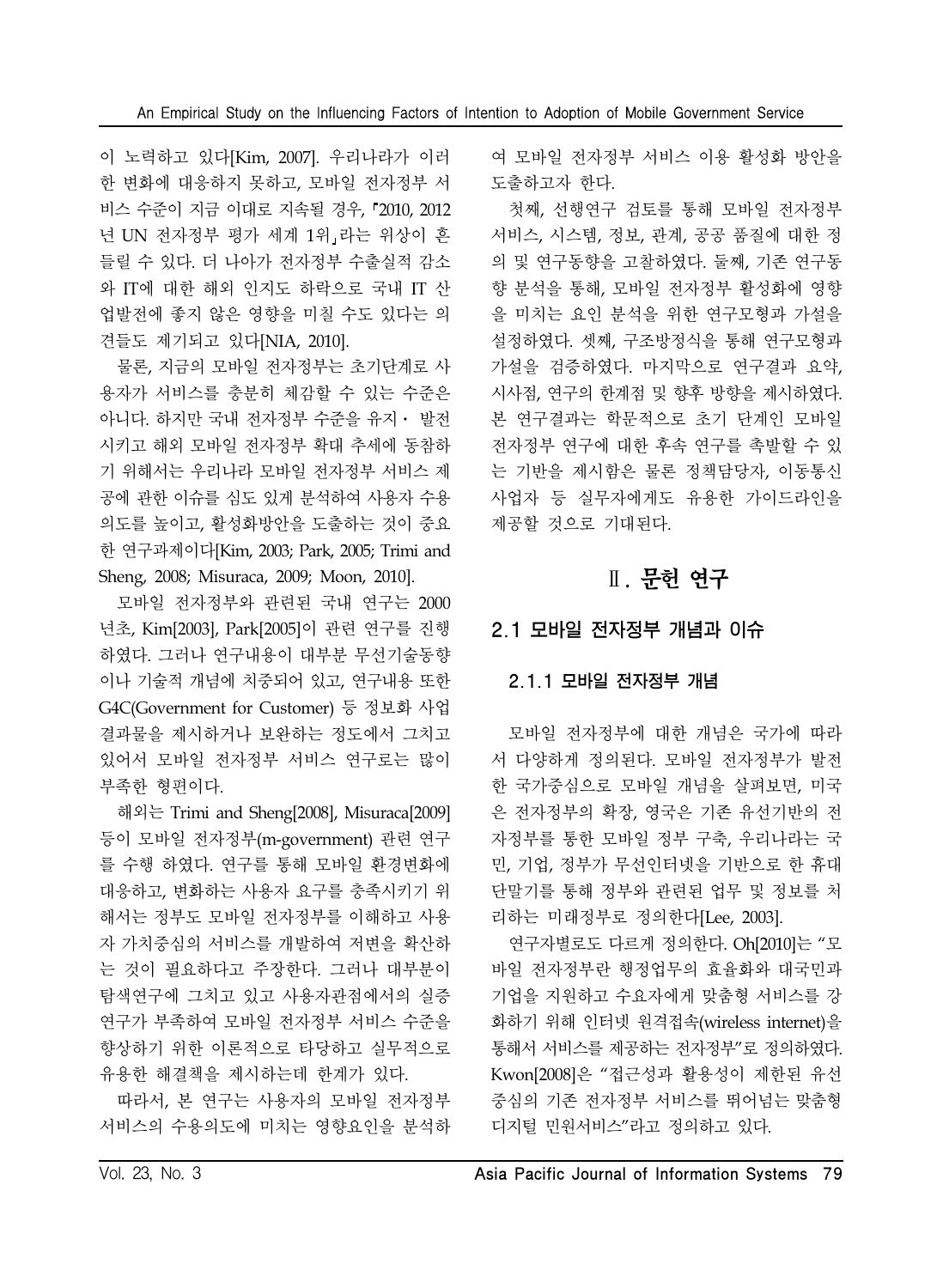이 노력하고 있다[Kim, 2007]. 우리나라가 이러 한 변화에 대응하지 못하고, 모바일 전자정부 서 비스 수준이 지금 이대로 지속될 경우, 2010, 2012 년 UN 전자정부 평가 세계 1위 라는 위상이 흔 들릴 수 있다. 더 나아가 전자정부 수출실적 감소 와 IT에 대한 해외 인지도 하락으로 국내 IT 산 업발전에 좋지 않은 영향을 미칠 수도 있다는 의 견들도 제기되고 있다[NIA, 2010].

물론, 지금의 모바일 전자정부는 초기단계로 사 용자가 서비스를 충분히 체감할 수 있는 수준은 아니다. 하지만 국내 전자정부 수준을 유지⋅ 발전 시키고 해외 모바일 전자정부 확대 추세에 동참하 기 위해서는 우리나라 모바일 전자정부 서비스 제 공에 관한 이슈를 심도 있게 분석하여 사용자 수용 의도를 높이고, 활성화방안을 도출하는 것이 중요 한 연구과제이다[Kim, 2003; Park, 2005; Trimi and Sheng, 2008; Misuraca, 2009; Moon, 2010].

모바일 전자정부와 관련된 국내 연구는 2000 년초, Kim[2003], Park[2005]이 관련 연구를 진행 하였다. 그러나 연구내용이 대부분 무선기술동향 이나 기술적 개념에 치중되어 있고, 연구내용 또한 G4C(Government for Customer) 등 정보화 사업 결과물을 제시하거나 보완하는 정도에서 그치고 있어서 모바일 전자정부 서비스 연구로는 많이 부족한 형편이다.

해외는 Trimi and Sheng[2008], Misuraca[2009] 등이 모바일 전자정부(m-government) 관련 연구 를 수행 하였다. 연구를 통해 모바일 환경변화에 대응하고, 변화하는 사용자 요구를 충족시키기 위 해서는 정부도 모바일 전자정부를 이해하고 사용 자 가치중심의 서비스를 개발하여 저변을 확산하 는 것이 필요하다고 주장한다. 그러나 대부분이 탐색연구에 그치고 있고 사용자관점에서의 실증 연구가 부족하여 모바일 전자정부 서비스 수준을 향상하기 위한 이론적으로 타당하고 실무적으로 유용한 해결책을 제시하는데 한계가 있다.

따라서, 본 연구는 사용자의 모바일 전자정부 서비스의 수용의도에 미치는 영향요인을 분석하 여 모바일 전자정부 서비스 이용 활성화 방안을 도출하고자 한다.

첫째, 선행연구 검토를 통해 모바일 전자정부 서비스, 시스템, 정보, 관계, 공공 품질에 대한 정 의 및 연구동향을 고찰하였다. 둘째, 기존 연구동 향 분석을 통해, 모바일 전자정부 활성화에 영향 을 미치는 요인 분석을 위한 연구모형과 가설을 설정하였다. 셋째, 구조방정식을 통해 연구모형과 가설을 검증하였다. 마지막으로 연구결과 요약, 시사점, 연구의 한계점 및 향후 방향을 제시하였다. 본 연구결과는 학문적으로 초기 단계인 모바일 전자정부 연구에 대한 후속 연구를 촉발할 수 있 는 기반을 제시함은 물론 정책담당자, 이동통신 사업자 등 실무자에게도 유용한 가이드라인을 제공할 것으로 기대된다.

# Ⅱ. 문헌 연구

# 2.1 모바일 전자정부 개념과 이슈

### 2.1.1 모바일 전자정부 개념

모바일 전자정부에 대한 개념은 국가에 따라 서 다양하게 정의된다. 모바일 전자정부가 발전 한 국가중심으로 모바일 개념을 살펴보면, 미국 은 전자정부의 확장, 영국은 기존 유선기반의 전 자정부를 통한 모바일 정부 구축, 우리나라는 국 민, 기업, 정부가 무선인터넷을 기반으로 한 휴대 단말기를 통해 정부와 관련된 업무 및 정보를 처 리하는 미래정부로 정의한다[Lee, 2003].

연구자별로도 다르게 정의한다. Oh[2010]는 "모 바일 전자정부란 행정업무의 효율화와 대국민과 기업을 지원하고 수요자에게 맞춤형 서비스를 강 화하기 위해 인터넷 원격접속(wireless internet)을 통해서 서비스를 제공하는 전자정부"로 정의하였다. Kwon[2008]은 "접근성과 활용성이 제한된 유선 중심의 기존 전자정부 서비스를 뛰어넘는 맞춤형 디지털 민원서비스"라고 정의하고 있다.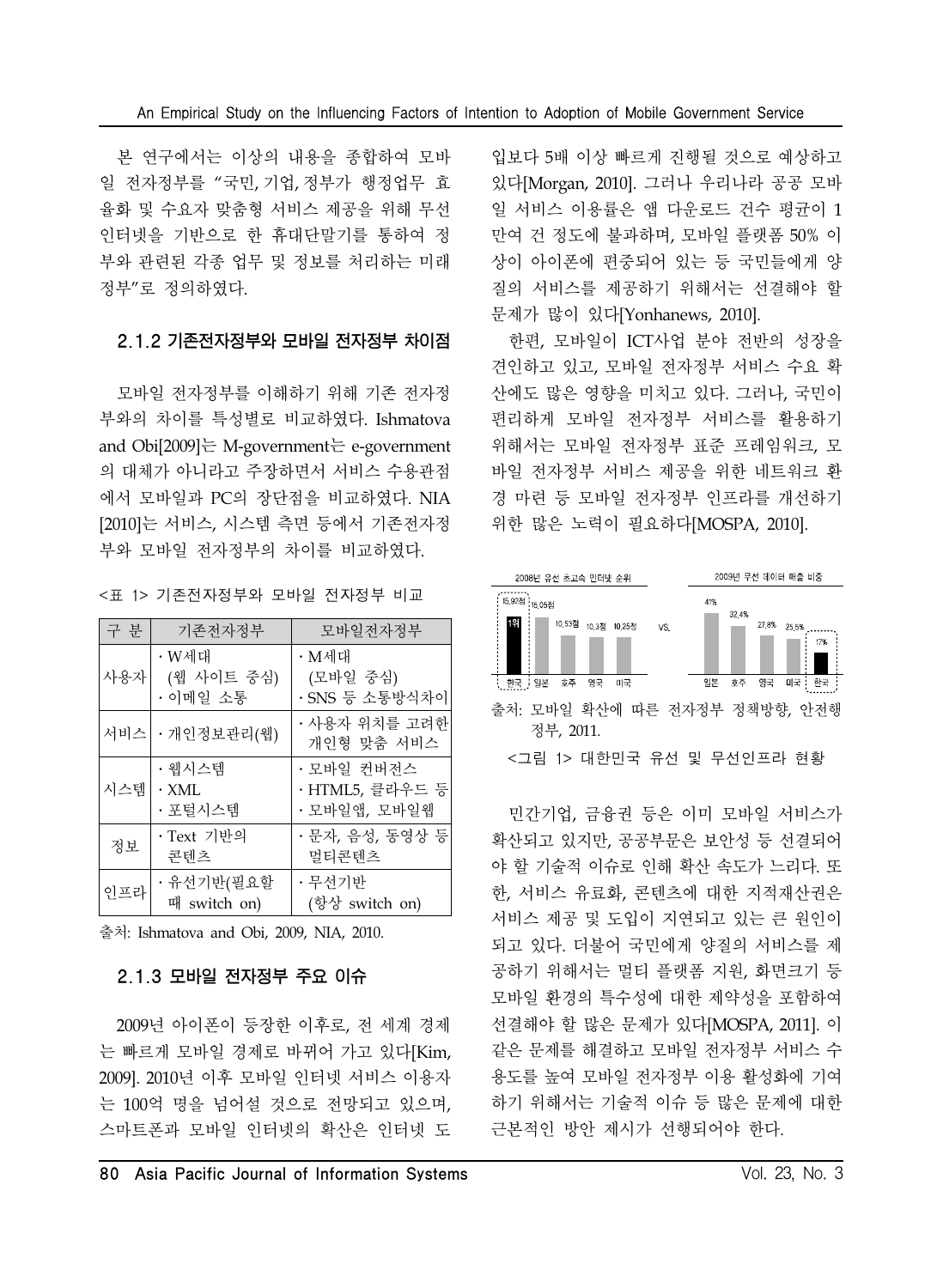본 연구에서는 이상의 내용을 종합하여 모바 일 전자정부를 "국민, 기업, 정부가 행정업무 효 율화 및 수요자 맞춤형 서비스 제공을 위해 무선 인터넷을 기반으로 한 휴대단말기를 통하여 정 부와 관련된 각종 업무 및 정보를 처리하는 미래 정부"로 정의하였다.

#### 2.1.2 기존전자정부와 모바일 전자정부 차이점

모바일 전자정부를 이해하기 위해 기존 전자정 부와의 차이를 특성별로 비교하였다. Ishmatova and Obi[2009]는 M-government는 e-government 의 대체가 아니라고 주장하면서 서비스 수용관점 에서 모바일과 PC의 장단점을 비교하였다. NIA [2010]는 서비스, 시스템 측면 등에서 기존전자정 부와 모바일 전자정부의 차이를 비교하였다.

<표 1> 기존전자정부와 모바일 전자정부 비교

| 구 분 | 기존전자정부                           | 모바일전자정부                                       |
|-----|----------------------------------|-----------------------------------------------|
| 사용자 | • W세대<br>(웹 사이트 중심)<br>•이메일 소통   | • M세대<br>(모바일 중심)<br>· SNS 등 소통방식차이           |
|     | 서비스   • 개인정보관리(웹)                | · 사용자 위치를 고려한<br>개인형 맞춤 서비스                   |
| 시스템 | • 웹시스템<br>$\cdot$ XML<br>· 포털시스템 | • 모바일 컨버전스<br>· HTML5, 클라우드 등<br>· 모바일앱, 모바일웹 |
| 정보  | · Text 기반의<br>콘텐츠                | · 문자, 음성, 동영상 등<br>멀티콘텐츠                      |
| 인프라 | ·유선기반(필요할<br>때 switch on)        | · 무선기반<br>(항상 switch on)                      |

출처: Ishmatova and Obi, 2009, NIA, 2010.

#### 2.1.3 모바일 전자정부 주요 이슈

2009년 아이폰이 등장한 이후로, 전 세계 경제 는 빠르게 모바일 경제로 바뀌어 가고 있다[Kim, 2009]. 2010년 이후 모바일 인터넷 서비스 이용자 는 100억 명을 넘어설 것으로 전망되고 있으며, 스마트폰과 모바일 인터넷의 확산은 인터넷 도

입보다 5배 이상 빠르게 진행될 것으로 예상하고 있다[Morgan, 2010]. 그러나 우리나라 공공 모바 일 서비스 이용률은 앱 다운로드 건수 평균이 1 만여 건 정도에 불과하며, 모바일 플랫폼 50% 이 상이 아이폰에 편중되어 있는 등 국민들에게 양 질의 서비스를 제공하기 위해서는 선결해야 할 문제가 많이 있다[Yonhanews, 2010].

한편, 모바일이 ICT사업 분야 전반의 성장을 견인하고 있고, 모바일 전자정부 서비스 수요 확 산에도 많은 영향을 미치고 있다. 그러나, 국민이 편리하게 모바일 전자정부 서비스를 활용하기 위해서는 모바일 전자정부 표준 프레임워크, 모 바일 전자정부 서비스 제공을 위한 네트워크 환 경 마련 등 모바일 전자정부 인프라를 개선하기 위한 많은 노력이 필요하다[MOSPA, 2010].



민간기업, 금융권 등은 이미 모바일 서비스가 확산되고 있지만, 공공부문은 보안성 등 선결되어 야 할 기술적 이슈로 인해 확산 속도가 느리다. 또 한, 서비스 유료화, 콘텐츠에 대한 지적재산권은 서비스 제공 및 도입이 지연되고 있는 큰 원인이 되고 있다. 더불어 국민에게 양질의 서비스를 제 공하기 위해서는 멀티 플랫폼 지원, 화면크기 등 모바일 환경의 특수성에 대한 제약성을 포함하여 선결해야 할 많은 문제가 있다[MOSPA, 2011]. 이 같은 문제를 해결하고 모바일 전자정부 서비스 수 용도를 높여 모바일 전자정부 이용 활성화에 기여 하기 위해서는 기술적 이슈 등 많은 문제에 대한 근본적인 방안 제시가 선행되어야 한다.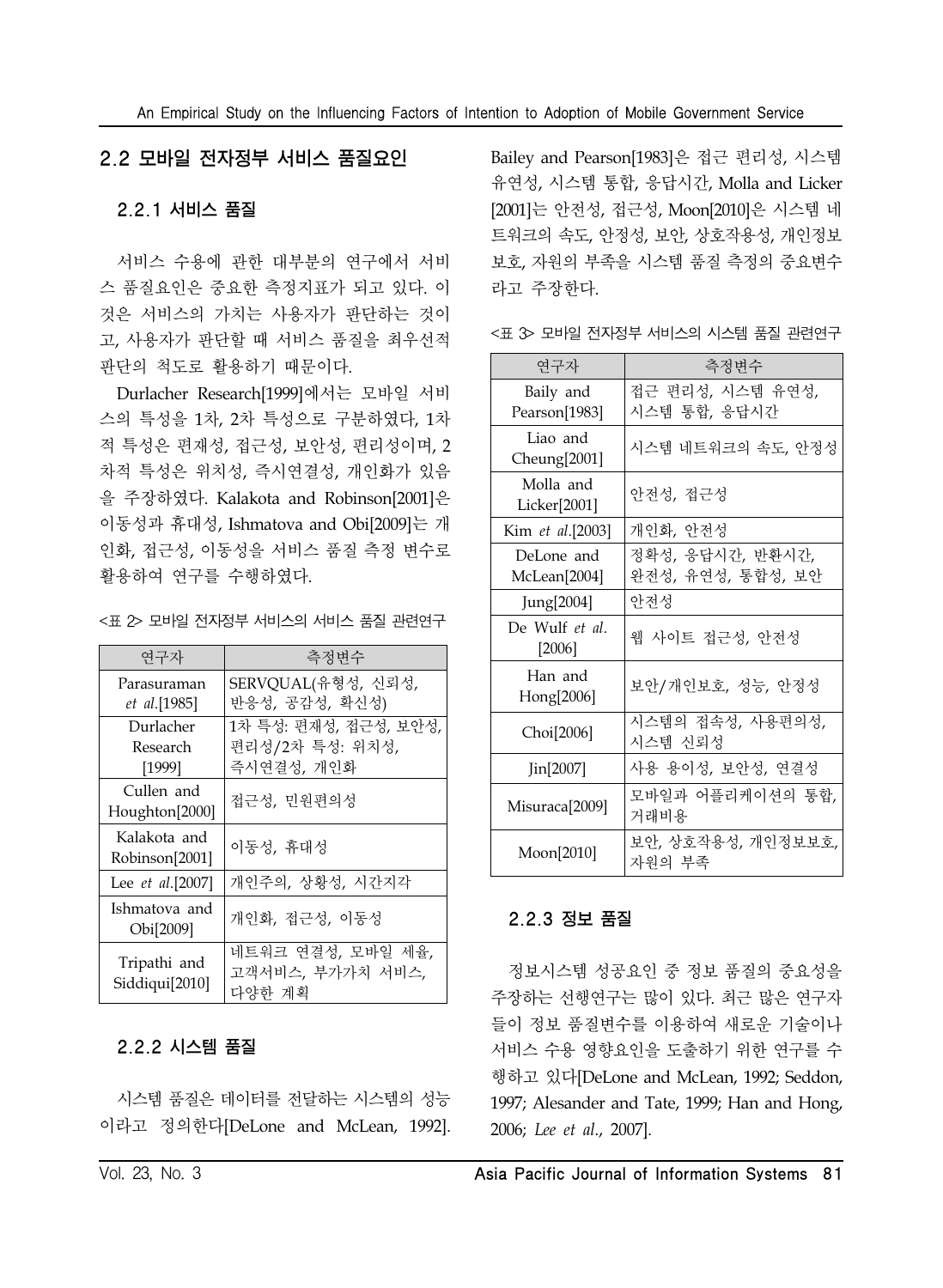### 2.2 모바일 전자정부 서비스 품질요인

### 2.2.1 서비스 품질

서비스 수용에 관한 대부분의 연구에서 서비 스 품질요인은 중요한 측정지표가 되고 있다. 이 것은 서비스의 가치는 사용자가 판단하는 것이 고, 사용자가 판단할 때 서비스 품질을 최우선적 판단의 척도로 활용하기 때문이다.

Durlacher Research[1999]에서는 모바일 서비 스의 특성을 1차, 2차 특성으로 구분하였다, 1차 적 특성은 편재성, 접근성, 보안성, 편리성이며, 2 차적 특성은 위치성, 즉시연결성, 개인화가 있음 을 주장하였다. Kalakota and Robinson[2001]은 이동성과 휴대성, Ishmatova and Obi[2009]는 개 인화, 접근성, 이동성을 서비스 품질 측정 변수로 활용하여 연구를 수행하였다.

<표 2> 모바일 전자정부 서비스의 서비스 품질 관련연구

| 연구자              | 측정변수                  |  |  |  |  |
|------------------|-----------------------|--|--|--|--|
| Parasuraman      | SERVQUAL(유형성, 신뢰성,    |  |  |  |  |
| et al.[1985]     | 반응성, 공감성, 확신성)        |  |  |  |  |
| Durlacher        | 1차 특성: 편재성, 접근성, 보안성, |  |  |  |  |
| Research         | 편리성/2차 특성: 위치성,       |  |  |  |  |
| [1999]           | 즉시연결성, 개인화            |  |  |  |  |
| Cullen and       | 접근성, 민원편의성            |  |  |  |  |
| Houghton[2000]   |                       |  |  |  |  |
| Kalakota and     | 이동성, 휴대성              |  |  |  |  |
| Robinson[2001]   |                       |  |  |  |  |
| Lee et al.[2007] | 개인주의, 상황성, 시간지각       |  |  |  |  |
| Ishmatova and    | 개인화, 접근성, 이동성         |  |  |  |  |
| Obi[2009]        |                       |  |  |  |  |
|                  | 네트워크 연결성, 모바일 세율,     |  |  |  |  |
| Tripathi and     | 고객서비스, 부가가치 서비스,      |  |  |  |  |
| Siddiqui[2010]   | 다양한 계획                |  |  |  |  |

### 2.2.2 시스템 품질

시스템 품질은 데이터를 전달하는 시스템의 성능 이라고 정의한다[DeLone and McLean, 1992].

Bailey and Pearson[1983]은 접근 편리성, 시스템 유연성, 시스템 통합, 응답시간, Molla and Licker [2001]는 안전성, 접근성, Moon[2010]은 시스템 네 트워크의 속도, 안정성, 보안, 상호작용성, 개인정보 보호, 자원의 부족을 시스템 품질 측정의 중요변수 라고 주장한다.

<표 3> 모바일 전자정부 서비스의 시스템 품질 관련연구

| 연구자                        | 측정변수                                  |
|----------------------------|---------------------------------------|
| Baily and<br>Pearson[1983] | 접근 편리성, 시스템 유연성,<br>시스템 통합, 응답시간      |
| Liao and<br>Cheung[2001]   | 시스템 네트워크의 속도, 안정성                     |
| Molla and<br>Licker[2001]  | 안전성, 접근성                              |
| Kim et al.[2003]           | 개인화, 안전성                              |
| DeLone and<br>McLean[2004] | 정확성, 응답시간, 반환시간,<br>완전성, 유연성, 통합성, 보안 |
| Jung[2004]                 | 아저성                                   |
| De Wulf et al.<br>$[2006]$ | 웹 사이트 접근성, 안전성                        |
| Han and<br>Hong[2006]      | 보안/개인보호, 성능, 안정성                      |
| Choi[2006]                 | 시스템의 접속성, 사용편의성,<br>시스템 신뢰성           |
| Jin[2007]                  | 사용 용이성, 보안성, 연결성                      |
| Misuraca <sup>[2009]</sup> | 모바일과 어플리케이션의 통합,<br>거래비용              |
| Moon[2010]                 | 보안, 상호작용성, 개인정보보호,<br>자원의 부족          |

### 2.2.3 정보 품질

정보시스템 성공요인 중 정보 품질의 중요성을 주장하는 선행연구는 많이 있다. 최근 많은 연구자 들이 정보 품질변수를 이용하여 새로운 기술이나 서비스 수용 영향요인을 도출하기 위한 연구를 수 행하고 있다[DeLone and McLean, 1992; Seddon, 1997; Alesander and Tate, 1999; Han and Hong, 2006; *Lee et al*., 2007].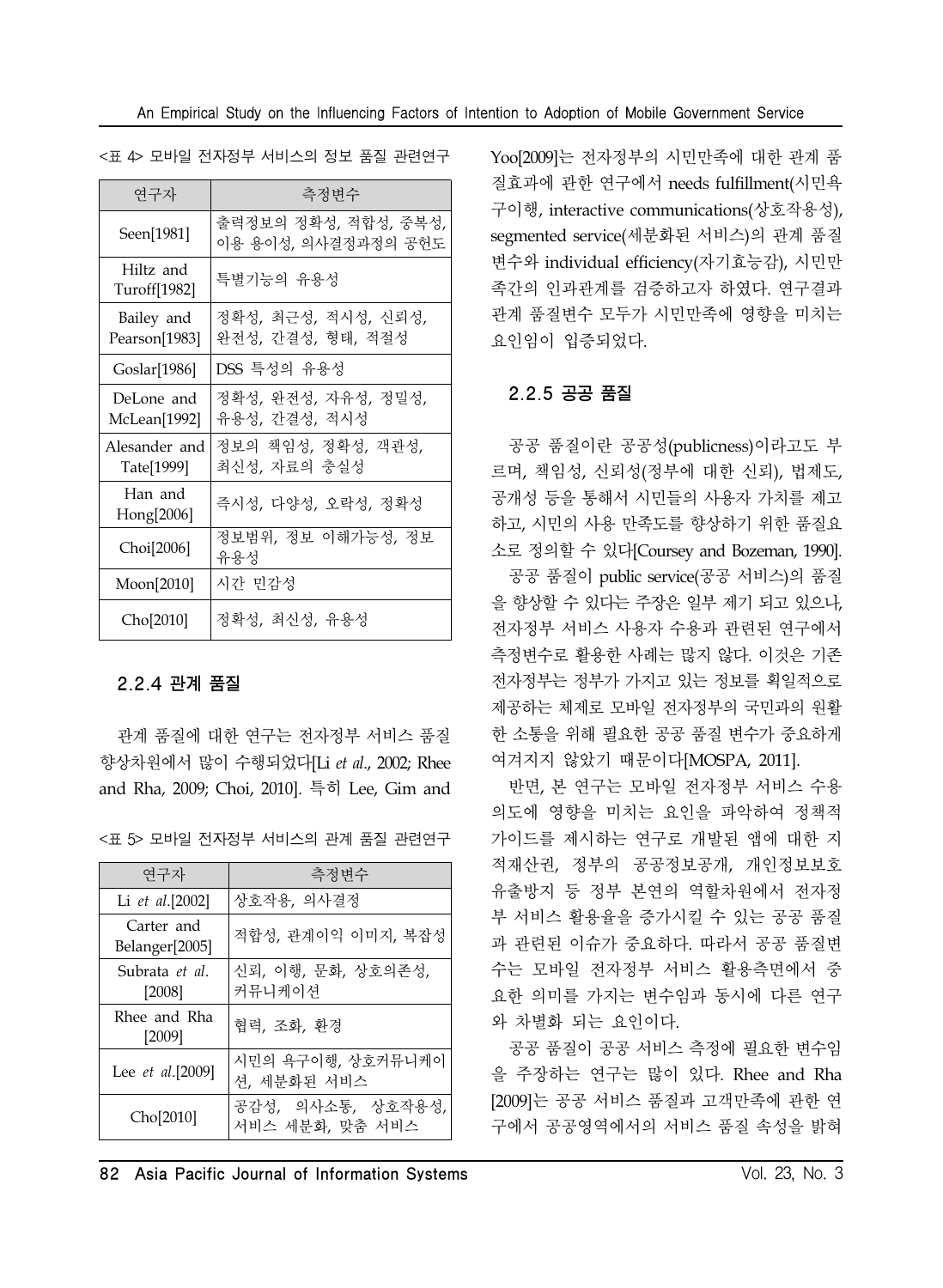| <표 4> 모바일 전자정부 서비스의 정보 품질 관련연구 |  |  |  |
|--------------------------------|--|--|--|
|                                |  |  |  |

| 연구자                         | 측정변수                                        |
|-----------------------------|---------------------------------------------|
| Seen[1981]                  | 출력정보의 정확성, 적합성, 중복성,<br>이용 용이성, 의사결정과정의 공헌도 |
| Hiltz and<br>Turoff[1982]   | 특별기능의 유용성                                   |
| Bailey and<br>Pearson[1983] | 정확성, 최근성, 적시성, 신뢰성,<br>완전성, 간결성, 형태, 적절성    |
| Goslar[1986]                | DSS 특성의 유용성                                 |
| DeLone and<br>McLean[1992]  | 정확성, 완전성, 자유성, 정밀성,<br>유용성, 간결성, 적시성        |
| Alesander and<br>Tate[1999] | 정보의 책임성, 정확성, 객관성,<br>최신성, 자료의 충실성          |
| Han and<br>Hong[2006]       | 즉시성, 다양성, 오락성, 정확성                          |
| Choi[2006]                  | 정보범위, 정보 이해가능성, 정보<br>유용성                   |
| Moon [2010]                 | 시간 민감성                                      |
| Cho[2010]                   | 정확성, 최신성, 유용성                               |

#### 2.2.4 관계 품질

관계 품질에 대한 연구는 전자정부 서비스 품질 향상차원에서 많이 수행되었다[Li *et al*., 2002; Rhee and Rha, 2009; Choi, 2010]. 특히 Lee, Gim and

<표 5> 모바일 전자정부 서비스의 관계 품질 관련연구

| 연구자                          | 측정변수                                 |  |  |  |  |
|------------------------------|--------------------------------------|--|--|--|--|
| Li et al.[2002]              | 상호작용, 의사결정                           |  |  |  |  |
| Carter and<br>Belanger[2005] | 적합성, 관계이익 이미지, 복잡성                   |  |  |  |  |
| Subrata et al.<br>$[2008]$   | 신뢰, 이행, 문화, 상호의존성,<br>커뮤니케이셔         |  |  |  |  |
| Rhee and Rha<br>$[2009]$     | 협력, 조화, 화경                           |  |  |  |  |
| Lee et al.[2009]             | 시민의 욕구이행, 상호커뮤니케이<br>션, 세분화된 서비스     |  |  |  |  |
| Cho[2010]                    | 공감성, 의사소통, 상호작용성,<br>서비스 세분화, 맞춤 서비스 |  |  |  |  |

Yoo[2009]는 전자정부의 시민만족에 대한 관계 품 질효과에 관한 연구에서 needs fulfillment(시민욕 구이행, interactive communications(상호작용성), segmented service(세분화된 서비스)의 관계 품질 변수와 individual efficiency(자기효능감), 시민만 족간의 인과관계를 검증하고자 하였다. 연구결과 관계 품질변수 모두가 시민만족에 영향을 미치는 요인임이 입증되었다.

### 2.2.5 공공 품질

공공 품질이란 공공성(publicness)이라고도 부 르며, 책임성, 신뢰성(정부에 대한 신뢰), 법제도, 공개성 등을 통해서 시민들의 사용자 가치를 제고 하고, 시민의 사용 만족도를 향상하기 위한 품질요 소로 정의할 수 있다[Coursey and Bozeman, 1990]. 공공 품질이 public service(공공 서비스)의 품질 을 향상할 수 있다는 주장은 일부 제기 되고 있으나, 전자정부 서비스 사용자 수용과 관련된 연구에서 측정변수로 활용한 사례는 많지 않다. 이것은 기존 전자정부는 정부가 가지고 있는 정보를 획일적으로 제공하는 체제로 모바일 전자정부의 국민과의 원활 한 소통을 위해 필요한 공공 품질 변수가 중요하게 여겨지지 않았기 때문이다[MOSPA, 2011].

반면, 본 연구는 모바일 전자정부 서비스 수용 의도에 영향을 미치는 요인을 파악하여 정책적 가이드를 제시하는 연구로 개발된 앱에 대한 지 적재산권, 정부의 공공정보공개, 개인정보보호 유출방지 등 정부 본연의 역할차원에서 전자정 부 서비스 활용율을 증가시킬 수 있는 공공 품질 과 관련된 이슈가 중요하다. 따라서 공공 품질변 수는 모바일 전자정부 서비스 활용측면에서 중 요한 의미를 가지는 변수임과 동시에 다른 연구 와 차별화 되는 요인이다.

공공 품질이 공공 서비스 측정에 필요한 변수임 을 주장하는 연구는 많이 있다. Rhee and Rha [2009]는 공공 서비스 품질과 고객만족에 관한 연 구에서 공공영역에서의 서비스 품질 속성을 밝혀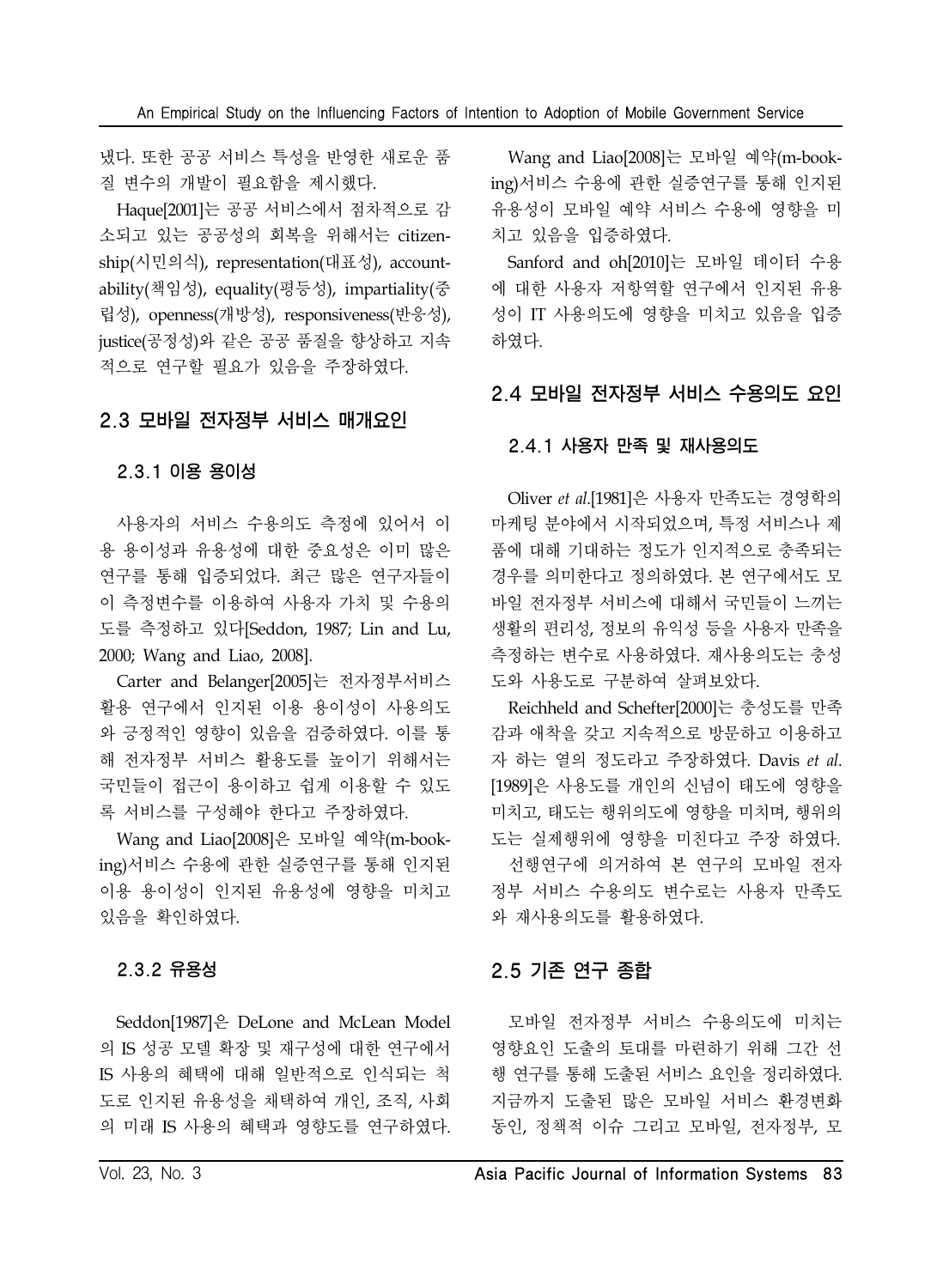냈다. 또한 공공 서비스 특성을 반영한 새로운 품 질 변수의 개발이 필요함을 제시했다.

Haque[2001]는 공공 서비스에서 점차적으로 감 소되고 있는 공공성의 회복을 위해서는 citizenship(시민의식), representation(대표성), accountability(책임성), equality(평등성), impartiality(중 립성), openness(개방성), responsiveness(반응성), justice(공정성)와 같은 공공 품질을 향상하고 지속 적으로 연구할 필요가 있음을 주장하였다.

### 2.3 모바일 전자정부 서비스 매개요인

#### 2.3.1 이용 용이성

사용자의 서비스 수용의도 측정에 있어서 이 용 용이성과 유용성에 대한 중요성은 이미 많은 연구를 통해 입증되었다. 최근 많은 연구자들이 이 측정변수를 이용하여 사용자 가치 및 수용의 도를 측정하고 있다[Seddon, 1987; Lin and Lu, 2000; Wang and Liao, 2008].

Carter and Belanger[2005]는 전자정부서비스 활용 연구에서 인지된 이용 용이성이 사용의도 와 긍정적인 영향이 있음을 검증하였다. 이를 통 해 전자정부 서비스 활용도를 높이기 위해서는 국민들이 접근이 용이하고 쉽게 이용할 수 있도 록 서비스를 구성해야 한다고 주장하였다.

Wang and Liao[2008]은 모바일 예약(m-booking)서비스 수용에 관한 실증연구를 통해 인지된 이용 용이성이 인지된 유용성에 영향을 미치고 있음을 확인하였다.

### 2.3.2 유용성

Seddon[1987]은 DeLone and McLean Model 의 IS 성공 모델 확장 및 재구성에 대한 연구에서 IS 사용의 혜택에 대해 일반적으로 인식되는 척 도로 인지된 유용성을 채택하여 개인, 조직, 사회 의 미래 IS 사용의 혜택과 영향도를 연구하였다.

Wang and Liao[2008]는 모바일 예약(m-booking)서비스 수용에 관한 실증연구를 통해 인지된 유용성이 모바일 예약 서비스 수용에 영향을 미 치고 있음을 입증하였다.

Sanford and oh[2010]는 모바일 데이터 수용 에 대한 사용자 저항역할 연구에서 인지된 유용 성이 IT 사용의도에 영향을 미치고 있음을 입증 하였다.

### 2.4 모바일 전자정부 서비스 수용의도 요인

#### 2.4.1 사용자 만족 및 재사용의도

Oliver *et al*.[1981]은 사용자 만족도는 경영학의 마케팅 분야에서 시작되었으며, 특정 서비스나 제 품에 대해 기대하는 정도가 인지적으로 충족되는 경우를 의미한다고 정의하였다. 본 연구에서도 모 바일 전자정부 서비스에 대해서 국민들이 느끼는 생활의 편리성, 정보의 유익성 등을 사용자 만족을 측정하는 변수로 사용하였다. 재사용의도는 충성 도와 사용도로 구분하여 살펴보았다.

Reichheld and Schefter[2000]는 충성도를 만족 감과 애착을 갖고 지속적으로 방문하고 이용하고 자 하는 열의 정도라고 주장하였다. Davis *et al*. [1989]은 사용도를 개인의 신념이 태도에 영향을 미치고, 태도는 행위의도에 영향을 미치며, 행위의 도는 실제행위에 영향을 미친다고 주장 하였다.

선행연구에 의거하여 본 연구의 모바일 전자 정부 서비스 수용의도 변수로는 사용자 만족도 와 재사용의도를 활용하였다.

### 2.5 기존 연구 종합

모바일 전자정부 서비스 수용의도에 미치는 영향요인 도출의 토대를 마련하기 위해 그간 선 행 연구를 통해 도출된 서비스 요인을 정리하였다. 지금까지 도출된 많은 모바일 서비스 환경변화 동인, 정책적 이슈 그리고 모바일, 전자정부, 모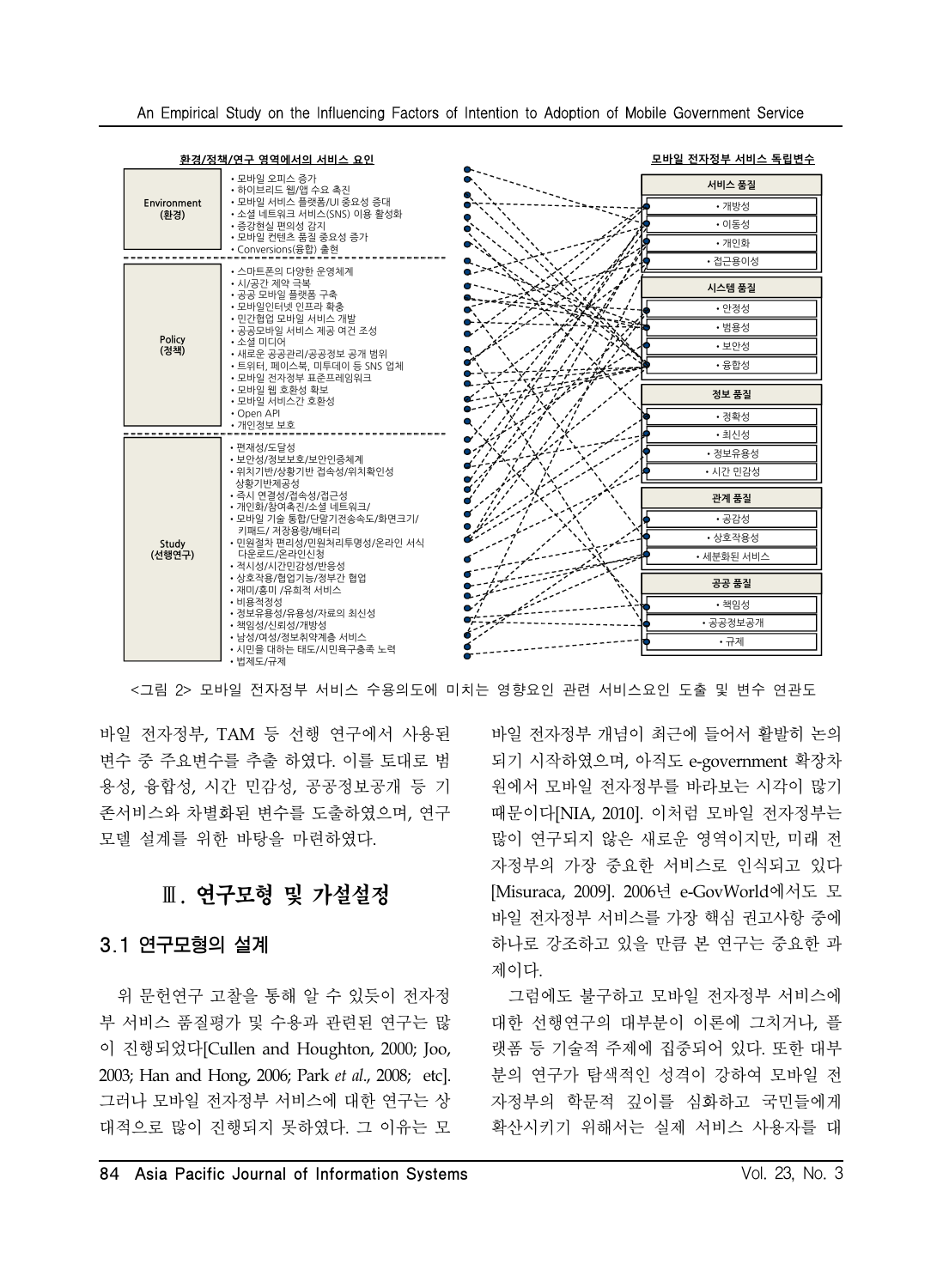| An Empirical Study on the Influencing Factors of Intention to Adoption of Mobile Government Service |  |  |  |  |  |  |  |  |  |  |  |  |
|-----------------------------------------------------------------------------------------------------|--|--|--|--|--|--|--|--|--|--|--|--|
|-----------------------------------------------------------------------------------------------------|--|--|--|--|--|--|--|--|--|--|--|--|

|                     | 환경/정책/연구 영역에서의 서비스 요인                                                                                                                                                                                      | 모바일 전자정부 서비스 독립변수                                   |
|---------------------|------------------------------------------------------------------------------------------------------------------------------------------------------------------------------------------------------------|-----------------------------------------------------|
| Environment<br>(화경) | • 모바일 오피스 증가<br>• 하이브리드 웹/앱 수요 촉진<br>• 모바일 서비스 플랫폼/UI 중요성 증대<br>• 소셜 네트워크 서비스(SNS) 이용 활성화<br>• 증강현실 편의성 감지<br>• 모바일 컨텐츠 품질 중요성 증가<br>• Conversions(융합) 출현                                                  | 서비스 품질<br>• 개방성<br>• 이동성<br>• 개인화                   |
|                     | • 스마트폰의 다양한 운영체계                                                                                                                                                                                           | • 접근용이성                                             |
| Policy<br>(정책)      | • 시/공가 제약 극복<br>• 공공 모바일 플랫폼 구축<br>• 모바일인터넷 인프라 확충<br>• 민가협업 모바일 서비스 개발<br>• 공공모바일 서비스 제공 여거 조성<br>• 소셜 미디어<br>• 새로운 공공관리/공공정보 공개 범위<br>• 트위터, 페이스북, 미투데이 등 SNS 업체<br>• 모바일 전자정부 표준프레임워크<br>• 모바일 웬 호환성 확보 | 시스템 품질<br>• 안정성<br>• 범용성<br>• 보안성<br>• 융합성<br>정보 품질 |
|                     | • 모바일 서비스간 호환성<br>• Open API<br>• 개인정보 보호                                                                                                                                                                  | • 정확성<br>• 최신성                                      |
|                     | • 편재성/도달성                                                                                                                                                                                                  |                                                     |
|                     | • 보안성/정보보호/보안인증체계<br>• 위치기반/상황기반 접속성/위치확인성<br>상황기반제공성                                                                                                                                                      | • 정보유용성<br>• 시간 민감성                                 |
|                     | • 즉시 연결성/접속성/접근성                                                                                                                                                                                           | 관계 품질                                               |
|                     | • 개인화/참여촉진/소셜 네트워크/<br>• 모바일 기술 통합/단말기전송속도/화면크기/                                                                                                                                                           | • 공감성                                               |
|                     | 키패드/ 저장용량/배터리<br>• 민원절차 편리성/민원처리투명성/온라인 서식                                                                                                                                                                 | • 상호작용성                                             |
| Study<br>(선행연구)     | 다운로드/온라인신청<br>• 적시성/시간민감성/반응성                                                                                                                                                                              | • 세분화된 서비스                                          |
|                     | • 상호작용/협업기능/정부간 협업<br>• 재미/흥미 /유희적 서비스                                                                                                                                                                     | 공공 품질                                               |
|                     | • 비용적정성                                                                                                                                                                                                    | • 책임성                                               |
|                     | • 정보유용성/유용성/자료의 최신성<br>• 책임성/신뢰성/개방성                                                                                                                                                                       | • 공공정보공개                                            |
|                     | • 남성/여성/정보취약계층 서비스                                                                                                                                                                                         | • 규제                                                |
|                     | • 시민을 대하는 태도/시민욕구충족 노력<br>• 법제도/규제                                                                                                                                                                         |                                                     |

<그림 2> 모바일 전자정부 서비스 수용의도에 미치는 영향요인 관련 서비스요인 도출 및 변수 연관도

바일 전자정부, TAM 등 선행 연구에서 사용된 변수 중 주요변수를 추출 하였다. 이를 토대로 범 용성, 융합성, 시간 민감성, 공공정보공개 등 기 존서비스와 차별화된 변수를 도출하였으며, 연구 모델 설계를 위한 바탕을 마련하였다.

# Ⅲ. 연구모형 및 가설설정

### 3.1 연구모형의 설계

위 문헌연구 고찰을 통해 알 수 있듯이 전자정 부 서비스 품질평가 및 수용과 관련된 연구는 많 이 진행되었다[Cullen and Houghton, 2000; Joo, 2003; Han and Hong, 2006; Park *et al*., 2008; etc]. 그러나 모바일 전자정부 서비스에 대한 연구는 상 대적으로 많이 진행되지 못하였다. 그 이유는 모

바일 전자정부 개념이 최근에 들어서 활발히 논의 되기 시작하였으며, 아직도 e-government 확장차 원에서 모바일 전자정부를 바라보는 시각이 많기 때문이다[NIA, 2010]. 이처럼 모바일 전자정부는 많이 연구되지 않은 새로운 영역이지만, 미래 전 자정부의 가장 중요한 서비스로 인식되고 있다 [Misuraca, 2009]. 2006년 e-GovWorld에서도 모 바일 전자정부 서비스를 가장 핵심 권고사항 중에 하나로 강조하고 있을 만큼 본 연구는 중요한 과 제이다.

그럼에도 불구하고 모바일 전자정부 서비스에 대한 선행연구의 대부분이 이론에 그치거나, 플 랫폼 등 기술적 주제에 집중되어 있다. 또한 대부 분의 연구가 탐색적인 성격이 강하여 모바일 전 자정부의 학문적 깊이를 심화하고 국민들에게 확산시키기 위해서는 실제 서비스 사용자를 대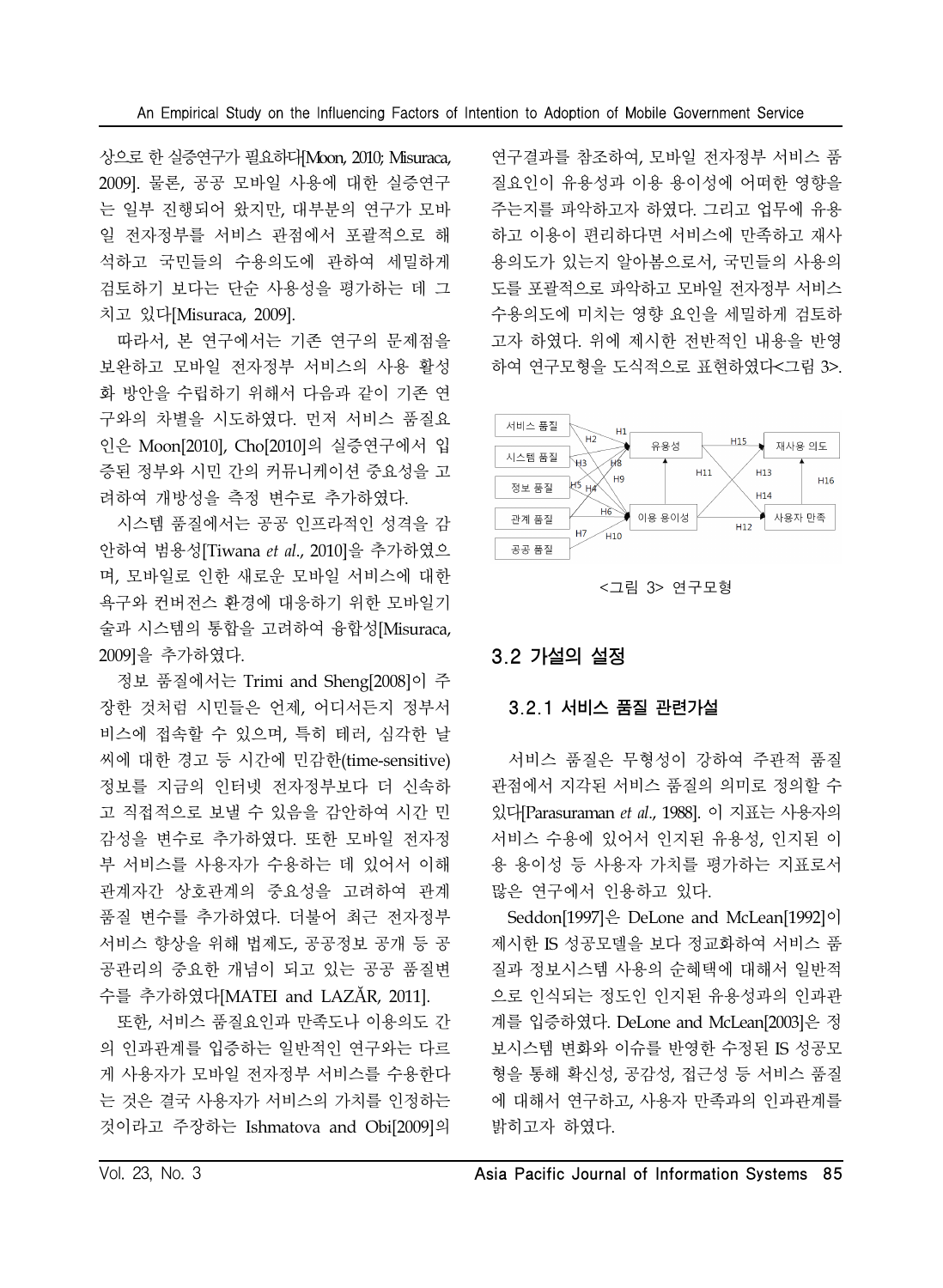상으로 한 실증연구가 필요하다[Moon, 2010; Misuraca, 2009]. 물론, 공공 모바일 사용에 대한 실증연구 는 일부 진행되어 왔지만, 대부분의 연구가 모바 일 전자정부를 서비스 관점에서 포괄적으로 해 석하고 국민들의 수용의도에 관하여 세밀하게 검토하기 보다는 단순 사용성을 평가하는 데 그 치고 있다[Misuraca, 2009].

따라서, 본 연구에서는 기존 연구의 문제점을 보완하고 모바일 전자정부 서비스의 사용 활성 화 방안을 수립하기 위해서 다음과 같이 기존 연 구와의 차별을 시도하였다. 먼저 서비스 품질요 인은 Moon[2010], Cho[2010]의 실증연구에서 입 증된 정부와 시민 간의 커뮤니케이션 중요성을 고 려하여 개방성을 측정 변수로 추가하였다.

시스템 품질에서는 공공 인프라적인 성격을 감 안하여 범용성[Tiwana *et al*., 2010]을 추가하였으 며, 모바일로 인한 새로운 모바일 서비스에 대한 욕구와 컨버전스 환경에 대응하기 위한 모바일기 술과 시스템의 통합을 고려하여 융합성[Misuraca, 2009]을 추가하였다.

정보 품질에서는 Trimi and Sheng[2008]이 주 장한 것처럼 시민들은 언제, 어디서든지 정부서 비스에 접속할 수 있으며, 특히 테러, 심각한 날 씨에 대한 경고 등 시간에 민감한(time-sensitive) 정보를 지금의 인터넷 전자정부보다 더 신속하 고 직접적으로 보낼 수 있음을 감안하여 시간 민 감성을 변수로 추가하였다. 또한 모바일 전자정 부 서비스를 사용자가 수용하는 데 있어서 이해 관계자간 상호관계의 중요성을 고려하여 관계 품질 변수를 추가하였다. 더불어 최근 전자정부 서비스 향상을 위해 법제도, 공공정보 공개 등 공 공관리의 중요한 개념이 되고 있는 공공 품질변 수를 추가하였다[MATEI and LAZĂR, 2011].

또한, 서비스 품질요인과 만족도나 이용의도 간 의 인과관계를 입증하는 일반적인 연구와는 다르 게 사용자가 모바일 전자정부 서비스를 수용한다 는 것은 결국 사용자가 서비스의 가치를 인정하는 것이라고 주장하는 Ishmatova and Obi[2009]의

연구결과를 참조하여, 모바일 전자정부 서비스 품 질요인이 유용성과 이용 용이성에 어떠한 영향을 주는지를 파악하고자 하였다. 그리고 업무에 유용 하고 이용이 편리하다면 서비스에 만족하고 재사 용의도가 있는지 알아봄으로서, 국민들의 사용의 도를 포괄적으로 파악하고 모바일 전자정부 서비스 수용의도에 미치는 영향 요인을 세밀하게 검토하 고자 하였다. 위에 제시한 전반적인 내용을 반영 하여 연구모형을 도식적으로 표현하였다<그림 3>.



<그림 3> 연구모형

# 3.2 가설의 설정

### 3.2.1 서비스 품질 관련가설

서비스 품질은 무형성이 강하여 주관적 품질 관점에서 지각된 서비스 품질의 의미로 정의할 수 있다[Parasuraman *et al*., 1988]. 이 지표는 사용자의 서비스 수용에 있어서 인지된 유용성, 인지된 이 용 용이성 등 사용자 가치를 평가하는 지표로서 많은 연구에서 인용하고 있다.

Seddon[1997]은 DeLone and McLean[1992]이 제시한 IS 성공모델을 보다 정교화하여 서비스 품 질과 정보시스템 사용의 순혜택에 대해서 일반적 으로 인식되는 정도인 인지된 유용성과의 인과관 계를 입증하였다. DeLone and McLean[2003]은 정 보시스템 변화와 이슈를 반영한 수정된 IS 성공모 형을 통해 확신성, 공감성, 접근성 등 서비스 품질 에 대해서 연구하고, 사용자 만족과의 인과관계를 밝히고자 하였다.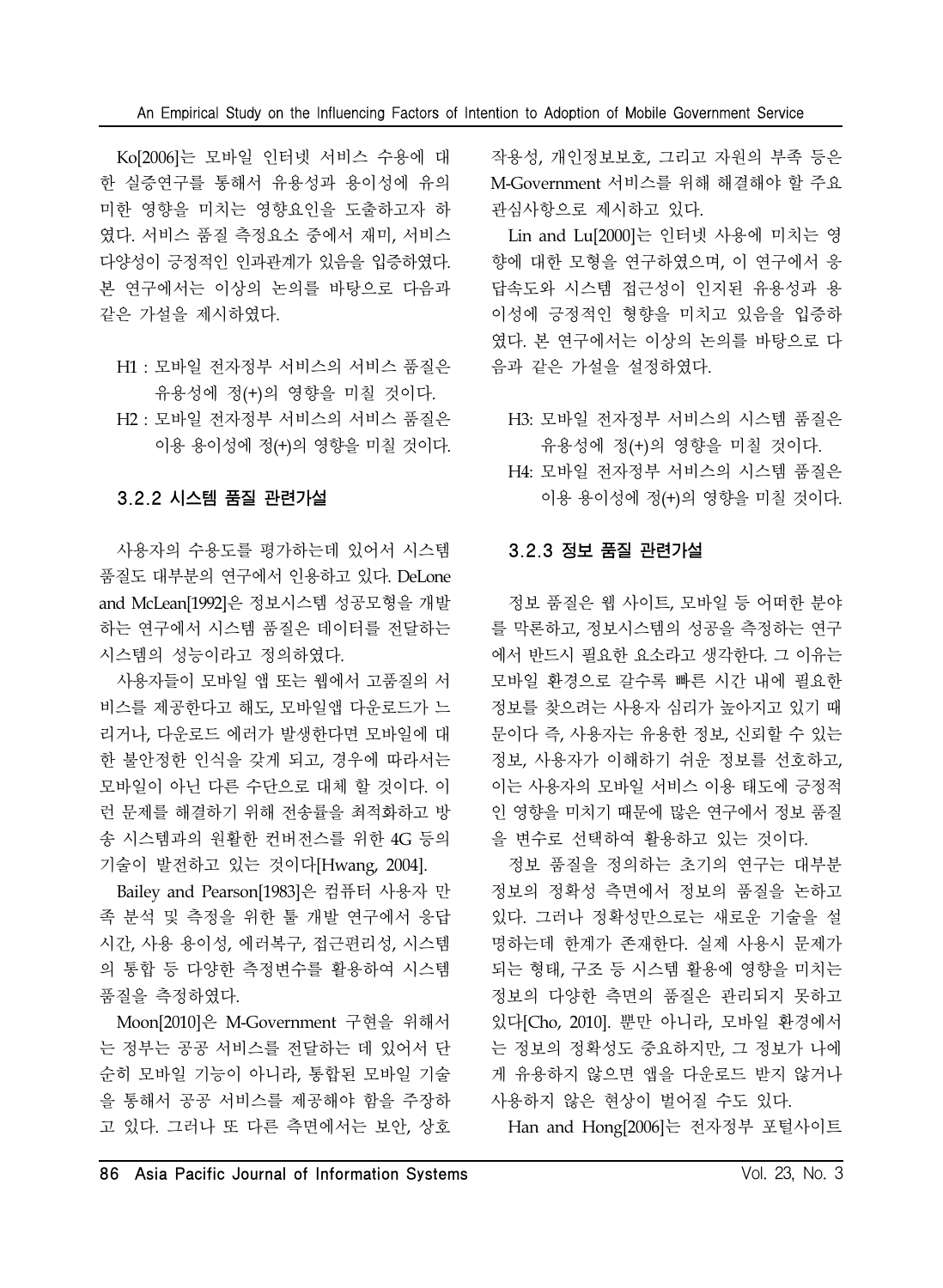Ko[2006]는 모바일 인터넷 서비스 수용에 대 한 실증연구를 통해서 유용성과 용이성에 유의 미한 영향을 미치는 영향요인을 도출하고자 하 였다. 서비스 품질 측정요소 중에서 재미, 서비스 다양성이 긍정적인 인과관계가 있음을 입증하였다. 본 연구에서는 이상의 논의를 바탕으로 다음과 같은 가설을 제시하였다.

- H1 : 모바일 전자정부 서비스의 서비스 품질은 유용성에 정(+)의 영향을 미칠 것이다.
- H2 : 모바일 전자정부 서비스의 서비스 품질은 이용 용이성에 정(+)의 영향을 미칠 것이다.

### 3.2.2 시스템 품질 관련가설

사용자의 수용도를 평가하는데 있어서 시스템 품질도 대부분의 연구에서 인용하고 있다. DeLone and McLean[1992]은 정보시스템 성공모형을 개발 하는 연구에서 시스템 품질은 데이터를 전달하는 시스템의 성능이라고 정의하였다.

사용자들이 모바일 앱 또는 웹에서 고품질의 서 비스를 제공한다고 해도, 모바일앱 다운로드가 느 리거나, 다운로드 에러가 발생한다면 모바일에 대 한 불안정한 인식을 갖게 되고, 경우에 따라서는 모바일이 아닌 다른 수단으로 대체 할 것이다. 이 런 문제를 해결하기 위해 전송률을 최적화하고 방 송 시스템과의 원활한 컨버전스를 위한 4G 등의 기술이 발전하고 있는 것이다[Hwang, 2004].

Bailey and Pearson[1983]은 컴퓨터 사용자 만 족 분석 및 측정을 위한 툴 개발 연구에서 응답 시간, 사용 용이성, 에러복구, 접근편리성, 시스템 의 통합 등 다양한 측정변수를 활용하여 시스템 품질을 측정하였다.

Moon[2010]은 M-Government 구현을 위해서 는 정부는 공공 서비스를 전달하는 데 있어서 단 순히 모바일 기능이 아니라, 통합된 모바일 기술 을 통해서 공공 서비스를 제공해야 함을 주장하 고 있다. 그러나 또 다른 측면에서는 보안, 상호

작용성, 개인정보보호, 그리고 자원의 부족 등은 M-Government 서비스를 위해 해결해야 할 주요 관심사항으로 제시하고 있다.

Lin and Lu[2000]는 인터넷 사용에 미치는 영 향에 대한 모형을 연구하였으며, 이 연구에서 응 답속도와 시스템 접근성이 인지된 유용성과 용 이성에 긍정적인 형향을 미치고 있음을 입증하 였다. 본 연구에서는 이상의 논의를 바탕으로 다 음과 같은 가설을 설정하였다.

- H3: 모바일 전자정부 서비스의 시스템 품질은 유용성에 정(+)의 영향을 미칠 것이다.
- H4: 모바일 전자정부 서비스의 시스템 품질은 이용 용이성에 정(+)의 영향을 미칠 것이다.

### 3.2.3 정보 품질 관련가설

정보 품질은 웹 사이트, 모바일 등 어떠한 분야 를 막론하고, 정보시스템의 성공을 측정하는 연구 에서 반드시 필요한 요소라고 생각한다. 그 이유는 모바일 환경으로 갈수록 빠른 시간 내에 필요한 정보를 찾으려는 사용자 심리가 높아지고 있기 때 문이다 즉, 사용자는 유용한 정보, 신뢰할 수 있는 정보, 사용자가 이해하기 쉬운 정보를 선호하고, 이는 사용자의 모바일 서비스 이용 태도에 긍정적 인 영향을 미치기 때문에 많은 연구에서 정보 품질 을 변수로 선택하여 활용하고 있는 것이다.

정보 품질을 정의하는 초기의 연구는 대부분 정보의 정확성 측면에서 정보의 품질을 논하고 있다. 그러나 정확성만으로는 새로운 기술을 설 명하는데 한계가 존재한다. 실제 사용시 문제가 되는 형태, 구조 등 시스템 활용에 영향을 미치는 정보의 다양한 측면의 품질은 관리되지 못하고 있다[Cho, 2010]. 뿐만 아니라, 모바일 환경에서 는 정보의 정확성도 중요하지만, 그 정보가 나에 게 유용하지 않으면 앱을 다운로드 받지 않거나 사용하지 않은 현상이 벌어질 수도 있다.

Han and Hong[2006]는 전자정부 포털사이트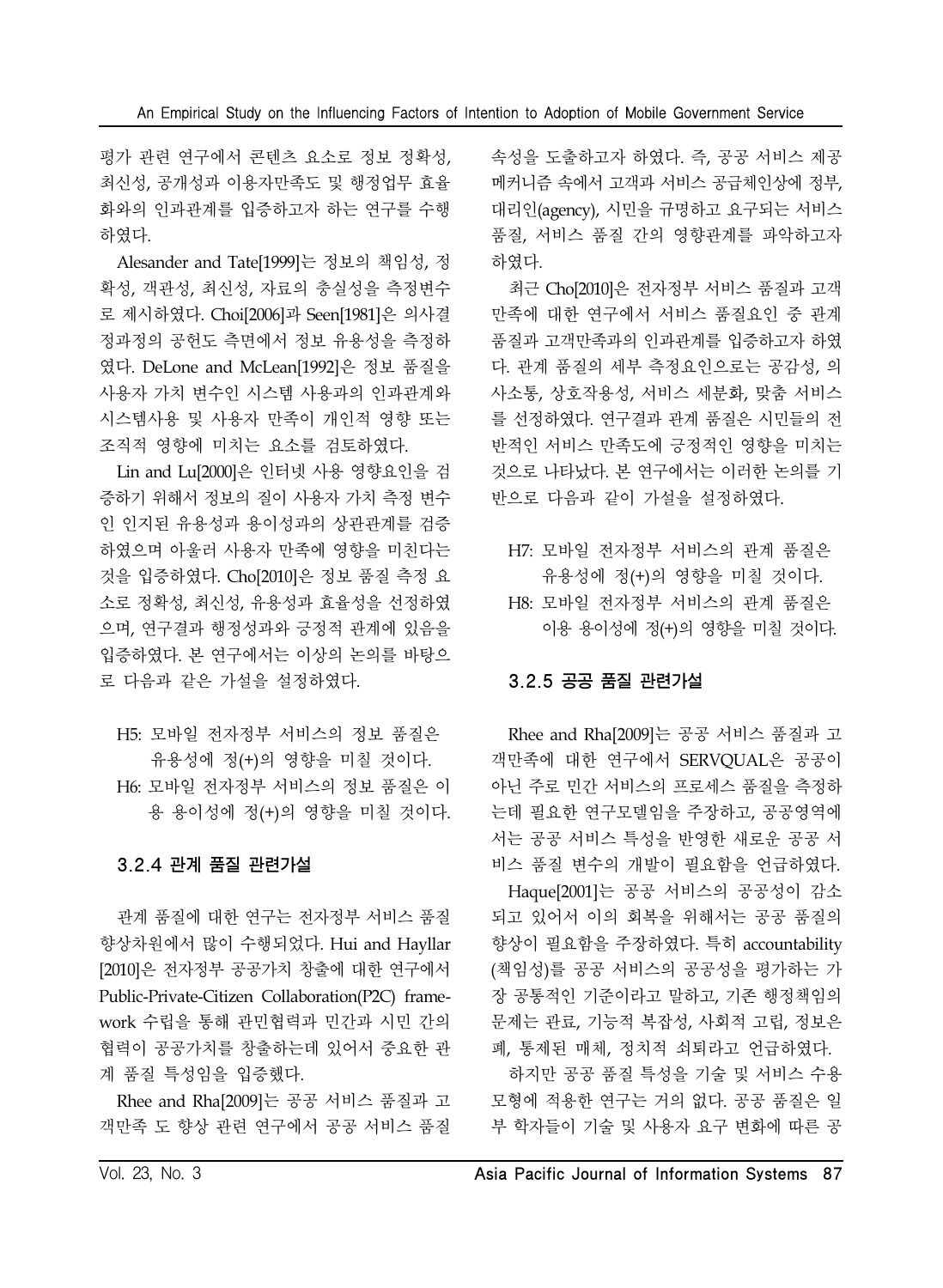평가 관련 연구에서 콘텐츠 요소로 정보 정확성, 최신성, 공개성과 이용자만족도 및 행정업무 효율 화와의 인과관계를 입증하고자 하는 연구를 수행 하였다.

Alesander and Tate[1999]는 정보의 책임성, 정 확성, 객관성, 최신성, 자료의 충실성을 측정변수 로 제시하였다. Choi[2006]과 Seen[1981]은 의사결 정과정의 공헌도 측면에서 정보 유용성을 측정하 였다. DeLone and McLean[1992]은 정보 품질을 사용자 가치 변수인 시스템 사용과의 인과관계와 시스템사용 및 사용자 만족이 개인적 영향 또는 조직적 영향에 미치는 요소를 검토하였다.

Lin and Lu[2000]은 인터넷 사용 영향요인을 검 증하기 위해서 정보의 질이 사용자 가치 측정 변수 인 인지된 유용성과 용이성과의 상관관계를 검증 하였으며 아울러 사용자 만족에 영향을 미친다는 것을 입증하였다. Cho[2010]은 정보 품질 측정 요 소로 정확성, 최신성, 유용성과 효율성을 선정하였 으며, 연구결과 행정성과와 긍정적 관계에 있음을 입증하였다. 본 연구에서는 이상의 논의를 바탕으 로 다음과 같은 가설을 설정하였다.

H5: 모바일 전자정부 서비스의 정보 품질은 유용성에 정(+)의 영향을 미칠 것이다. H6: 모바일 전자정부 서비스의 정보 품질은 이 용 용이성에 정(+)의 영향을 미칠 것이다.

### 3.2.4 관계 품질 관련가설

관계 품질에 대한 연구는 전자정부 서비스 품질 향상차원에서 많이 수행되었다. Hui and Hayllar [2010]은 전자정부 공공가치 창출에 대한 연구에서 Public-Private-Citizen Collaboration(P2C) framework 수립을 통해 관민협력과 민간과 시민 간의 협력이 공공가치를 창출하는데 있어서 중요한 관 계 품질 특성임을 입증했다.

Rhee and Rha[2009]는 공공 서비스 품질과 고 객만족 도 향상 관련 연구에서 공공 서비스 품질 속성을 도출하고자 하였다. 즉, 공공 서비스 제공 메커니즘 속에서 고객과 서비스 공급체인상에 정부, 대리인(agency), 시민을 규명하고 요구되는 서비스 품질, 서비스 품질 간의 영향관계를 파악하고자 하였다.

최근 Cho[2010]은 전자정부 서비스 품질과 고객 만족에 대한 연구에서 서비스 품질요인 중 관계 품질과 고객만족과의 인과관계를 입증하고자 하였 다. 관계 품질의 세부 측정요인으로는 공감성, 의 사소통, 상호작용성, 서비스 세분화, 맞춤 서비스 를 선정하였다. 연구결과 관계 품질은 시민들의 전 반적인 서비스 만족도에 긍정적인 영향을 미치는 것으로 나타났다. 본 연구에서는 이러한 논의를 기 반으로 다음과 같이 가설을 설정하였다.

- H7: 모바일 전자정부 서비스의 관계 품질은 유용성에 정(+)의 영향을 미칠 것이다.
- H8: 모바일 전자정부 서비스의 관계 품질은 이용 용이성에 정(+)의 영향을 미칠 것이다.

### 3.2.5 공공 품질 관련가설

Rhee and Rha[2009]는 공공 서비스 품질과 고 객만족에 대한 연구에서 SERVQUAL은 공공이 아닌 주로 민간 서비스의 프로세스 품질을 측정하 는데 필요한 연구모델임을 주장하고, 공공영역에 서는 공공 서비스 특성을 반영한 새로운 공공 서 비스 품질 변수의 개발이 필요함을 언급하였다.

Haque[2001]는 공공 서비스의 공공성이 감소 되고 있어서 이의 회복을 위해서는 공공 품질의 향상이 필요함을 주장하였다. 특히 accountability (책임성)를 공공 서비스의 공공성을 평가하는 가 장 공통적인 기준이라고 말하고, 기존 행정책임의 문제는 관료, 기능적 복잡성, 사회적 고립, 정보은 폐, 통제된 매체, 정치적 쇠퇴라고 언급하였다.

하지만 공공 품질 특성을 기술 및 서비스 수용 모형에 적용한 연구는 거의 없다. 공공 품질은 일 부 학자들이 기술 및 사용자 요구 변화에 따른 공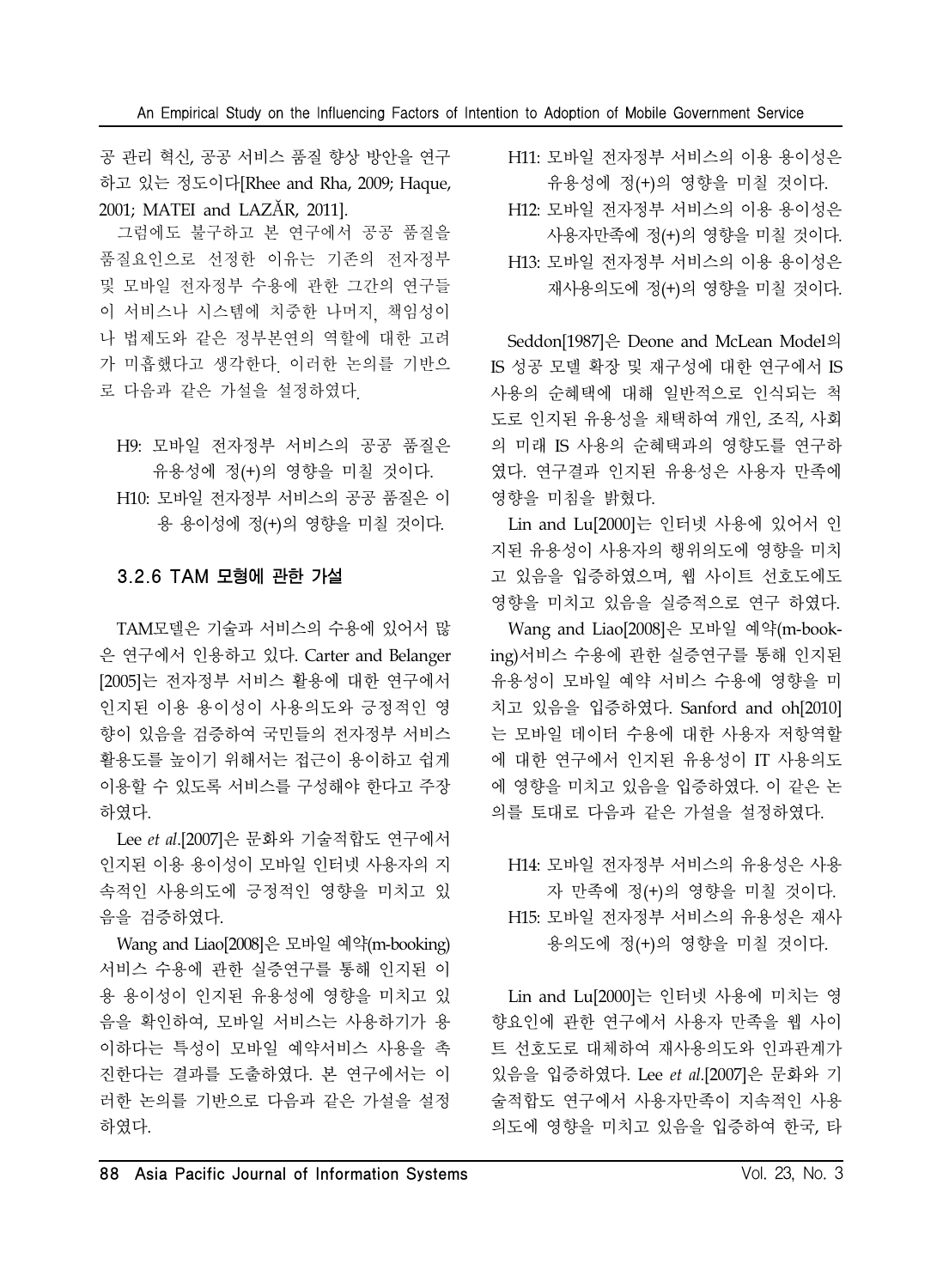공 관리 혁신, 공공 서비스 품질 향상 방안을 연구 하고 있는 정도이다[Rhee and Rha, 2009; Haque, 2001; MATEI and LAZĂR, 2011].

그럼에도 불구하고 본 연구에서 공공 품질을 품질요인으로 선정한 이유는 기존의 전자정부 및 모바일 전자정부 수용에 관한 그간의 연구들 이 서비스나 시스템에 치중한 나머지, 책임성이 나 법제도와 같은 정부본연의 역할에 대한 고려 가 미흡했다고 생각한다. 이러한 논의를 기반으 로 다음과 같은 가설을 설정하였다.

H9: 모바일 전자정부 서비스의 공공 품질은 유용성에 정(+)의 영향을 미칠 것이다. H10: 모바일 전자정부 서비스의 공공 품질은 이 용 용이성에 정(+)의 영향을 미칠 것이다.

### 3.2.6 TAM 모형에 관한 가설

TAM모델은 기술과 서비스의 수용에 있어서 많 은 연구에서 인용하고 있다. Carter and Belanger [2005]는 전자정부 서비스 활용에 대한 연구에서 인지된 이용 용이성이 사용의도와 긍정적인 영 향이 있음을 검증하여 국민들의 전자정부 서비스 활용도를 높이기 위해서는 접근이 용이하고 쉽게 이용할 수 있도록 서비스를 구성해야 한다고 주장 하였다.

Lee *et al*.[2007]은 문화와 기술적합도 연구에서 인지된 이용 용이성이 모바일 인터넷 사용자의 지 속적인 사용의도에 긍정적인 영향을 미치고 있 음을 검증하였다.

Wang and Liao[2008]은 모바일 예약(m-booking) 서비스 수용에 관한 실증연구를 통해 인지된 이 용 용이성이 인지된 유용성에 영향을 미치고 있 음을 확인하여, 모바일 서비스는 사용하기가 용 이하다는 특성이 모바일 예약서비스 사용을 촉 진한다는 결과를 도출하였다. 본 연구에서는 이 러한 논의를 기반으로 다음과 같은 가설을 설정 하였다.

H11: 모바일 전자정부 서비스의 이용 용이성은 유용성에 정(+)의 영향을 미칠 것이다.

- H12: 모바일 전자정부 서비스의 이용 용이성은
- 사용자만족에 정(+)의 영향을 미칠 것이다.
- H13: 모바일 전자정부 서비스의 이용 용이성은
	- 재사용의도에 정(+)의 영향을 미칠 것이다.

Seddon[1987]은 Deone and McLean Model의 IS 성공 모델 확장 및 재구성에 대한 연구에서 IS 사용의 순혜택에 대해 일반적으로 인식되는 척 도로 인지된 유용성을 채택하여 개인, 조직, 사회 의 미래 IS 사용의 순혜택과의 영향도를 연구하 였다. 연구결과 인지된 유용성은 사용자 만족에 영향을 미침을 밝혔다.

Lin and Lu[2000]는 인터넷 사용에 있어서 인 지된 유용성이 사용자의 행위의도에 영향을 미치 고 있음을 입증하였으며, 웹 사이트 선호도에도 영향을 미치고 있음을 실증적으로 연구 하였다.

Wang and Liao[2008]은 모바일 예약(m-booking)서비스 수용에 관한 실증연구를 통해 인지된 유용성이 모바일 예약 서비스 수용에 영향을 미 치고 있음을 입증하였다. Sanford and oh[2010] 는 모바일 데이터 수용에 대한 사용자 저항역할 에 대한 연구에서 인지된 유용성이 IT 사용의도 에 영향을 미치고 있음을 입증하였다. 이 같은 논 의를 토대로 다음과 같은 가설을 설정하였다.

H14: 모바일 전자정부 서비스의 유용성은 사용 자 만족에 정(+)의 영향을 미칠 것이다. H15: 모바일 전자정부 서비스의 유용성은 재사 용의도에 정(+)의 영향을 미칠 것이다.

Lin and Lu[2000]는 인터넷 사용에 미치는 영 향요인에 관한 연구에서 사용자 만족을 웹 사이 트 선호도로 대체하여 재사용의도와 인과관계가 있음을 입증하였다. Lee *et al*.[2007]은 문화와 기 술적합도 연구에서 사용자만족이 지속적인 사용 의도에 영향을 미치고 있음을 입증하여 한국, 타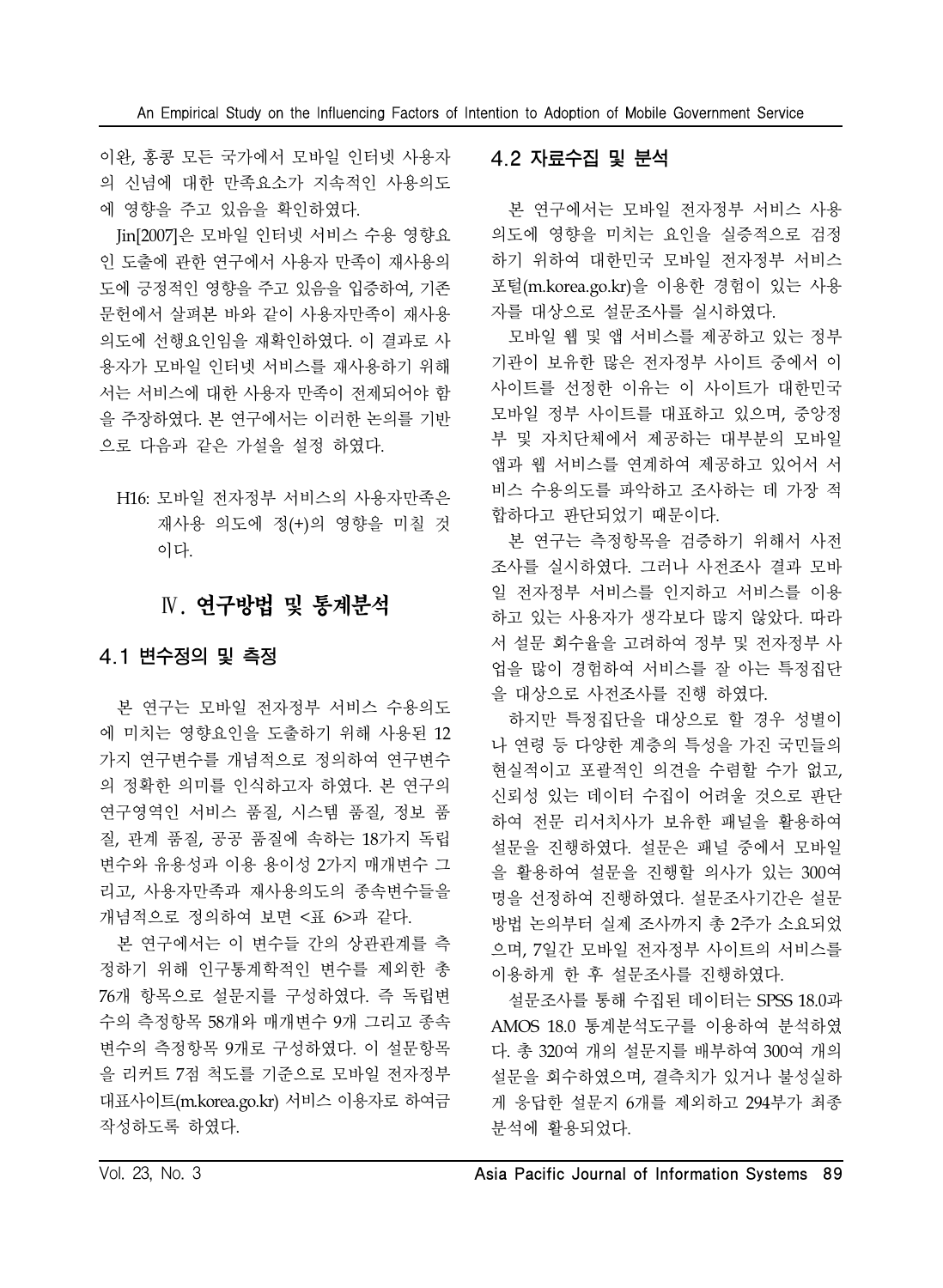이완, 홍콩 모든 국가에서 모바일 인터넷 사용자 의 신념에 대한 만족요소가 지속적인 사용의도 에 영향을 주고 있음을 확인하였다.

Jin[2007]은 모바일 인터넷 서비스 수용 영향요 인 도출에 관한 연구에서 사용자 만족이 재사용의 도에 긍정적인 영향을 주고 있음을 입증하여, 기존 문헌에서 살펴본 바와 같이 사용자만족이 재사용 의도에 선행요인임을 재확인하였다. 이 결과로 사 용자가 모바일 인터넷 서비스를 재사용하기 위해 서는 서비스에 대한 사용자 만족이 전제되어야 함 을 주장하였다. 본 연구에서는 이러한 논의를 기반 으로 다음과 같은 가설을 설정 하였다.

H16: 모바일 전자정부 서비스의 사용자만족은 재사용 의도에 정(+)의 영향을 미칠 것 이다.

# Ⅳ. 연구방법 및 통계분석

### 4.1 변수정의 및 측정

본 연구는 모바일 전자정부 서비스 수용의도 에 미치는 영향요인을 도출하기 위해 사용된 12 가지 연구변수를 개념적으로 정의하여 연구변수 의 정확한 의미를 인식하고자 하였다. 본 연구의 연구영역인 서비스 품질, 시스템 품질, 정보 품 질, 관계 품질, 공공 품질에 속하는 18가지 독립 변수와 유용성과 이용 용이성 2가지 매개변수 그 리고, 사용자만족과 재사용의도의 종속변수들을 개념적으로 정의하여 보면 <표 6>과 같다.

본 연구에서는 이 변수들 간의 상관관계를 측 정하기 위해 인구통계학적인 변수를 제외한 총 76개 항목으로 설문지를 구성하였다. 즉 독립변 수의 측정항목 58개와 매개변수 9개 그리고 종속 변수의 측정항목 9개로 구성하였다. 이 설문항목 을 리커트 7점 척도를 기준으로 모바일 전자정부 대표사이트(m.korea.go.kr) 서비스 이용자로 하여금 작성하도록 하였다.

### 4.2 자료수집 및 분석

본 연구에서는 모바일 전자정부 서비스 사용 의도에 영향을 미치는 요인을 실증적으로 검정 하기 위하여 대한민국 모바일 전자정부 서비스 포털(m.korea.go.kr)을 이용한 경험이 있는 사용 자를 대상으로 설문조사를 실시하였다.

모바일 웹 및 앱 서비스를 제공하고 있는 정부 기관이 보유한 많은 전자정부 사이트 중에서 이 사이트를 선정한 이유는 이 사이트가 대한민국 모바일 정부 사이트를 대표하고 있으며, 중앙정 부 및 자치단체에서 제공하는 대부분의 모바일 앱과 웹 서비스를 연계하여 제공하고 있어서 서 비스 수용의도를 파악하고 조사하는 데 가장 적 합하다고 판단되었기 때문이다.

본 연구는 측정항목을 검증하기 위해서 사전 조사를 실시하였다. 그러나 사전조사 결과 모바 일 전자정부 서비스를 인지하고 서비스를 이용 하고 있는 사용자가 생각보다 많지 않았다. 따라 서 설문 회수율을 고려하여 정부 및 전자정부 사 업을 많이 경험하여 서비스를 잘 아는 특정집단 을 대상으로 사전조사를 진행 하였다.

하지만 특정집단을 대상으로 할 경우 성별이 나 연령 등 다양한 계층의 특성을 가진 국민들의 현실적이고 포괄적인 의견을 수렴할 수가 없고, 신뢰성 있는 데이터 수집이 어려울 것으로 판단 하여 전문 리서치사가 보유한 패널을 활용하여 설문을 진행하였다. 설문은 패널 중에서 모바일 을 활용하여 설문을 진행할 의사가 있는 300여 명을 선정하여 진행하였다. 설문조사기간은 설문 방법 논의부터 실제 조사까지 총 2주가 소요되었 으며, 7일간 모바일 전자정부 사이트의 서비스를 이용하게 한 후 설문조사를 진행하였다.

설문조사를 통해 수집된 데이터는 SPSS 18.0과 AMOS 18.0 통계분석도구를 이용하여 분석하였 다. 총 320여 개의 설문지를 배부하여 300여 개의 설문을 회수하였으며, 결측치가 있거나 불성실하 게 응답한 설문지 6개를 제외하고 294부가 최종 분석에 활용되었다.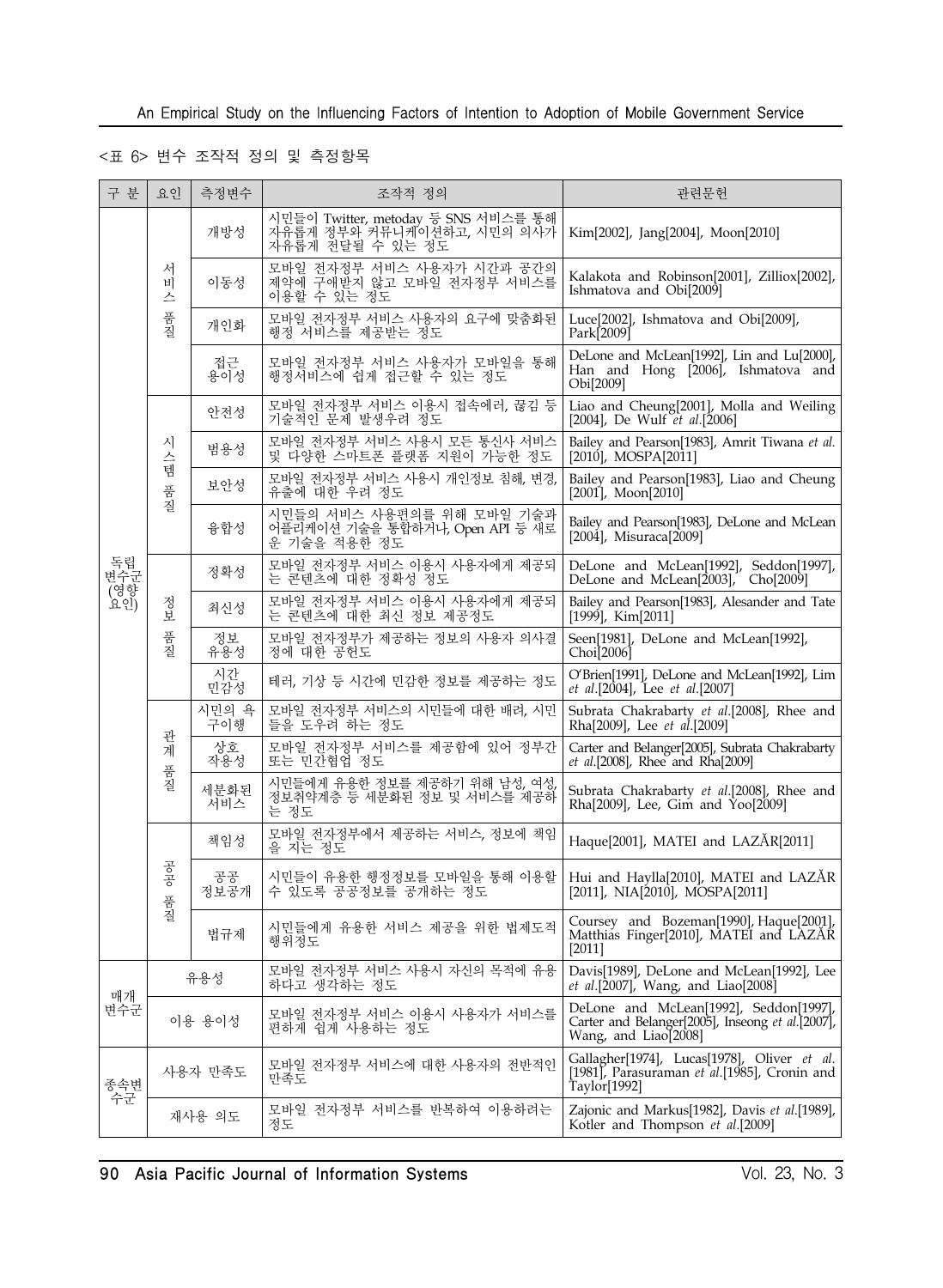### <표 6> 변수 조작적 정의 및 측정항목

| 구 분                     | 요인          | 측정변수         | 조작적 정의                                                                                | 관련문헌                                                                                                               |
|-------------------------|-------------|--------------|---------------------------------------------------------------------------------------|--------------------------------------------------------------------------------------------------------------------|
|                         |             | 개방성          | 시민들이 Twitter, metoday 등 SNS 서비스를 통해<br>자유롭게 정부와 커뮤니케이션하고, 시민의 의사가<br>자유롭게 전달될 수 있는 정도 | Kim[2002], Jang[2004], Moon[2010]                                                                                  |
|                         | 서<br>비<br>스 | 이동성          | 모바일 전자정부 서비스 사용자가 시간과 공간의<br>제약에 구애받지 않고 모바일 전자정부 서비스를<br>이용할 수 있는 정도                 | Kalakota and Robinson[2001], Zilliox[2002],<br>Ishmatova and Obi[2009]                                             |
|                         | 품질          | 개인화          |                                                                                       | Luce[2002], Ishmatova and Obi[2009],<br>Park[2009]                                                                 |
|                         |             | 접근<br>용이성    | 모바일 전자정부 서비스 사용자가 모바일을 통해<br>행정서비스에 쉽게 접근할 수 있는 정도                                    | DeLone and McLean[1992], Lin and Lu[2000],<br>Han and Hong [2006], Ishmatova and<br>Obi[2009]                      |
|                         |             | 안전성          | 모바일 전자정부 서비스 이용시 접속에러, 끊김 등<br>기술적인 문제 발생우려 정도                                        | Liao and Cheung[2001], Molla and Weiling<br>[2004], De Wulf et al.[2006]                                           |
|                         | 시<br>스<br>템 | 범용성          | 모바일 전자정부 서비스 사용시 모든 통신사 서비스<br>및 다양한 스마트폰 플랫폼 지원이 가능한 정도                              | Bailey and Pearson[1983], Amrit Tiwana et al.<br>$[2010]$ , MOSPA $[2011]$                                         |
|                         | 품질          | 보안성          | 모바일 전자정부 서비스 사용시 개인정보 침해, 변경,<br>유출에 대한 우려 정도                                         | Bailey and Pearson[1983], Liao and Cheung<br>[2001], Moon[2010]                                                    |
|                         |             | 융합성          | 시민들의 서비스 사용편의를 위해 모바일 기술과<br>어플리케이션 기술을 통합하거나 Open API 등 새로<br>운 기술을 적용한 정도           | Bailey and Pearson[1983], DeLone and McLean<br>[2004], Misuraca[2009]                                              |
| 독립<br>변수군<br>요인)<br>요인) |             | 정확성          | 모바일 전자정부 서비스 이용시 사용자에게 제공되<br>는 콘텐츠에 대한 정확성 정도                                        | DeLone and McLean[1992], Seddon[1997],<br>DeLone and McLean[2003], Cho[2009]                                       |
|                         | 정보          | 최신성          | 모바일 전자정부 서비스 이용시 사용자에게 제공되<br>는 콘텐츠에 대한 최신 정보 제공정도                                    | Bailey and Pearson[1983], Alesander and Tate<br>$[1999]$ , Kim $[2011]$                                            |
|                         | 품질          | 정보<br>유용성    | 모바일 전자정부가 제공하는 정보의 사용자 의사결<br>정에 대한 공헌도                                               | Seen[1981], DeLone and McLean[1992],<br>Choi[2006]                                                                 |
|                         |             | 시간<br>민감성    | 테러, 기상 등 시간에 민감한 정보를 제공하는 정도                                                          | O'Brien[1991], DeLone and McLean[1992], Lim<br>et al.[2004], Lee et al.[2007]                                      |
|                         |             | 시민의 욕<br>구이행 | 모바일 전자정부 서비스의 시민들에 대한 배려, 시민<br>들을 도우려 하는 정도                                          | Subrata Chakrabarty et al.[2008], Rhee and<br>Rha[2009], Lee et al.[2009]                                          |
|                         | 관<br>계      | 상호<br>작용성    | 모바일 전자정부 서비스를 제공함에 있어 정부간<br>또는 민간협업 정도                                               | Carter and Belanger[2005], Subrata Chakrabarty<br>et al.[2008], Rhee and Rha[2009]                                 |
|                         | 품질          | 세분화된<br>서비스  | 시민들에게 유용한 정보를 제공하기 위해 남성, 여성,<br>정보취약계층 등 세분화된 정보 및 서비스를 제공하<br>는 정도                  | Subrata Chakrabarty et al.[2008], Rhee and<br>Rha[2009], Lee, Gim and Yoo[2009]                                    |
|                         |             | 책임성          | 모바일 전자정부에서 제공하는 서비스, 정보에 책임<br>을 지는 정도                                                | Haque[2001], MATEI and LAZÅR[2011]                                                                                 |
|                         | 공공<br>품질    | 공공<br>정보공개   | 시민들이 유용한 행정정보를 모바일을 통해 이용할<br>수 있도록 공공정보를 공개하는 정도                                     | Hui and Haylla[2010], MATEI and LAZĂR<br>$[2011]$ , NIA $[2010]$ , MOSPA $[2011]$                                  |
|                         |             | 법규제          | 시민들에게 유용한 서비스 제공을 위한 법제도적<br>행위정도                                                     | Coursey and Bozeman[1990], Haque[2001],<br>Matthias Finger[2010], MATEI and LAZAR<br>$[2011]$                      |
|                         |             | 유용성          | 모바일 전자정부 서비스 사용시 자신의 목적에 유용<br>하다고 생각하는 정도                                            | Davis[1989], DeLone and McLean[1992], Lee<br>et al.[2007], Wang, and Liao[2008]                                    |
| 매개<br>변수군               |             | 이용 용이성       | 모바일 전자정부 서비스 이용시 사용자가 서비스를<br>편하게 쉽게 사용하는 정도                                          | DeLone and McLean[1992], Seddon[1997],<br>Carter and Belanger[2005], Inseong et al.[2007],<br>Wang, and Liao[2008] |
| 종속변<br>수군               |             | 사용자 만족도      | 모바일 전자정부 서비스에 대한 사용자의 전반적인<br>만족도                                                     | Gallagher[1974], Lucas[1978], Oliver et al.<br>[1981], Parasuraman et al.[1985], Cronin and<br>Taylor[1992]        |
|                         |             | 재사용 의도       | 모바일 전자정부 서비스를 반복하여 이용하려는<br>정도                                                        | Zajonic and Markus[1982], Davis et al.[1989],<br>Kotler and Thompson et al.[2009]                                  |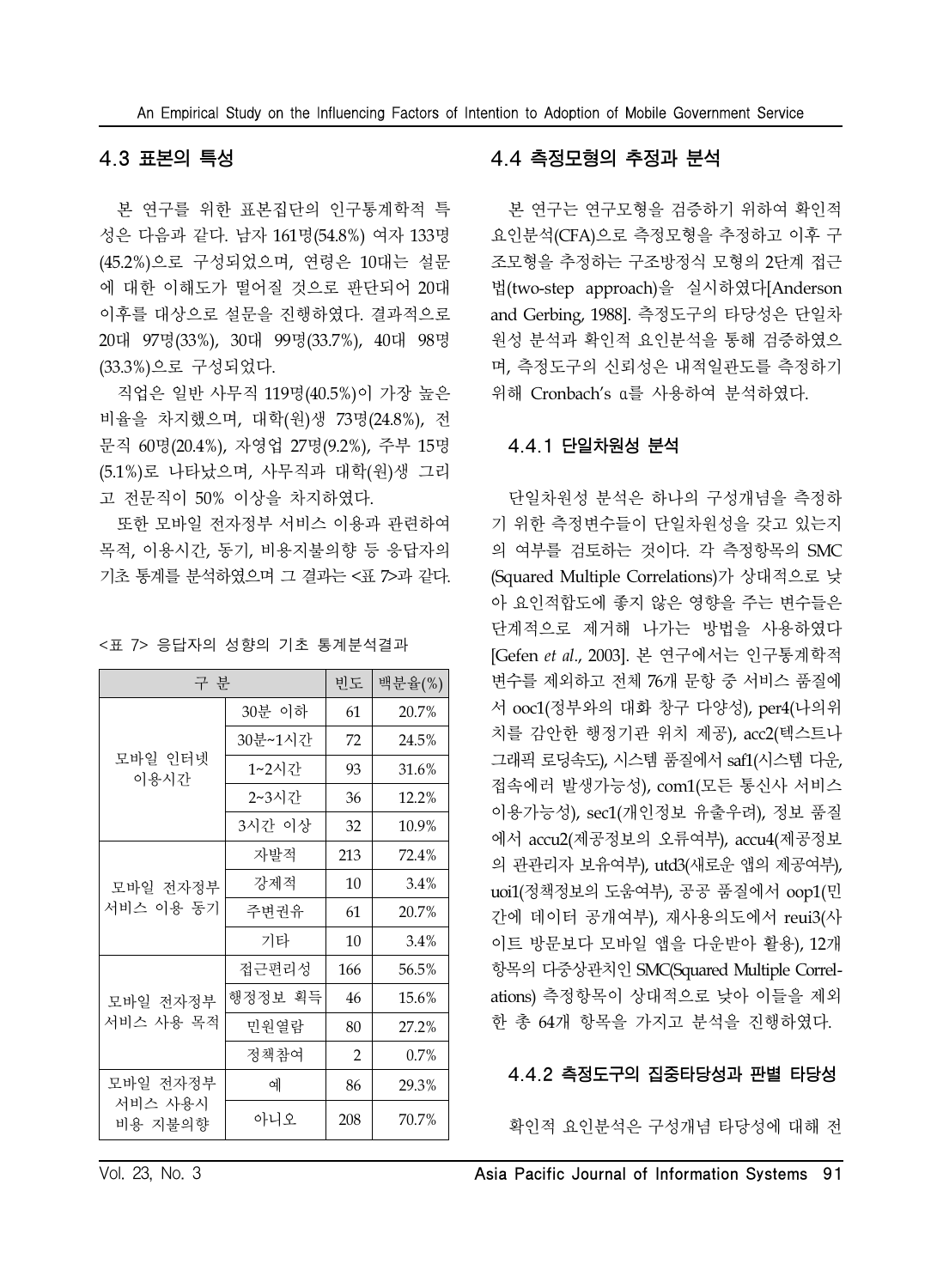### 4.3 표본의 특성

본 연구를 위한 표본집단의 인구통계학적 특 성은 다음과 같다. 남자 161명(54.8%) 여자 133명 (45.2%)으로 구성되었으며, 연령은 10대는 설문 에 대한 이해도가 떨어질 것으로 판단되어 20대 이후를 대상으로 설문을 진행하였다. 결과적으로 20대 97명(33%), 30대 99명(33.7%), 40대 98명 (33.3%)으로 구성되었다.

직업은 일반 사무직 119명(40.5%)이 가장 높은 비율을 차지했으며, 대학(원)생 73명(24.8%), 전 문직 60명(20.4%), 자영업 27명(9.2%), 주부 15명 (5.1%)로 나타났으며, 사무직과 대학(원)생 그리 고 전문직이 50% 이상을 차지하였다.

또한 모바일 전자정부 서비스 이용과 관련하여 목적, 이용시간, 동기, 비용지불의향 등 응답자의 기초 통계를 분석하였으며 그 결과는 <표 7>과 같다.

| 구 부                |         | 빈도             | 백분율(%) |
|--------------------|---------|----------------|--------|
|                    | 30분 이하  | 61             | 20.7%  |
|                    | 30분~1시간 | 72             | 24.5%  |
| 모바일 인터넷<br>이용시간    | 1~2시간   | 93             | 31.6%  |
|                    | 2~3시간   | 36             | 12.2%  |
|                    | 3시간 이상  | 32             | 10.9%  |
|                    | 자발적     | 213            | 72.4%  |
| 모바일 전자정부           | 강제적     | 10             | 3.4%   |
| 서비스 이용 동기          | 주변권유    | 61             | 20.7%  |
|                    | 기타      | 10             | 3.4%   |
|                    | 접근편리성   | 166            | 56.5%  |
| 모바일 전자정부           | 행정정보 획득 | 46             | 15.6%  |
| 서비스 사용 목적          | 민원열람    | 80             | 27.2%  |
|                    | 정책참여    | $\overline{2}$ | 0.7%   |
| 모바일 전자정부           | 예       | 86             | 29.3%  |
| 서비스 사용시<br>비용 지불의향 | 아니오     | 208            | 70.7%  |

| <표 7> 응답자의 성향의 기초 통계분석결과 |
|--------------------------|
|--------------------------|

#### 4.4 측정모형의 추정과 분석

본 연구는 연구모형을 검증하기 위하여 확인적 요인분석(CFA)으로 측정모형을 추정하고 이후 구 조모형을 추정하는 구조방정식 모형의 2단계 접근 법(two-step approach)을 실시하였다[Anderson and Gerbing, 1988]. 측정도구의 타당성은 단일차 원성 분석과 확인적 요인분석을 통해 검증하였으 며, 측정도구의 신뢰성은 내적일관도를 측정하기 위해 Cronbach's α를 사용하여 분석하였다.

#### 4.4.1 단일차원성 분석

단일차원성 분석은 하나의 구성개념을 측정하 기 위한 측정변수들이 단일차원성을 갖고 있는지 의 여부를 검토하는 것이다. 각 측정항목의 SMC (Squared Multiple Correlations)가 상대적으로 낮 아 요인적합도에 좋지 않은 영향을 주는 변수들은 단계적으로 제거해 나가는 방법을 사용하였다 [Gefen *et al*., 2003]. 본 연구에서는 인구통계학적 변수를 제외하고 전체 76개 문항 중 서비스 품질에 서 ooc1(정부와의 대화 창구 다양성), per4(나의위 치를 감안한 행정기관 위치 제공), acc2(텍스트나 그래픽 로딩속도), 시스템 품질에서 saf1(시스템 다운, 접속에러 발생가능성), com1(모든 통신사 서비스 이용가능성), sec1(개인정보 유출우려), 정보 품질 에서 accu2(제공정보의 오류여부), accu4(제공정보 의 관관리자 보유여부), utd3(새로운 앱의 제공여부), uoi1(정책정보의 도움여부), 공공 품질에서 oop1(민 간에 데이터 공개여부), 재사용의도에서 reui3(사 이트 방문보다 모바일 앱을 다운받아 활용), 12개 항목의 다중상관치인 SMC(Squared Multiple Correlations) 측정항목이 상대적으로 낮아 이들을 제외 한 총 64개 항목을 가지고 분석을 진행하였다.

#### 4.4.2 측정도구의 집중타당성과 판별 타당성

확인적 요인분석은 구성개념 타당성에 대해 전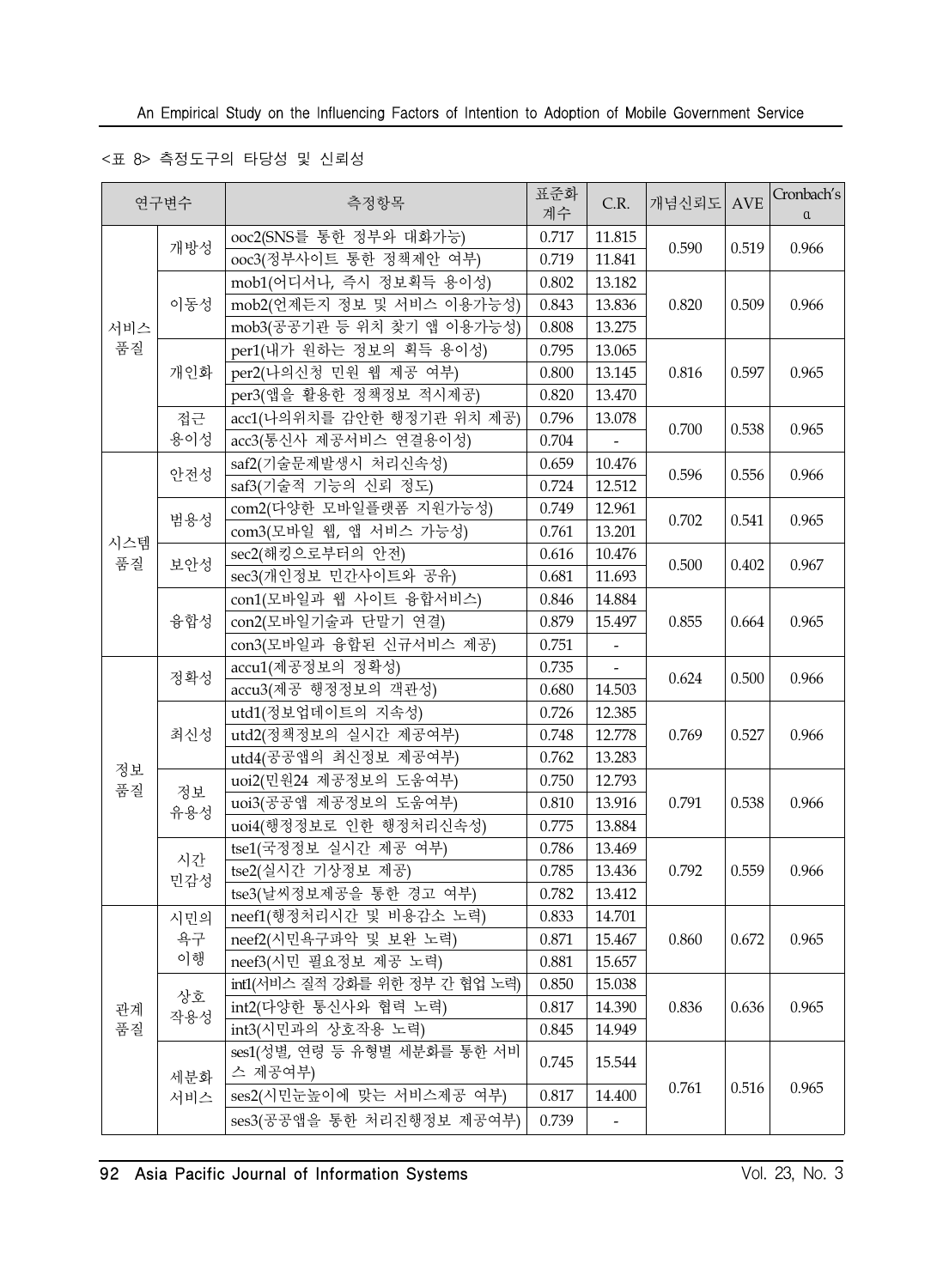### <표 8> 측정도구의 타당성 및 신뢰성

|           | 연구변수      | 측정항목                                    | 표준화<br>계수 | C.R.                     | 개념신뢰도 AVE |       | Cronbach's<br>$\alpha$ |
|-----------|-----------|-----------------------------------------|-----------|--------------------------|-----------|-------|------------------------|
|           | 개방성       | ooc2(SNS를 통한 정부와 대화가능)                  | 0.717     | 11.815                   | 0.590     | 0.519 | 0.966                  |
|           |           | ooc3(정부사이트 통한 정책제안 여부)                  | 0.719     | 11.841                   |           |       |                        |
|           |           | mob1(어디서나, 즉시 정보획득 용이성)                 | 0.802     | 13.182                   |           |       |                        |
|           | 이동성       | mob2(언제든지 정보 및 서비스 이용가능성)               | 0.843     | 13.836                   | 0.820     | 0.509 | 0.966                  |
| 서비스       |           | mob3(공공기관 등 위치 찾기 앱 이용가능성)              | 0.808     | 13.275                   |           |       |                        |
| 품질        |           | per1(내가 원하는 정보의 획득 용이성)                 | 0.795     | 13.065                   |           |       |                        |
|           | 개인화       | per2(나의신청 민원 웹 제공 여부)                   | 0.800     | 13.145                   | 0.816     | 0.597 | 0.965                  |
|           |           | per3(앱을 활용한 정책정보 적시제공)                  | 0.820     | 13.470                   |           |       |                        |
|           | 접근        | acc1(나의위치를 감안한 행정기관 위치 제공)              | 0.796     | 13.078                   | 0.700     | 0.538 | 0.965                  |
|           | 용이성       | acc3(통신사 제공서비스 연결용이성)                   | 0.704     |                          |           |       |                        |
|           | 안전성       | saf2(기술문제발생시 처리신속성)                     | 0.659     | 10.476                   | 0.596     | 0.556 | 0.966                  |
|           |           | saf3(기술적 기능의 신뢰 정도)                     | 0.724     | 12.512                   |           |       |                        |
|           | 범용성       | com2(다양한 모바일플랫폼 지원가능성)                  | 0.749     | 12.961                   |           |       |                        |
|           |           | com3(모바일 웹, 앱 서비스 가능성)                  | 0.761     | 13.201                   | 0.702     | 0.541 | 0.965                  |
| 시스템<br>품질 | 보안성       | sec2(해킹으로부터의 안전)                        | 0.616     | 10.476                   | 0.500     | 0.402 | 0.967                  |
|           |           | sec3(개인정보 민간사이트와 공유)                    | 0.681     | 11.693                   |           |       |                        |
|           |           | con1(모바일과 웹 사이트 융합서비스)                  | 0.846     | 14.884                   |           | 0.664 |                        |
|           | 융합성       | con2(모바일기술과 단말기 연결)                     | 0.879     | 15.497                   | 0.855     |       | 0.965                  |
|           |           | con3(모바일과 융합된 신규서비스 제공)                 | 0.751     | $\overline{\phantom{a}}$ |           |       |                        |
|           | 정확성       | accu1(제공정보의 정확성)                        | 0.735     |                          | 0.624     | 0.500 | 0.966                  |
|           |           | accu3(제공 행정정보의 객관성)                     | 0.680     | 14.503                   |           |       |                        |
|           | 최신성       | utd1(정보업데이트의 지속성)                       | 0.726     | 12.385                   | 0.769     | 0.527 |                        |
|           |           | utd2(정책정보의 실시간 제공여부)                    | 0.748     | 12.778                   |           |       | 0.966                  |
|           |           | utd4(공공앱의 최신정보 제공여부)                    | 0.762     | 13.283                   |           |       |                        |
| 정보<br>품질  |           | uoi2(민원24 제공정보의 도움여부)                   | 0.750     | 12.793                   |           |       |                        |
|           | 정보<br>유용성 | uoi3(공공앱 제공정보의 도움여부)                    | 0.810     | 13.916                   | 0.791     | 0.538 | 0.966                  |
|           |           | uoi4(행정정보로 인한 행정처리신속성)                  | 0.775     | 13.884                   |           |       |                        |
|           |           | tse1(국정정보 실시간 제공 여부)                    | 0.786     | 13.469                   |           |       |                        |
|           | 시간<br>민감성 | tse2(실시간 기상정보 제공)                       | 0.785     | 13.436                   | 0.792     | 0.559 | 0.966                  |
|           |           | tse3(날씨정보제공을 통한 경고 여부)                  | 0.782     | 13.412                   |           |       |                        |
|           | 시민의       | neef1(행정처리시간 및 비용감소 노력)                 | 0.833     | 14.701                   |           |       |                        |
|           | 욕구        | neef2(시민욕구파악 및 보완 노력)                   | 0.871     | 15.467                   | 0.860     | 0.672 | 0.965                  |
|           | 이행        | neef3(시민 필요정보 제공 노력)                    | $0.881\,$ | 15.657                   |           |       |                        |
|           |           | int1(서비스 질적 강화를 위한 정부 간 협업 노력)          | 0.850     | 15.038                   |           |       |                        |
| 관계        | 상호<br>작용성 | int2(다양한 통신사와 협력 노력)                    | 0.817     | 14.390                   | 0.836     | 0.636 | 0.965                  |
| 품질        |           | int3(시민과의 상호작용 노력)                      | 0.845     | 14.949                   |           |       |                        |
|           | 세분화       | ses1(성별, 연령 등 유형별 세분화를 통한 서비<br>스 제공여부) | 0.745     | 15.544                   |           |       |                        |
|           | 서비스       | ses2(시민눈높이에 맞는 서비스제공 여부)                | 0.817     | 14.400                   | 0.761     | 0.516 | 0.965                  |
|           |           | ses3(공공앱을 통한 처리진행정보 제공여부)               | 0.739     |                          |           |       |                        |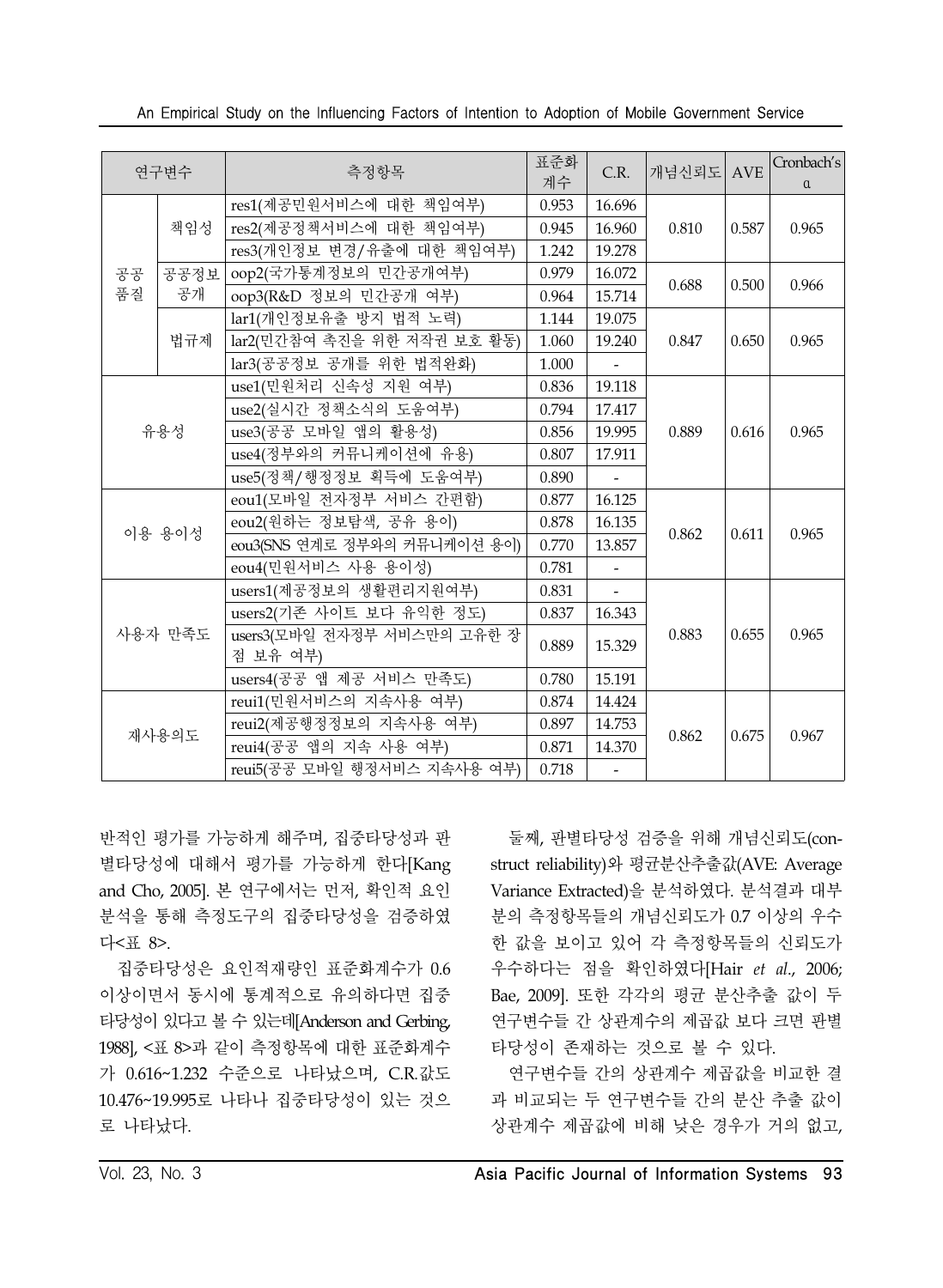| 연구변수     |       | 측정항목                                            |                 | C.R.                     | 개념신뢰도 AVE |       | Cronbach's<br>$\alpha$ |
|----------|-------|-------------------------------------------------|-----------------|--------------------------|-----------|-------|------------------------|
| 공공<br>품질 | 책임성   | res1(제공민원서비스에 대한 책임여부)                          | 0.953           | 16.696                   |           | 0.587 | 0.965                  |
|          |       | res2(제공정책서비스에 대한 책임여부)                          | 0.945           | 16.960                   | 0.810     |       |                        |
|          |       | res3(개인정보 변경/유출에 대한 책임여부)                       | 1.242           | 19.278                   |           |       |                        |
|          | 공공정보  | oop2(국가통계정보의 민간공개여부)                            | 0.979<br>16.072 |                          |           | 0.500 |                        |
|          | 공개    | oop3(R&D 정보의 민간공개 여부)                           | 0.964           | 15.714                   | 0.688     |       | 0.966                  |
|          |       | lar1(개인정보유출 방지 법적 노력)                           | 1.144           | 19.075                   |           | 0.650 | 0.965                  |
|          | 법규제   | lar2(민간참여 촉진을 위한 저작권 보호 활동)                     | 1.060           | 19.240                   | 0.847     |       |                        |
|          |       | lar3(공공정보 공개를 위한 법적완화)                          | 1.000           |                          |           |       |                        |
|          |       | use1(민원처리 신속성 지원 여부)                            | 0.836           | 19.118                   |           |       |                        |
|          |       | use2(실시간 정책소식의 도움여부)                            | 0.794           | 17.417                   |           |       |                        |
| 유용성      |       | use3(공공 모바일 앱의 활용성)                             | 0.856           | 19.995                   | 0.889     | 0.616 | 0.965                  |
|          |       | use4(정부와의 커뮤니케이션에 유용)                           | 0.807           | 17.911                   |           |       |                        |
|          |       | use5(정책/행정정보 획득에 도움여부)                          | 0.890           |                          |           |       |                        |
| 이용 용이성   |       | eou1(모바일 전자정부 서비스 간편함)                          | 0.877           | 16.125                   |           | 0.611 | 0.965                  |
|          |       | eou2(원하는 정보탐색, 공유 용이)                           | 0.878           | 16.135                   | 0.862     |       |                        |
|          |       | eou3(SNS 연계로 정부와의 커뮤니케이션 용이)                    | 0.770           | 13.857                   |           |       |                        |
|          |       | eou4(민원서비스 사용 용이성)                              | 0.781           | $\bar{\phantom{a}}$      |           |       |                        |
|          |       | users1(제공정보의 생활편리지원여부)                          | 0.831           | $\omega$                 |           |       |                        |
|          |       | users2(기존 사이트 보다 유익한 정도)                        | 0.837           | 16.343                   |           |       |                        |
| 사용자 만족도  |       | users3(모바일 전자정부 서비스만의 고유한 장                     | 0.889           | 15.329                   | 0.883     | 0.655 | 0.965                  |
|          |       | 점 보유 여부)                                        |                 |                          |           |       |                        |
|          |       | users4(공공 앱 제공 서비스 만족도)                         | 0.780<br>0.874  | 15.191                   |           |       |                        |
|          |       | reui1(민원서비스의 지속사용 여부)<br>reui2(제공행정정보의 지속사용 여부) |                 | 14.424                   | 0.862     | 0.675 | 0.967                  |
|          | 재사용의도 |                                                 |                 | 14.753                   |           |       |                        |
|          |       | reui4(공공 앱의 지속 사용 여부)                           | 0.871           | 14.370                   |           |       |                        |
|          |       | reui5(공공 모바일 행정서비스 지속사용 여부)                     | 0.718           | $\overline{\phantom{a}}$ |           |       |                        |

An Empirical Study on the Influencing Factors of Intention to Adoption of Mobile Government Service

반적인 평가를 가능하게 해주며, 집중타당성과 판 별타당성에 대해서 평가를 가능하게 한다[Kang and Cho, 2005]. 본 연구에서는 먼저, 확인적 요인 분석을 통해 측정도구의 집중타당성을 검증하였 다<표 8>.

집중타당성은 요인적재량인 표준화계수가 0.6 이상이면서 동시에 통계적으로 유의하다면 집중 타당성이 있다고 볼 수 있는데[Anderson and Gerbing, 1988], <표 8>과 같이 측정항목에 대한 표준화계수 가 0.616~1.232 수준으로 나타났으며, C.R.값도 10.476~19.995로 나타나 집중타당성이 있는 것으 로 나타났다.

둘째, 판별타당성 검증을 위해 개념신뢰도(construct reliability)와 평균분산추출값(AVE: Average Variance Extracted)을 분석하였다. 분석결과 대부 분의 측정항목들의 개념신뢰도가 0.7 이상의 우수 한 값을 보이고 있어 각 측정항목들의 신뢰도가 우수하다는 점을 확인하였다[Hair *et al*., 2006; Bae, 2009]. 또한 각각의 평균 분산추출 값이 두 연구변수들 간 상관계수의 제곱값 보다 크면 판별 타당성이 존재하는 것으로 볼 수 있다.

연구변수들 간의 상관계수 제곱값을 비교한 결 과 비교되는 두 연구변수들 간의 분산 추출 값이 상관계수 제곱값에 비해 낮은 경우가 거의 없고,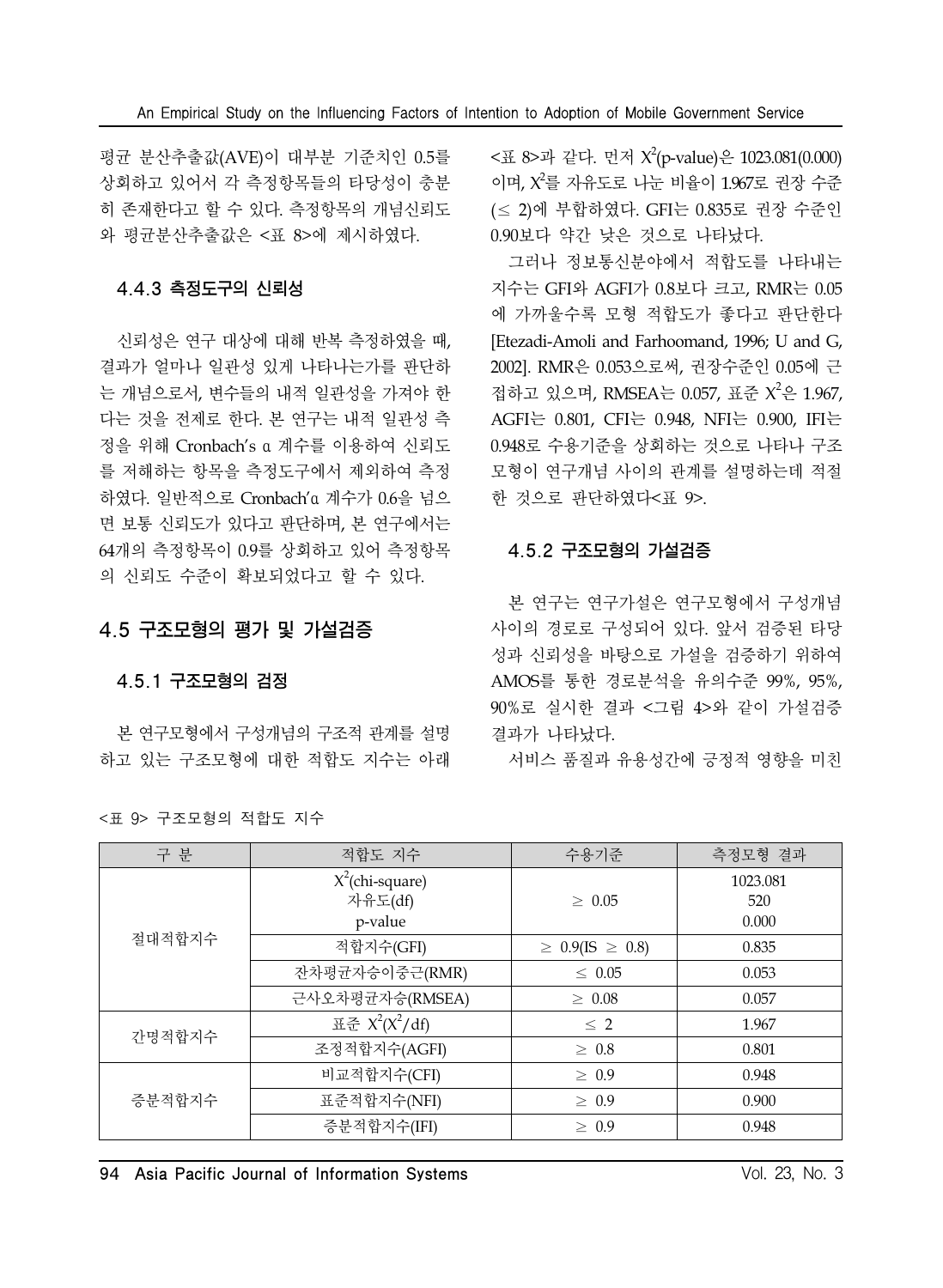평균 분산추출값(AVE)이 대부분 기준치인 0.5를 상회하고 있어서 각 측정항목들의 타당성이 충분 히 존재한다고 할 수 있다. 측정항목의 개념신뢰도 와 평균분산추출값은 <표 8>에 제시하였다.

### 4.4.3 측정도구의 신뢰성

신뢰성은 연구 대상에 대해 반복 측정하였을 때, 결과가 얼마나 일관성 있게 나타나는가를 판단하 는 개념으로서, 변수들의 내적 일관성을 가져야 한 다는 것을 전제로 한다. 본 연구는 내적 일관성 측 정을 위해 Cronbach's α 계수를 이용하여 신뢰도 를 저해하는 항목을 측정도구에서 제외하여 측정 하였다. 일반적으로 Cronbach'α 계수가 0.6을 넘으 면 보통 신뢰도가 있다고 판단하며, 본 연구에서는 64개의 측정항목이 0.9를 상회하고 있어 측정항목 의 신뢰도 수준이 확보되었다고 할 수 있다.

# 4.5 구조모형의 평가 및 가설검증

### 4.5.1 구조모형의 검정

본 연구모형에서 구성개념의 구조적 관계를 설명 하고 있는 구조모형에 대한 적합도 지수는 아래

<표 8>과 같다. 먼저 X<sup>2</sup>(p-value)은 1023.081(0.000) 이며,  $X^2$ 를 자유도로 나눈 비율이 1.967로 권장 수준 (≤ 2)에 부합하였다. GFI는 0.835로 권장 수준인 0.90보다 약간 낮은 것으로 나타났다.

그러나 정보통신분야에서 적합도를 나타내는 지수는 GFI와 AGFI가 0.8보다 크고, RMR는 0.05 에 가까울수록 모형 적합도가 좋다고 판단한다 [Etezadi-Amoli and Farhoomand, 1996; U and G, 2002]. RMR은 0.053으로써, 권장수준인 0.05에 근 접하고 있으며, RMSEA는 0.057, 표준 X<sup>2</sup>은 1.967, AGFI는 0.801, CFI는 0.948, NFI는 0.900, IFI는 0.948로 수용기준을 상회하는 것으로 나타나 구조 모형이 연구개념 사이의 관계를 설명하는데 적절 한 것으로 판단하였다<표 9>.

## 4.5.2 구조모형의 가설검증

본 연구는 연구가설은 연구모형에서 구성개념 사이의 경로로 구성되어 있다. 앞서 검증된 타당 성과 신뢰성을 바탕으로 가설을 검증하기 위하여 AMOS를 통한 경로분석을 유의수준 99%, 95%, 90%로 실시한 결과 <그림 4>와 같이 가설검증 결과가 나타났다.

서비스 품질과 유용성간에 긍정적 영향을 미친

| 구 분    | 적합도 지수             | 수용기준                        | 측정모형 결과  |  |  |
|--------|--------------------|-----------------------------|----------|--|--|
|        | $X^2$ (chi-square) |                             | 1023.081 |  |  |
|        | 자유도(df)            | $\geq 0.05$                 | 520      |  |  |
|        | p-value            |                             | 0.000    |  |  |
| 절대적합지수 | 적합지수(GFI)          | $\geq 0.9$ (IS $\geq 0.8$ ) | 0.835    |  |  |
|        | 잔차평균자승이중근(RMR)     | $\leq 0.05$                 | 0.053    |  |  |
|        | 근사오차평균자승(RMSEA)    | $\geq 0.08$                 | 0.057    |  |  |
| 간명적합지수 | 표준 $X^2(X^2/df)$   | $\leq 2$                    | 1.967    |  |  |
|        | 조정적합지수(AGFI)       | $\geq 0.8$                  | 0.801    |  |  |
|        | 비교적합지수(CFI)        | $\geq 0.9$                  | 0.948    |  |  |
| 증분적합지수 | 표준적합지수(NFI)        | $\geq 0.9$                  | 0.900    |  |  |
|        | 증분적합지수(IFI)        | $\geq 0.9$                  | 0.948    |  |  |

|  | <표 9> 구조모형의 적합도 지수 |  |
|--|--------------------|--|
|  |                    |  |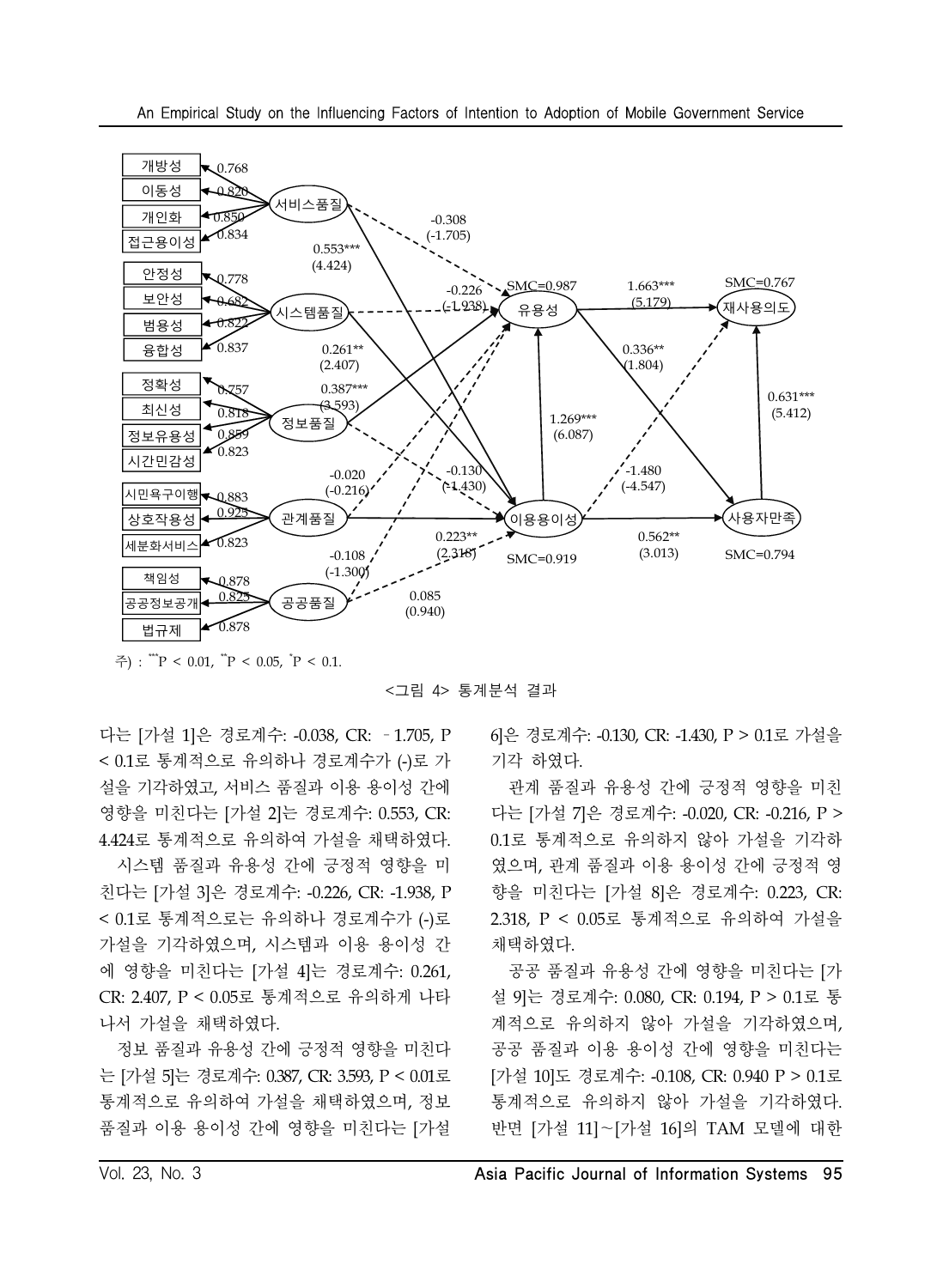

주) : "``P < 0.01, ``P < 0.05, `P < 0.1.

<그림 4> 통계분석 결과

다는 [가설 1]은 경로계수: -0.038, CR: –1.705, P < 0.1로 통계적으로 유의하나 경로계수가 (-)로 가 설을 기각하였고, 서비스 품질과 이용 용이성 간에 영향을 미친다는 [가설 2]는 경로계수: 0.553, CR: 4.424로 통계적으로 유의하여 가설을 채택하였다.

시스템 품질과 유용성 간에 긍정적 영향을 미 친다는 [가설 3]은 경로계수: -0.226, CR: -1.938, P < 0.1로 통계적으로는 유의하나 경로계수가 (-)로 가설을 기각하였으며, 시스템과 이용 용이성 간 에 영향을 미친다는 [가설 4]는 경로계수: 0.261, CR: 2.407, P < 0.05로 통계적으로 유의하게 나타 나서 가설을 채택하였다.

정보 품질과 유용성 간에 긍정적 영향을 미친다 는 [가설 5]는 경로계수: 0.387, CR: 3.593, P < 0.01로 통계적으로 유의하여 가설을 채택하였으며, 정보 품질과 이용 용이성 간에 영향을 미친다는 [가설

6]은 경로계수: -0.130, CR: -1.430, P > 0.1로 가설을 기각 하였다.

관계 품질과 유용성 간에 긍정적 영향을 미친 다는 [가설 7]은 경로계수: -0.020, CR: -0.216, P > 0.1로 통계적으로 유의하지 않아 가설을 기각하 였으며, 관계 품질과 이용 용이성 간에 긍정적 영 향을 미친다는 [가설 8]은 경로계수: 0.223, CR: 2.318, P < 0.05로 통계적으로 유의하여 가설을 채택하였다.

공공 품질과 유용성 간에 영향을 미친다는 [가 설 9]는 경로계수: 0.080, CR: 0.194, P > 0.1로 통 계적으로 유의하지 않아 가설을 기각하였으며, 공공 품질과 이용 용이성 간에 영향을 미친다는 [가설 10]도 경로계수: -0.108, CR: 0.940 P > 0.1로 통계적으로 유의하지 않아 가설을 기각하였다. 반면 [가설 11]~[가설 16]의 TAM 모델에 대한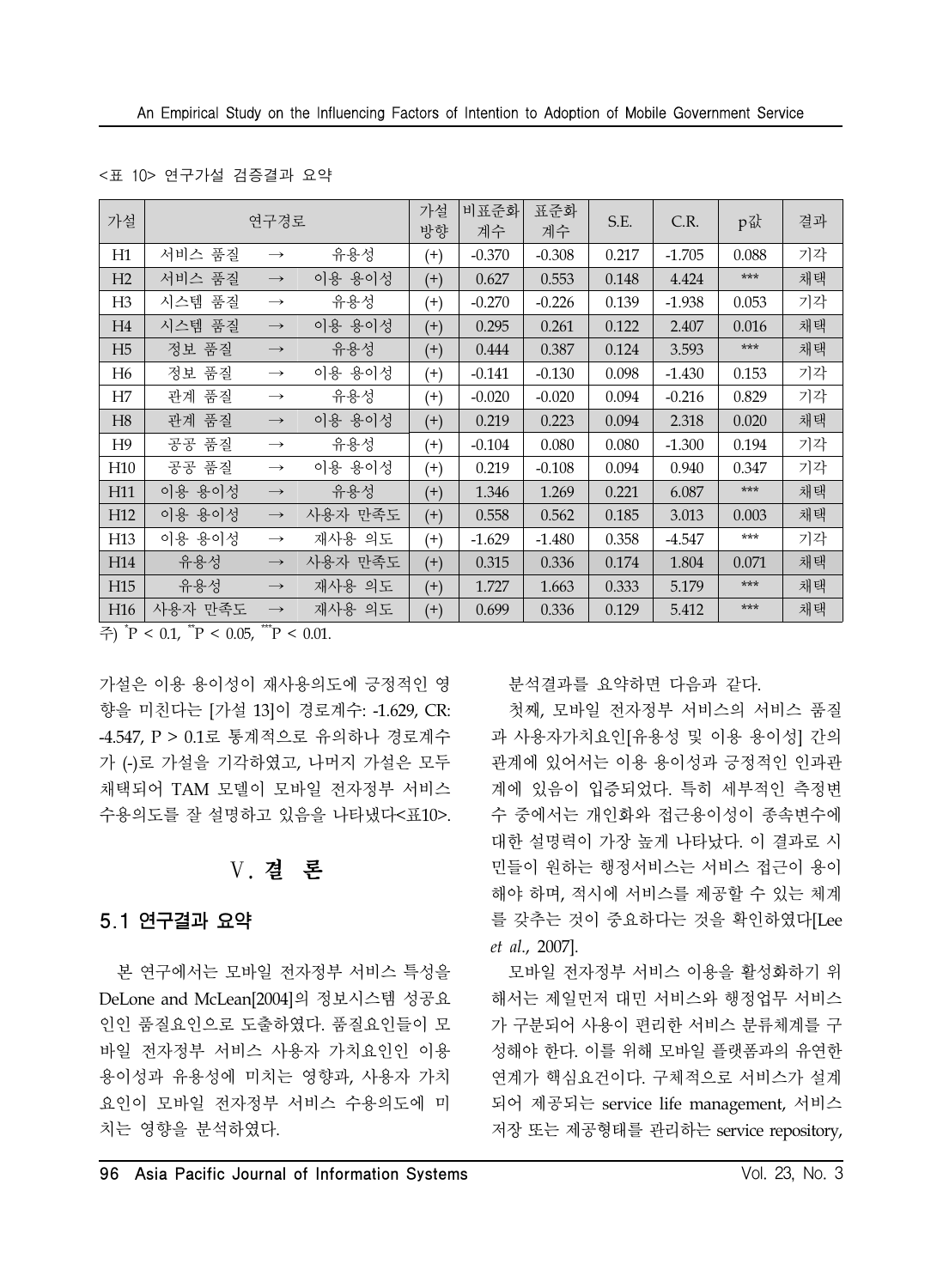#### <표 10> 연구가설 검증결과 요약

| 가설              | 연구경로    |                   |         |          | 비표준화<br>계수 | 표준화<br>계수 | S.E.  | C.R.     | p값    | 결과 |
|-----------------|---------|-------------------|---------|----------|------------|-----------|-------|----------|-------|----|
| H1              | 서비스 품질  | $\longrightarrow$ | 유용성     | $^{(+)}$ | $-0.370$   | $-0.308$  | 0.217 | $-1.705$ | 0.088 | 기각 |
| H <sub>2</sub>  | 서비스 품질  | $\longrightarrow$ | 이용 용이성  | $^{(+)}$ | 0.627      | 0.553     | 0.148 | 4.424    | $***$ | 채택 |
| H <sub>3</sub>  | 시스템 품질  | $\longrightarrow$ | 유용성     | $^{(+)}$ | $-0.270$   | $-0.226$  | 0.139 | $-1.938$ | 0.053 | 기각 |
| H4              | 시스템 품질  | $\longrightarrow$ | 이용 용이성  | $^{(+)}$ | 0.295      | 0.261     | 0.122 | 2.407    | 0.016 | 채택 |
| H <sub>5</sub>  | 정보 품질   | $\longrightarrow$ | 유용성     | $^{(+)}$ | 0.444      | 0.387     | 0.124 | 3.593    | $***$ | 채택 |
| H <sub>6</sub>  | 정보 품질   | $\longrightarrow$ | 이용 용이성  | $^{(+)}$ | $-0.141$   | $-0.130$  | 0.098 | $-1.430$ | 0.153 | 기각 |
| H7              | 관계 품질   | $\longrightarrow$ | 유용성     | $^{(+)}$ | $-0.020$   | $-0.020$  | 0.094 | $-0.216$ | 0.829 | 기각 |
| H <sub>8</sub>  | 관계 품질   | $\longrightarrow$ | 이용 용이성  | $^{(+)}$ | 0.219      | 0.223     | 0.094 | 2.318    | 0.020 | 채택 |
| H <sup>9</sup>  | 공공 품질   | $\rightarrow$     | 유용성     | $^{(+)}$ | $-0.104$   | 0.080     | 0.080 | $-1.300$ | 0.194 | 기각 |
| H <sub>10</sub> | 공공 품질   | $\longrightarrow$ | 이용 용이성  | $^{(+)}$ | 0.219      | $-0.108$  | 0.094 | 0.940    | 0.347 | 기각 |
| H11             | 이용 용이성  | $\longrightarrow$ | 유용성     | $^{(+)}$ | 1.346      | 1.269     | 0.221 | 6.087    | $***$ | 채택 |
| H12             | 이용 용이성  | $\longrightarrow$ | 사용자 만족도 | $^{(+)}$ | 0.558      | 0.562     | 0.185 | 3.013    | 0.003 | 채택 |
| H <sub>13</sub> | 이용 용이성  | $\longrightarrow$ | 재사용 의도  | $^{(+)}$ | $-1.629$   | $-1.480$  | 0.358 | -4.547   | ***   | 기각 |
| H14             | 유용성     | $\longrightarrow$ | 사용자 만족도 | $^{(+)}$ | 0.315      | 0.336     | 0.174 | 1.804    | 0.071 | 채택 |
| H15             | 유용성     | $\longrightarrow$ | 재사용 의도  | $^{(+)}$ | 1.727      | 1.663     | 0.333 | 5.179    | $***$ | 채택 |
| H <sub>16</sub> | 사용자 만족도 | $\longrightarrow$ | 재사용 의도  | $^{(+)}$ | 0.699      | 0.336     | 0.129 | 5.412    | $***$ | 채택 |

주) \* P < 0.1, \*\*P < 0.05, \*\*\*P < 0.01.

가설은 이용 용이성이 재사용의도에 긍정적인 영 향을 미친다는 [가설 13]이 경로계수: -1.629, CR: -4.547, P > 0.1로 통계적으로 유의하나 경로계수 가 (-)로 가설을 기각하였고, 나머지 가설은 모두 채택되어 TAM 모델이 모바일 전자정부 서비스 수용의도를 잘 설명하고 있음을 나타냈다<표10>.

# Ⅴ. 결 론

### 5.1 연구결과 요약

본 연구에서는 모바일 전자정부 서비스 특성을 DeLone and McLean[2004]의 정보시스템 성공요 인인 품질요인으로 도출하였다. 품질요인들이 모 바일 전자정부 서비스 사용자 가치요인인 이용 용이성과 유용성에 미치는 영향과, 사용자 가치 요인이 모바일 전자정부 서비스 수용의도에 미 치는 영향을 분석하였다.

분석결과를 요약하면 다음과 같다.

첫째, 모바일 전자정부 서비스의 서비스 품질 과 사용자가치요인[유용성 및 이용 용이성] 간의 관계에 있어서는 이용 용이성과 긍정적인 인과관 계에 있음이 입증되었다. 특히 세부적인 측정변 수 중에서는 개인화와 접근용이성이 종속변수에 대한 설명력이 가장 높게 나타났다. 이 결과로 시 민들이 원하는 행정서비스는 서비스 접근이 용이 해야 하며, 적시에 서비스를 제공할 수 있는 체계 를 갖추는 것이 중요하다는 것을 확인하였다[Lee *et al*., 2007].

모바일 전자정부 서비스 이용을 활성화하기 위 해서는 제일먼저 대민 서비스와 행정업무 서비스 가 구분되어 사용이 편리한 서비스 분류체계를 구 성해야 한다. 이를 위해 모바일 플랫폼과의 유연한 연계가 핵심요건이다. 구체적으로 서비스가 설계 되어 제공되는 service life management, 서비스 저장 또는 제공형태를 관리하는 service repository,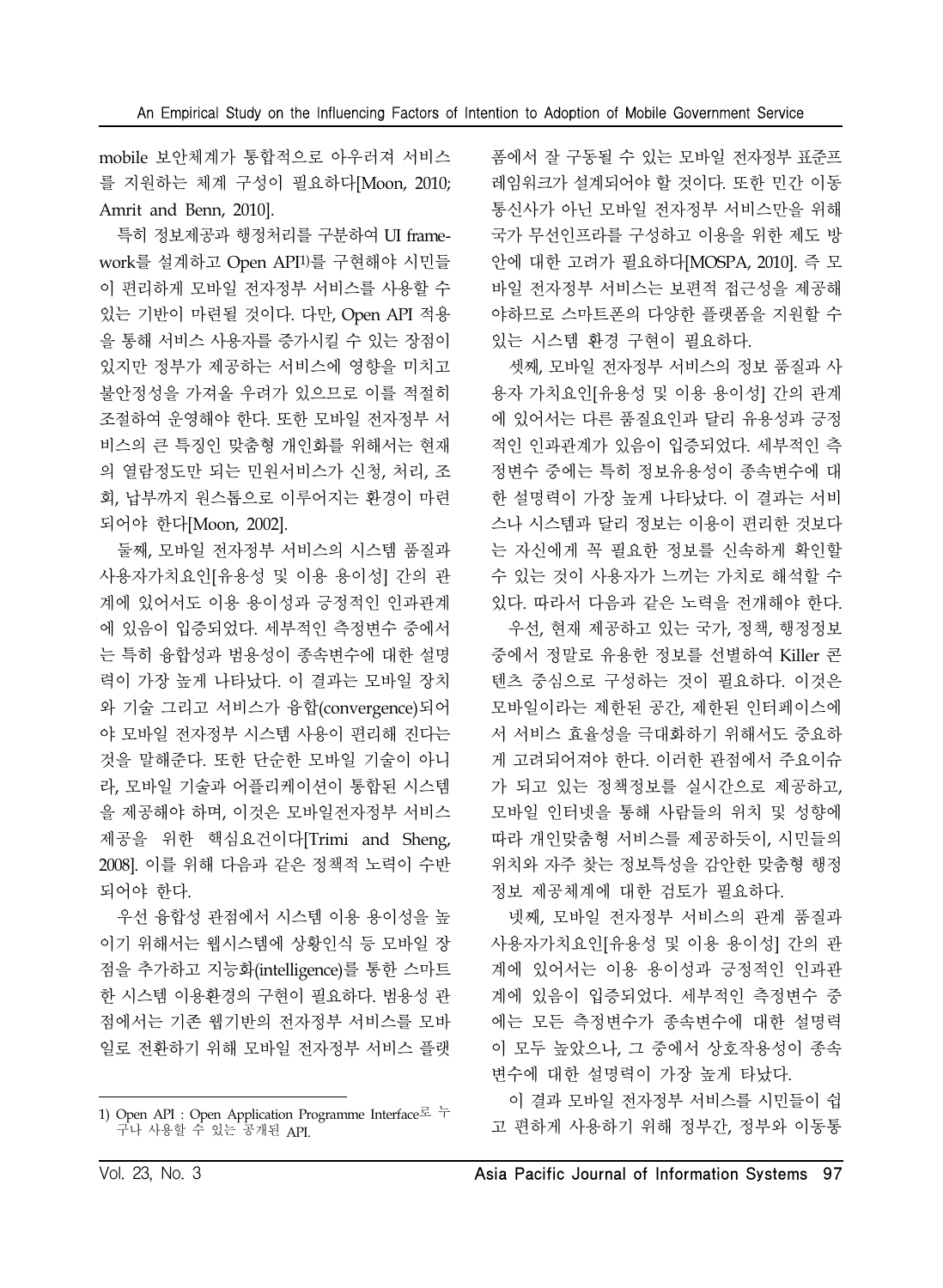mobile 보안체계가 통합적으로 아우러져 서비스 를 지원하는 체계 구성이 필요하다[Moon, 2010; Amrit and Benn, 2010].

특히 정보제공과 행정처리를 구분하여 UI framework를 설계하고 Open API1)를 구현해야 시민들 이 편리하게 모바일 전자정부 서비스를 사용할 수 있는 기반이 마련될 것이다. 다만, Open API 적용 을 통해 서비스 사용자를 증가시킬 수 있는 장점이 있지만 정부가 제공하는 서비스에 영향을 미치고 불안정성을 가져올 우려가 있으므로 이를 적절히 조절하여 운영해야 한다. 또한 모바일 전자정부 서 비스의 큰 특징인 맞춤형 개인화를 위해서는 현재 의 열람정도만 되는 민원서비스가 신청, 처리, 조 회, 납부까지 원스톱으로 이루어지는 환경이 마련 되어야 한다[Moon, 2002].

둘째, 모바일 전자정부 서비스의 시스템 품질과 사용자가치요인[유용성 및 이용 용이성] 간의 관 계에 있어서도 이용 용이성과 긍정적인 인과관계 에 있음이 입증되었다. 세부적인 측정변수 중에서 는 특히 융합성과 범용성이 종속변수에 대한 설명 력이 가장 높게 나타났다. 이 결과는 모바일 장치 와 기술 그리고 서비스가 융합(convergence)되어 야 모바일 전자정부 시스템 사용이 편리해 진다는 것을 말해준다. 또한 단순한 모바일 기술이 아니 라, 모바일 기술과 어플리케이션이 통합된 시스템 을 제공해야 하며, 이것은 모바일전자정부 서비스 제공을 위한 핵심요건이다[Trimi and Sheng, 2008]. 이를 위해 다음과 같은 정책적 노력이 수반 되어야 한다.

우선 융합성 관점에서 시스템 이용 용이성을 높 이기 위해서는 웹시스템에 상황인식 등 모바일 장 점을 추가하고 지능화(intelligence)를 통한 스마트 한 시스템 이용환경의 구현이 필요하다. 범용성 관 점에서는 기존 웹기반의 전자정부 서비스를 모바 일로 전환하기 위해 모바일 전자정부 서비스 플랫

폼에서 잘 구동될 수 있는 모바일 전자정부 표준프 레임워크가 설계되어야 할 것이다. 또한 민간 이동 통신사가 아닌 모바일 전자정부 서비스만을 위해 국가 무선인프라를 구성하고 이용을 위한 제도 방 안에 대한 고려가 필요하다[MOSPA, 2010]. 즉 모 바일 전자정부 서비스는 보편적 접근성을 제공해 야하므로 스마트폰의 다양한 플랫폼을 지원할 수 있는 시스템 환경 구현이 필요하다.

셋째, 모바일 전자정부 서비스의 정보 품질과 사 용자 가치요인[유용성 및 이용 용이성] 간의 관계 에 있어서는 다른 품질요인과 달리 유용성과 긍정 적인 인과관계가 있음이 입증되었다. 세부적인 측 정변수 중에는 특히 정보유용성이 종속변수에 대 한 설명력이 가장 높게 나타났다. 이 결과는 서비 스나 시스템과 달리 정보는 이용이 편리한 것보다 는 자신에게 꼭 필요한 정보를 신속하게 확인할 수 있는 것이 사용자가 느끼는 가치로 해석할 수 있다. 따라서 다음과 같은 노력을 전개해야 한다.

우선, 현재 제공하고 있는 국가, 정책, 행정정보 중에서 정말로 유용한 정보를 선별하여 Killer 콘 텐츠 중심으로 구성하는 것이 필요하다. 이것은 모바일이라는 제한된 공간, 제한된 인터페이스에 서 서비스 효율성을 극대화하기 위해서도 중요하 게 고려되어져야 한다. 이러한 관점에서 주요이슈 가 되고 있는 정책정보를 실시간으로 제공하고, 모바일 인터넷을 통해 사람들의 위치 및 성향에 따라 개인맞춤형 서비스를 제공하듯이, 시민들의 위치와 자주 찾는 정보특성을 감안한 맞춤형 행정 정보 제공체계에 대한 검토가 필요하다.

넷째, 모바일 전자정부 서비스의 관계 품질과 사용자가치요인[유용성 및 이용 용이성] 간의 관 계에 있어서는 이용 용이성과 긍정적인 인과관 계에 있음이 입증되었다. 세부적인 측정변수 중 에는 모든 측정변수가 종속변수에 대한 설명력 이 모두 높았으나, 그 중에서 상호작용성이 종속 변수에 대한 설명력이 가장 높게 타났다.

이 결과 모바일 전자정부 서비스를 시민들이 쉽 고 편하게 사용하기 위해 정부간, 정부와 이동통

<sup>1)</sup> Open API : Open Application Programme Interface로 누 구나 사용할 수 있는 공개된 API.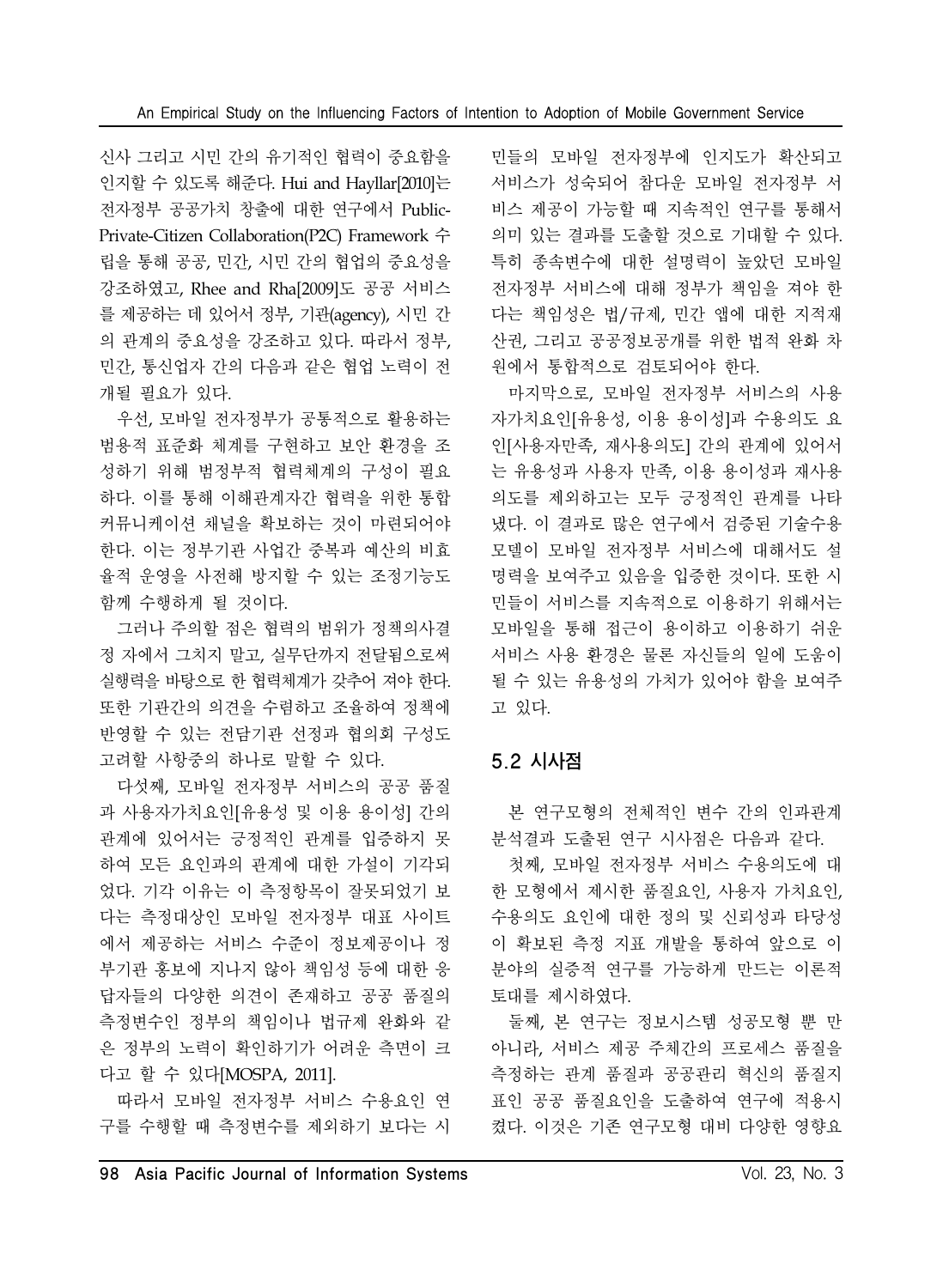신사 그리고 시민 간의 유기적인 협력이 중요함을 인지할 수 있도록 해준다. Hui and Hayllar[2010]는 전자정부 공공가치 창출에 대한 연구에서 Public-Private-Citizen Collaboration(P2C) Framework 수 립을 통해 공공, 민간, 시민 간의 협업의 중요성을 강조하였고, Rhee and Rha[2009]도 공공 서비스 를 제공하는 데 있어서 정부, 기관(agency), 시민 간 의 관계의 중요성을 강조하고 있다. 따라서 정부, 민간, 통신업자 간의 다음과 같은 협업 노력이 전 개될 필요가 있다.

우선, 모바일 전자정부가 공통적으로 활용하는 범용적 표준화 체계를 구현하고 보안 환경을 조 성하기 위해 범정부적 협력체계의 구성이 필요 하다. 이를 통해 이해관계자간 협력을 위한 통합 커뮤니케이션 채널을 확보하는 것이 마련되어야 한다. 이는 정부기관 사업간 중복과 예산의 비효 율적 운영을 사전해 방지할 수 있는 조정기능도 함께 수행하게 될 것이다.

그러나 주의할 점은 협력의 범위가 정책의사결 정 자에서 그치지 말고, 실무단까지 전달됨으로써 실행력을 바탕으로 한 협력체계가 갖추어 져야 한다. 또한 기관간의 의견을 수렴하고 조율하여 정책에 반영할 수 있는 전담기관 선정과 협의회 구성도 고려할 사항중의 하나로 말할 수 있다.

다섯째, 모바일 전자정부 서비스의 공공 품질 과 사용자가치요인[유용성 및 이용 용이성] 간의 관계에 있어서는 긍정적인 관계를 입증하지 못 하여 모든 요인과의 관계에 대한 가설이 기각되 었다. 기각 이유는 이 측정항목이 잘못되었기 보 다는 측정대상인 모바일 전자정부 대표 사이트 에서 제공하는 서비스 수준이 정보제공이나 정 부기관 홍보에 지나지 않아 책임성 등에 대한 응 답자들의 다양한 의견이 존재하고 공공 품질의 측정변수인 정부의 책임이나 법규제 완화와 같 은 정부의 노력이 확인하기가 어려운 측면이 크 다고 할 수 있다[MOSPA, 2011].

따라서 모바일 전자정부 서비스 수용요인 연 구를 수행할 때 측정변수를 제외하기 보다는 시 민들의 모바일 전자정부에 인지도가 확산되고 서비스가 성숙되어 참다운 모바일 전자정부 서 비스 제공이 가능할 때 지속적인 연구를 통해서 의미 있는 결과를 도출할 것으로 기대할 수 있다. 특히 종속변수에 대한 설명력이 높았던 모바일 전자정부 서비스에 대해 정부가 책임을 져야 한 다는 책임성은 법/규제, 민간 앱에 대한 지적재 산권, 그리고 공공정보공개를 위한 법적 완화 차 원에서 통합적으로 검토되어야 한다.

마지막으로, 모바일 전자정부 서비스의 사용 자가치요인[유용성, 이용 용이성]과 수용의도 요 인[사용자만족, 재사용의도] 간의 관계에 있어서 는 유용성과 사용자 만족, 이용 용이성과 재사용 의도를 제외하고는 모두 긍정적인 관계를 나타 냈다. 이 결과로 많은 연구에서 검증된 기술수용 모델이 모바일 전자정부 서비스에 대해서도 설 명력을 보여주고 있음을 입증한 것이다. 또한 시 민들이 서비스를 지속적으로 이용하기 위해서는 모바일을 통해 접근이 용이하고 이용하기 쉬운 서비스 사용 환경은 물론 자신들의 일에 도움이 될 수 있는 유용성의 가치가 있어야 함을 보여주 고 있다.

### 5.2 시사점

본 연구모형의 전체적인 변수 간의 인과관계 분석결과 도출된 연구 시사점은 다음과 같다.

첫째, 모바일 전자정부 서비스 수용의도에 대 한 모형에서 제시한 품질요인, 사용자 가치요인, 수용의도 요인에 대한 정의 및 신뢰성과 타당성 이 확보된 측정 지표 개발을 통하여 앞으로 이 분야의 실증적 연구를 가능하게 만드는 이론적 토대를 제시하였다.

둘째, 본 연구는 정보시스템 성공모형 뿐 만 아니라, 서비스 제공 주체간의 프로세스 품질을 측정하는 관계 품질과 공공관리 혁신의 품질지 표인 공공 품질요인을 도출하여 연구에 적용시 켰다. 이것은 기존 연구모형 대비 다양한 영향요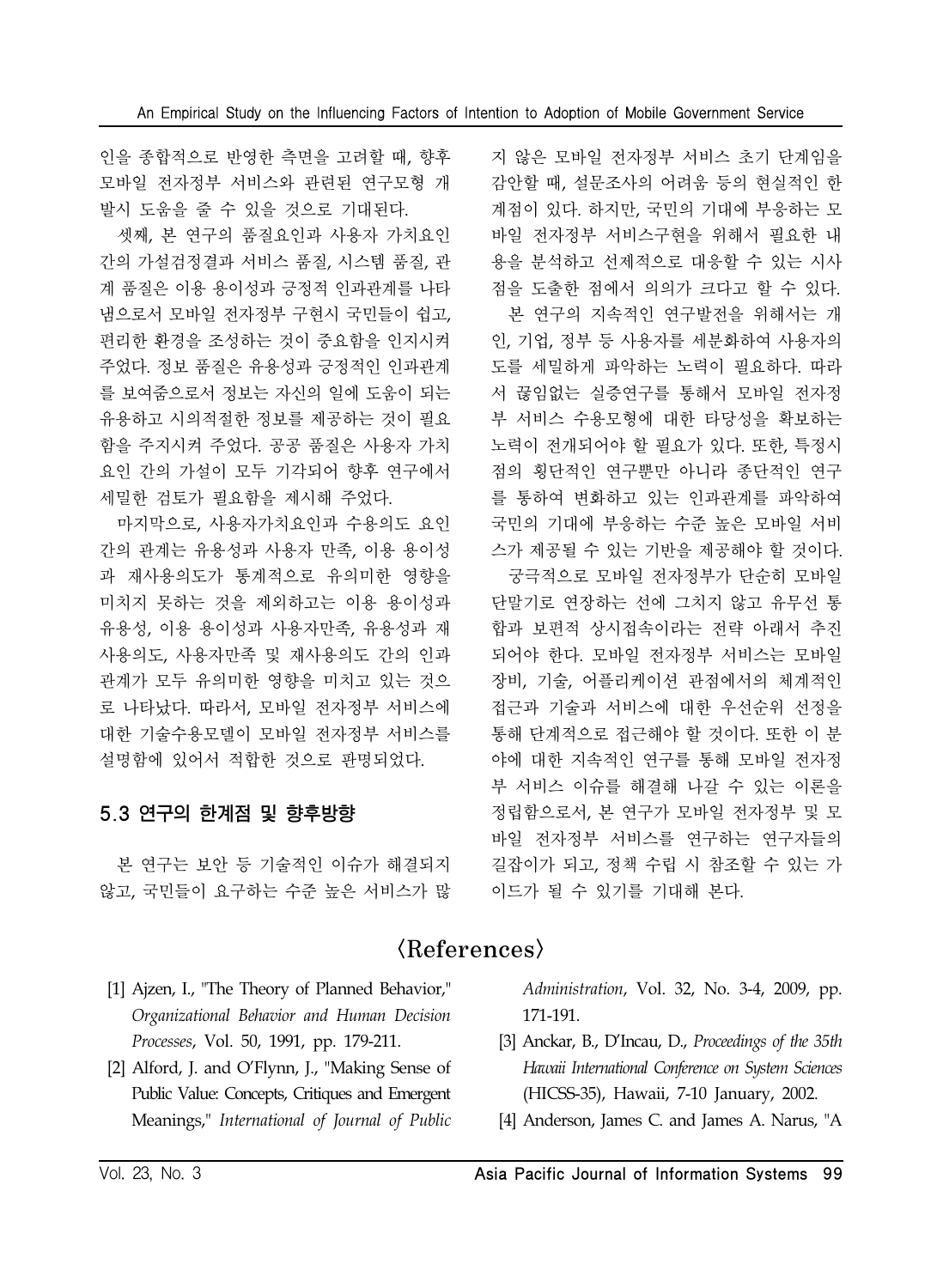인을 종합적으로 반영한 측면을 고려할 때, 향후 모바일 전자정부 서비스와 관련된 연구모형 개 발시 도움을 줄 수 있을 것으로 기대된다.

셋째, 본 연구의 품질요인과 사용자 가치요인 간의 가설검정결과 서비스 품질, 시스템 품질, 관 계 품질은 이용 용이성과 긍정적 인과관계를 나타 냄으로서 모바일 전자정부 구현시 국민들이 쉽고, 편리한 환경을 조성하는 것이 중요함을 인지시켜 주었다. 정보 품질은 유용성과 긍정적인 인과관계 를 보여줌으로서 정보는 자신의 일에 도움이 되는 유용하고 시의적절한 정보를 제공하는 것이 필요 함을 주지시켜 주었다. 공공 품질은 사용자 가치 요인 간의 가설이 모두 기각되어 향후 연구에서 세밀한 검토가 필요함을 제시해 주었다.

마지막으로, 사용자가치요인과 수용의도 요인 간의 관계는 유용성과 사용자 만족, 이용 용이성 과 재사용의도가 통계적으로 유의미한 영향을 미치지 못하는 것을 제외하고는 이용 용이성과 유용성, 이용 용이성과 사용자만족, 유용성과 재 사용의도, 사용자만족 및 재사용의도 간의 인과 관계가 모두 유의미한 영향을 미치고 있는 것으 로 나타났다. 따라서, 모바일 전자정부 서비스에 대한 기술수용모델이 모바일 전자정부 서비스를 설명함에 있어서 적합한 것으로 판명되었다.

# 5.3 연구의 한계점 및 향후방향

본 연구는 보안 등 기술적인 이슈가 해결되지 않고, 국민들이 요구하는 수준 높은 서비스가 많 지 않은 모바일 전자정부 서비스 초기 단계임을 감안할 때, 설문조사의 어려움 등의 현실적인 한 계점이 있다. 하지만, 국민의 기대에 부응하는 모 바일 전자정부 서비스구현을 위해서 필요한 내 용을 분석하고 선제적으로 대응할 수 있는 시사 점을 도출한 점에서 의의가 크다고 할 수 있다. 본 연구의 지속적인 연구발전을 위해서는 개 인, 기업, 정부 등 사용자를 세분화하여 사용자의 도를 세밀하게 파악하는 노력이 필요하다. 따라 서 끊임없는 실증연구를 통해서 모바일 전자정 부 서비스 수용모형에 대한 타당성을 확보하는 노력이 전개되어야 할 필요가 있다. 또한, 특정시 점의 횡단적인 연구뿐만 아니라 종단적인 연구 를 통하여 변화하고 있는 인과관계를 파악하여 국민의 기대에 부응하는 수준 높은 모바일 서비 스가 제공될 수 있는 기반을 제공해야 할 것이다. 궁극적으로 모바일 전자정부가 단순히 모바일 단말기로 연장하는 선에 그치지 않고 유무선 통 합과 보편적 상시접속이라는 전략 아래서 추진

되어야 한다. 모바일 전자정부 서비스는 모바일 장비, 기술, 어플리케이션 관점에서의 체계적인 접근과 기술과 서비스에 대한 우선순위 선정을 통해 단계적으로 접근해야 할 것이다. 또한 이 분 야에 대한 지속적인 연구를 통해 모바일 전자정 부 서비스 이슈를 해결해 나갈 수 있는 이론을 정립함으로서, 본 연구가 모바일 전자정부 및 모 바일 전자정부 서비스를 연구하는 연구자들의 길잡이가 되고, 정책 수립 시 참조할 수 있는 가 이드가 될 수 있기를 기대해 본다.

# $\langle References \rangle$

- [1] Ajzen, I., "The Theory of Planned Behavior," *Organizational Behavior and Human Decision Processes*, Vol. 50, 1991, pp. 179-211.
- [2] Alford, J. and O'Flynn, J., "Making Sense of Public Value: Concepts, Critiques and Emergent Meanings," *International of Journal of Public*

*Administration*, Vol. 32, No. 3-4, 2009, pp. 171-191.

- [3] Anckar, B., D'Incau, D., *Proceedings of the 35th Hawaii International Conference on System Sciences* (HICSS-35), Hawaii, 7-10 January, 2002.
- [4] Anderson, James C. and James A. Narus, "A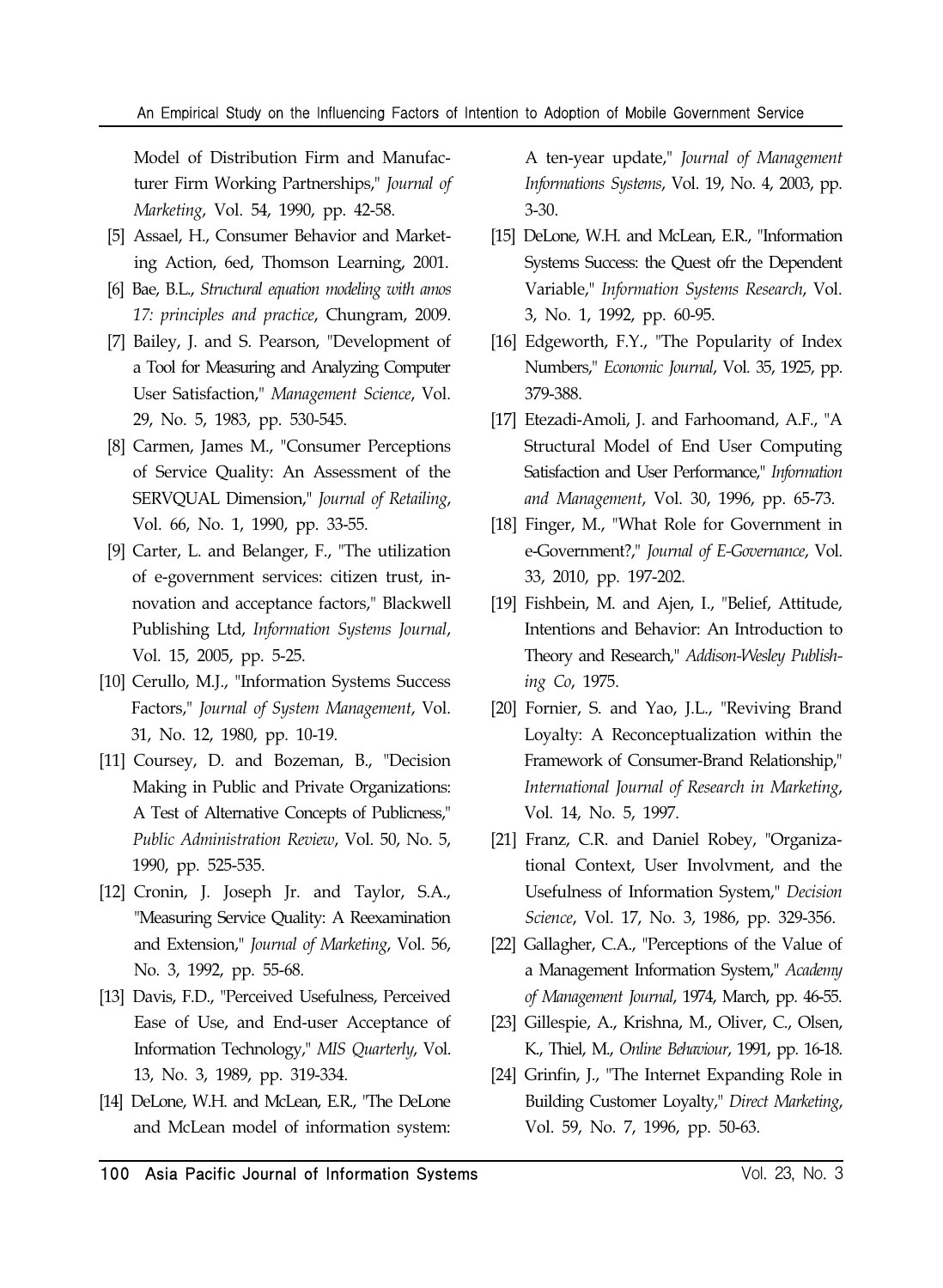Model of Distribution Firm and Manufacturer Firm Working Partnerships," *Journal of Marketing*, Vol. 54, 1990, pp. 42-58.

- [5] Assael, H., Consumer Behavior and Marketing Action, 6ed, Thomson Learning, 2001.
- [6] Bae, B.L., *Structural equation modeling with amos 17: principles and practice*, Chungram, 2009.
- [7] Bailey, J. and S. Pearson, "Development of a Tool for Measuring and Analyzing Computer User Satisfaction," *Management Science*, Vol. 29, No. 5, 1983, pp. 530-545.
- [8] Carmen, James M., "Consumer Perceptions of Service Quality: An Assessment of the SERVQUAL Dimension," *Journal of Retailing*, Vol. 66, No. 1, 1990, pp. 33-55.
- [9] Carter, L. and Belanger, F., "The utilization of e-government services: citizen trust, innovation and acceptance factors," Blackwell Publishing Ltd, *Information Systems Journal*, Vol. 15, 2005, pp. 5-25.
- [10] Cerullo, M.J., "Information Systems Success Factors," *Journal of System Management*, Vol. 31, No. 12, 1980, pp. 10-19.
- [11] Coursey, D. and Bozeman, B., "Decision Making in Public and Private Organizations: A Test of Alternative Concepts of Publicness," *Public Administration Review*, Vol. 50, No. 5, 1990, pp. 525-535.
- [12] Cronin, J. Joseph Jr. and Taylor, S.A., "Measuring Service Quality: A Reexamination and Extension," *Journal of Marketing*, Vol. 56, No. 3, 1992, pp. 55-68.
- [13] Davis, F.D., "Perceived Usefulness, Perceived Ease of Use, and End-user Acceptance of Information Technology," *MIS Quarterly*, Vol. 13, No. 3, 1989, pp. 319-334.
- [14] DeLone, W.H. and McLean, E.R., "The DeLone and McLean model of information system:

A ten-year update," *Journal of Management Informations Systems*, Vol. 19, No. 4, 2003, pp. 3-30.

- [15] DeLone, W.H. and McLean, E.R., "Information Systems Success: the Quest ofr the Dependent Variable," *Information Systems Research*, Vol. 3, No. 1, 1992, pp. 60-95.
- [16] Edgeworth, F.Y., "The Popularity of Index Numbers," *Economic Journal*, Vol. 35, 1925, pp. 379-388.
- [17] Etezadi-Amoli, J. and Farhoomand, A.F., "A Structural Model of End User Computing Satisfaction and User Performance," *Information and Management*, Vol. 30, 1996, pp. 65-73.
- [18] Finger, M., "What Role for Government in e-Government?," *Journal of E-Governance*, Vol. 33, 2010, pp. 197-202.
- [19] Fishbein, M. and Ajen, I., "Belief, Attitude, Intentions and Behavior: An Introduction to Theory and Research," *Addison-Wesley Publishing Co*, 1975.
- [20] Fornier, S. and Yao, J.L., "Reviving Brand Loyalty: A Reconceptualization within the Framework of Consumer-Brand Relationship," *International Journal of Research in Marketing*, Vol. 14, No. 5, 1997.
- [21] Franz, C.R. and Daniel Robey, "Organizational Context, User Involvment, and the Usefulness of Information System," *Decision Science*, Vol. 17, No. 3, 1986, pp. 329-356.
- [22] Gallagher, C.A., "Perceptions of the Value of a Management Information System," *Academy of Management Journal*, 1974, March, pp. 46-55.
- [23] Gillespie, A., Krishna, M., Oliver, C., Olsen, K., Thiel, M., *Online Behaviour*, 1991, pp. 16-18.
- [24] Grinfin, J., "The Internet Expanding Role in Building Customer Loyalty," *Direct Marketing*, Vol. 59, No. 7, 1996, pp. 50-63.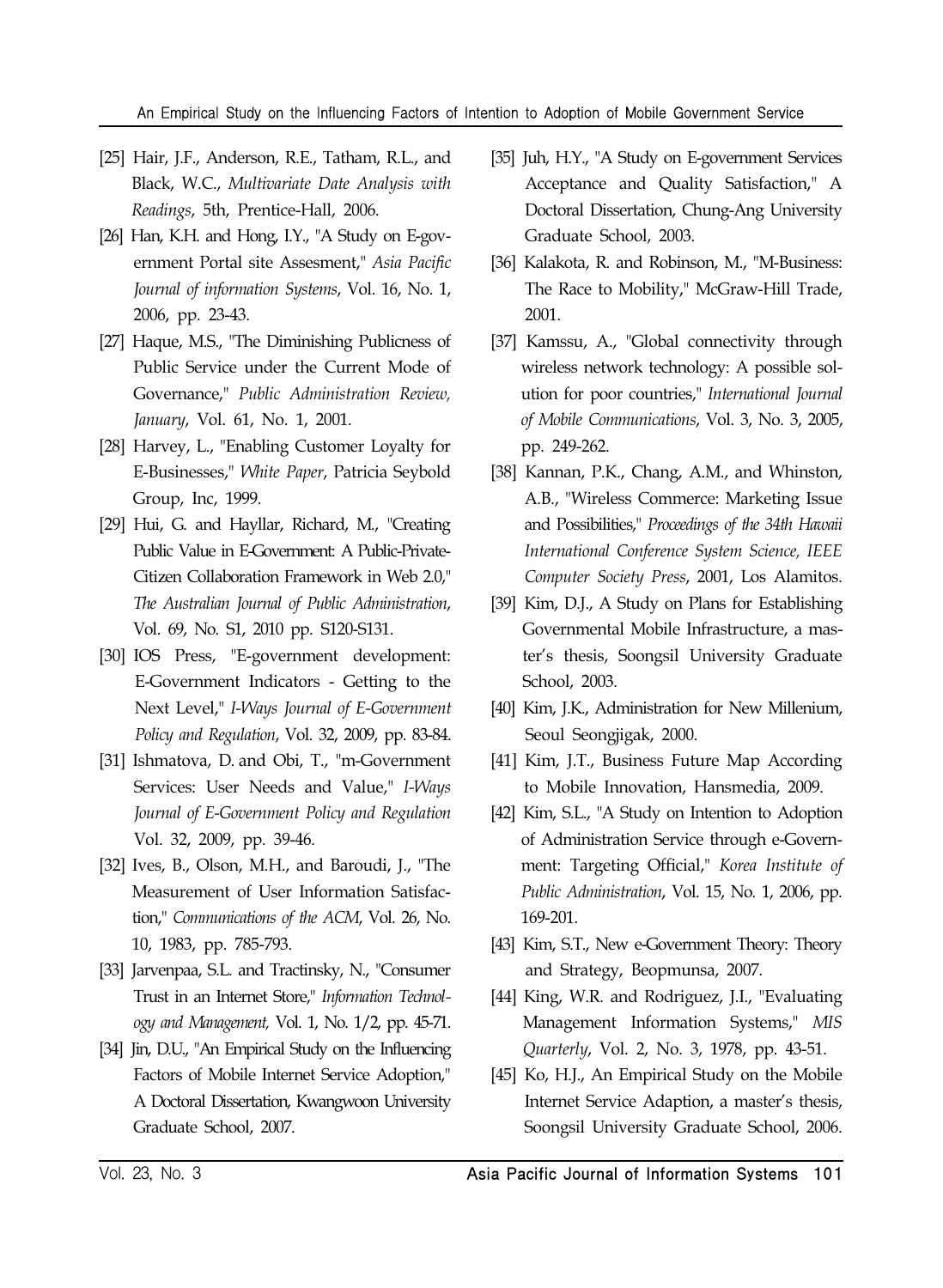#### An Empirical Study on the Influencing Factors of Intention to Adoption of Mobile Government Service

- [25] Hair, J.F., Anderson, R.E., Tatham, R.L., and Black, W.C., *Multivariate Date Analysis with Readings*, 5th, Prentice-Hall, 2006.
- [26] Han, K.H. and Hong, I.Y., "A Study on E-government Portal site Assesment," *Asia Pacific Journal of information Systems*, Vol. 16, No. 1, 2006, pp. 23-43.
- [27] Haque, M.S., "The Diminishing Publicness of Public Service under the Current Mode of Governance," *Public Administration Review, January*, Vol. 61, No. 1, 2001.
- [28] Harvey, L., "Enabling Customer Loyalty for E-Businesses," *White Paper*, Patricia Seybold Group, Inc, 1999.
- [29] Hui, G. and Hayllar, Richard, M., "Creating Public Value in E-Government: A Public-Private-Citizen Collaboration Framework in Web 2.0," *The Australian Journal of Public Administration*, Vol. 69, No. S1, 2010 pp. S120-S131.
- [30] IOS Press, "E-government development: E-Government Indicators - Getting to the Next Level," *I-Ways Journal of E-Government Policy and Regulation*, Vol. 32, 2009, pp. 83-84.
- [31] Ishmatova, D. and Obi, T., "m-Government Services: User Needs and Value," *I-Ways Journal of E-Government Policy and Regulation* Vol. 32, 2009, pp. 39-46.
- [32] Ives, B., Olson, M.H., and Baroudi, J., "The Measurement of User Information Satisfaction," *Communications of the ACM*, Vol. 26, No. 10, 1983, pp. 785-793.
- [33] Jarvenpaa, S.L. and Tractinsky, N., "Consumer Trust in an Internet Store," *Information Technology and Management,* Vol. 1, No. 1/2, pp. 45-71.
- [34] Jin, D.U., "An Empirical Study on the Influencing Factors of Mobile Internet Service Adoption," A Doctoral Dissertation, Kwangwoon University Graduate School, 2007.
- [35] Juh, H.Y., "A Study on E-government Services Acceptance and Quality Satisfaction," A Doctoral Dissertation, Chung-Ang University Graduate School, 2003.
- [36] Kalakota, R. and Robinson, M., "M-Business: The Race to Mobility," McGraw-Hill Trade, 2001.
- [37] Kamssu, A., "Global connectivity through wireless network technology: A possible solution for poor countries," *International Journal of Mobile Communications*, Vol. 3, No. 3, 2005, pp. 249-262.
- [38] Kannan, P.K., Chang, A.M., and Whinston, A.B., "Wireless Commerce: Marketing Issue and Possibilities," *Proceedings of the 34th Hawaii International Conference System Science, IEEE Computer Society Press*, 2001, Los Alamitos.
- [39] Kim, D.J., A Study on Plans for Establishing Governmental Mobile Infrastructure, a master's thesis, Soongsil University Graduate School, 2003.
- [40] Kim, J.K., Administration for New Millenium, Seoul Seongjigak, 2000.
- [41] Kim, J.T., Business Future Map According to Mobile Innovation, Hansmedia, 2009.
- [42] Kim, S.L., "A Study on Intention to Adoption of Administration Service through e-Government: Targeting Official," *Korea Institute of Public Administration*, Vol. 15, No. 1, 2006, pp. 169-201.
- [43] Kim, S.T., New e-Government Theory: Theory and Strategy, Beopmunsa, 2007.
- [44] King, W.R. and Rodriguez, J.I., "Evaluating Management Information Systems," *MIS Quarterly*, Vol. 2, No. 3, 1978, pp. 43-51.
- [45] Ko, H.J., An Empirical Study on the Mobile Internet Service Adaption, a master's thesis, Soongsil University Graduate School, 2006.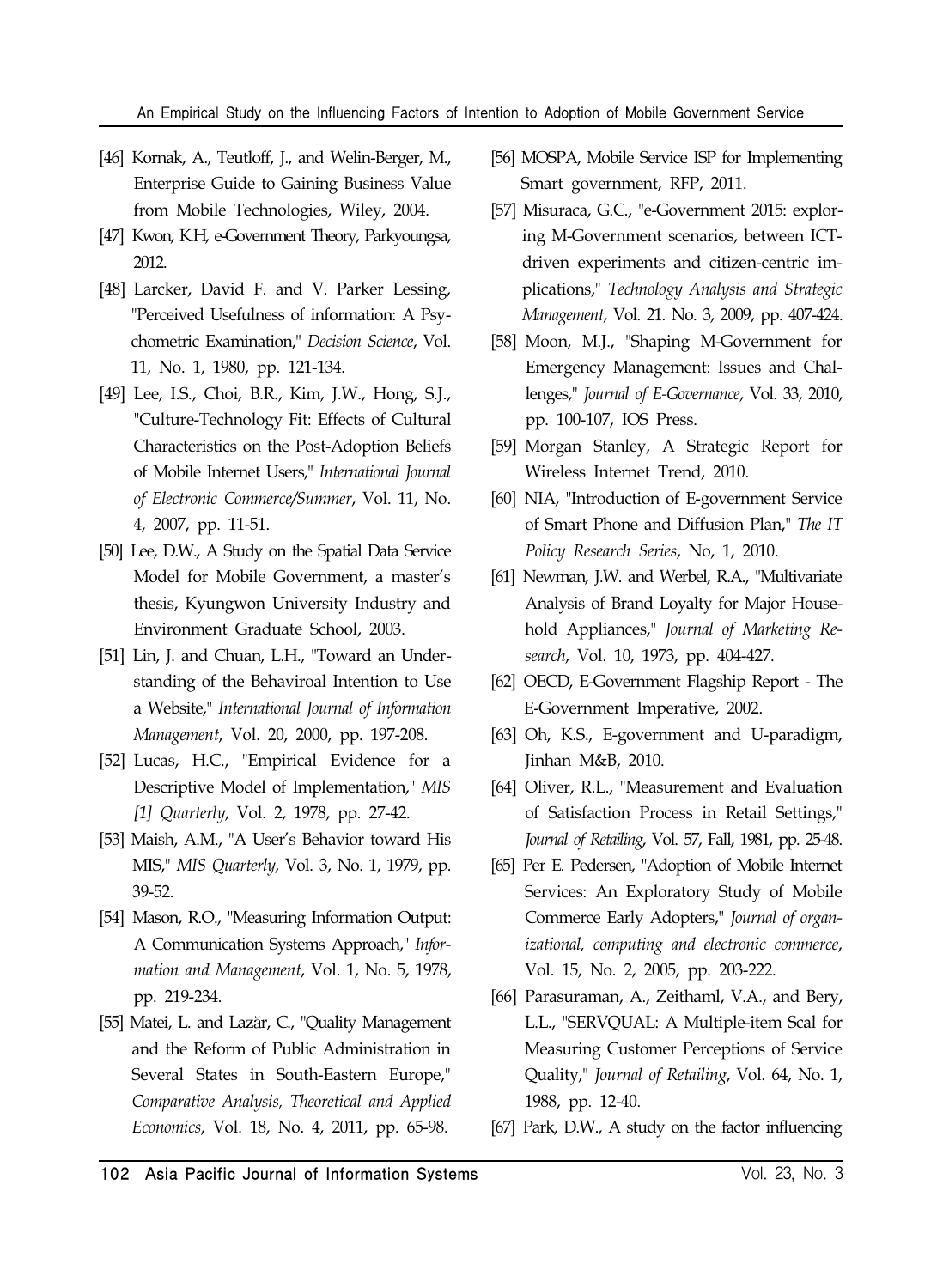- [46] Kornak, A., Teutloff, J., and Welin-Berger, M., Enterprise Guide to Gaining Business Value from Mobile Technologies, Wiley, 2004.
- [47] Kwon, K.H, e-Government Theory, Parkyoungsa, 2012.
- [48] Larcker, David F. and V. Parker Lessing, "Perceived Usefulness of information: A Psychometric Examination," *Decision Science*, Vol. 11, No. 1, 1980, pp. 121-134.
- [49] Lee, I.S., Choi, B.R., Kim, J.W., Hong, S.J., "Culture-Technology Fit: Effects of Cultural Characteristics on the Post-Adoption Beliefs of Mobile Internet Users," *International Journal of Electronic Commerce/Summer*, Vol. 11, No. 4, 2007, pp. 11-51.
- [50] Lee, D.W., A Study on the Spatial Data Service Model for Mobile Government, a master's thesis, Kyungwon University Industry and Environment Graduate School, 2003.
- [51] Lin, J. and Chuan, L.H., "Toward an Understanding of the Behaviroal Intention to Use a Website," *International Journal of Information Management*, Vol. 20, 2000, pp. 197-208.
- [52] Lucas, H.C., "Empirical Evidence for a Descriptive Model of Implementation," *MIS [1] Quarterly*, Vol. 2, 1978, pp. 27-42.
- [53] Maish, A.M., "A User's Behavior toward His MIS," *MIS Quarterly*, Vol. 3, No. 1, 1979, pp. 39-52.
- [54] Mason, R.O., "Measuring Information Output: A Communication Systems Approach," *Information and Management*, Vol. 1, No. 5, 1978, pp. 219-234.
- [55] Matei, L. and Lazăr, C., "Quality Management and the Reform of Public Administration in Several States in South-Eastern Europe," *Comparative Analysis, Theoretical and Applied Economics*, Vol. 18, No. 4, 2011, pp. 65-98.
- [56] MOSPA, Mobile Service ISP for Implementing Smart government, RFP, 2011.
- [57] Misuraca, G.C., "e-Government 2015: exploring M-Government scenarios, between ICTdriven experiments and citizen-centric implications," *Technology Analysis and Strategic Management*, Vol. 21. No. 3, 2009, pp. 407-424.
- [58] Moon, M.J., "Shaping M-Government for Emergency Management: Issues and Challenges," *Journal of E-Governance*, Vol. 33, 2010, pp. 100-107, IOS Press.
- [59] Morgan Stanley, A Strategic Report for Wireless Internet Trend, 2010.
- [60] NIA, "Introduction of E-government Service of Smart Phone and Diffusion Plan," *The IT Policy Research Series*, No, 1, 2010.
- [61] Newman, J.W. and Werbel, R.A., "Multivariate Analysis of Brand Loyalty for Major Household Appliances," *Journal of Marketing Research*, Vol. 10, 1973, pp. 404-427.
- [62] OECD, E-Government Flagship Report The E-Government Imperative, 2002.
- [63] Oh, K.S., E-government and U-paradigm, Jinhan M&B, 2010.
- [64] Oliver, R.L., "Measurement and Evaluation of Satisfaction Process in Retail Settings," *Journal of Retailing*, Vol. 57, Fall, 1981, pp. 25-48.
- [65] Per E. Pedersen, "Adoption of Mobile Internet Services: An Exploratory Study of Mobile Commerce Early Adopters," *Journal of organizational, computing and electronic commerce*, Vol. 15, No. 2, 2005, pp. 203-222.
- [66] Parasuraman, A., Zeithaml, V.A., and Bery, L.L., "SERVQUAL: A Multiple-item Scal for Measuring Customer Perceptions of Service Quality," *Journal of Retailing*, Vol. 64, No. 1, 1988, pp. 12-40.
- [67] Park, D.W., A study on the factor influencing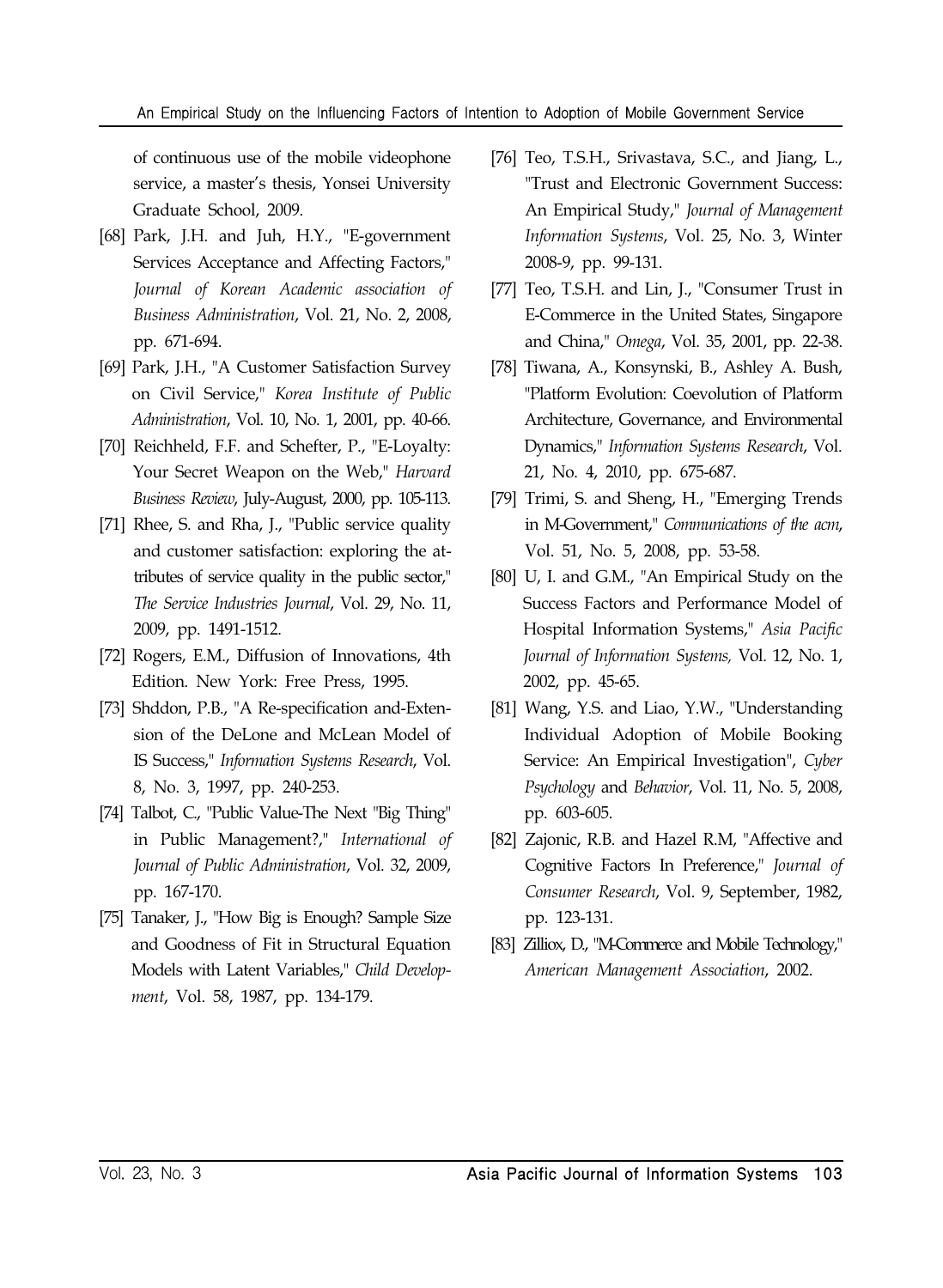#### An Empirical Study on the Influencing Factors of Intention to Adoption of Mobile Government Service

of continuous use of the mobile videophone service, a master's thesis, Yonsei University Graduate School, 2009.

- [68] Park, J.H. and Juh, H.Y., "E-government Services Acceptance and Affecting Factors," *Journal of Korean Academic association of Business Administration*, Vol. 21, No. 2, 2008, pp. 671-694.
- [69] Park, J.H., "A Customer Satisfaction Survey on Civil Service," *Korea Institute of Public Administration*, Vol. 10, No. 1, 2001, pp. 40-66.
- [70] Reichheld, F.F. and Schefter, P., "E-Loyalty: Your Secret Weapon on the Web," *Harvard Business Review*, July-August, 2000, pp. 105-113.
- [71] Rhee, S. and Rha, J., "Public service quality and customer satisfaction: exploring the attributes of service quality in the public sector," *The Service Industries Journal*, Vol. 29, No. 11, 2009, pp. 1491-1512.
- [72] Rogers, E.M., Diffusion of Innovations, 4th Edition. New York: Free Press, 1995.
- [73] Shddon, P.B., "A Re-specification and-Extension of the DeLone and McLean Model of IS Success," *Information Systems Research*, Vol. 8, No. 3, 1997, pp. 240-253.
- [74] Talbot, C., "Public Value-The Next "Big Thing" in Public Management?," *International of Journal of Public Administration*, Vol. 32, 2009, pp. 167-170.
- [75] Tanaker, J., "How Big is Enough? Sample Size and Goodness of Fit in Structural Equation Models with Latent Variables," *Child Development*, Vol. 58, 1987, pp. 134-179.
- [76] Teo, T.S.H., Srivastava, S.C., and Jiang, L., "Trust and Electronic Government Success: An Empirical Study," *Journal of Management Information Systems*, Vol. 25, No. 3, Winter 2008-9, pp. 99-131.
- [77] Teo, T.S.H. and Lin, J., "Consumer Trust in E-Commerce in the United States, Singapore and China," *Omega*, Vol. 35, 2001, pp. 22-38.
- [78] Tiwana, A., Konsynski, B., Ashley A. Bush, "Platform Evolution: Coevolution of Platform Architecture, Governance, and Environmental Dynamics," *Information Systems Research*, Vol. 21, No. 4, 2010, pp. 675-687.
- [79] Trimi, S. and Sheng, H., "Emerging Trends in M-Government," *Communications of the acm*, Vol. 51, No. 5, 2008, pp. 53-58.
- [80] U, I. and G.M., "An Empirical Study on the Success Factors and Performance Model of Hospital Information Systems," *Asia Pacific Journal of Information Systems,* Vol. 12, No. 1, 2002, pp. 45-65.
- [81] Wang, Y.S. and Liao, Y.W., "Understanding Individual Adoption of Mobile Booking Service: An Empirical Investigation", *Cyber Psychology* and *Behavior*, Vol. 11, No. 5, 2008, pp. 603-605.
- [82] Zajonic, R.B. and Hazel R.M, "Affective and Cognitive Factors In Preference," *Journal of Consumer Research*, Vol. 9, September, 1982, pp. 123-131.
- [83] Zilliox, D., "M-Commerce and Mobile Technology," *American Management Association*, 2002.